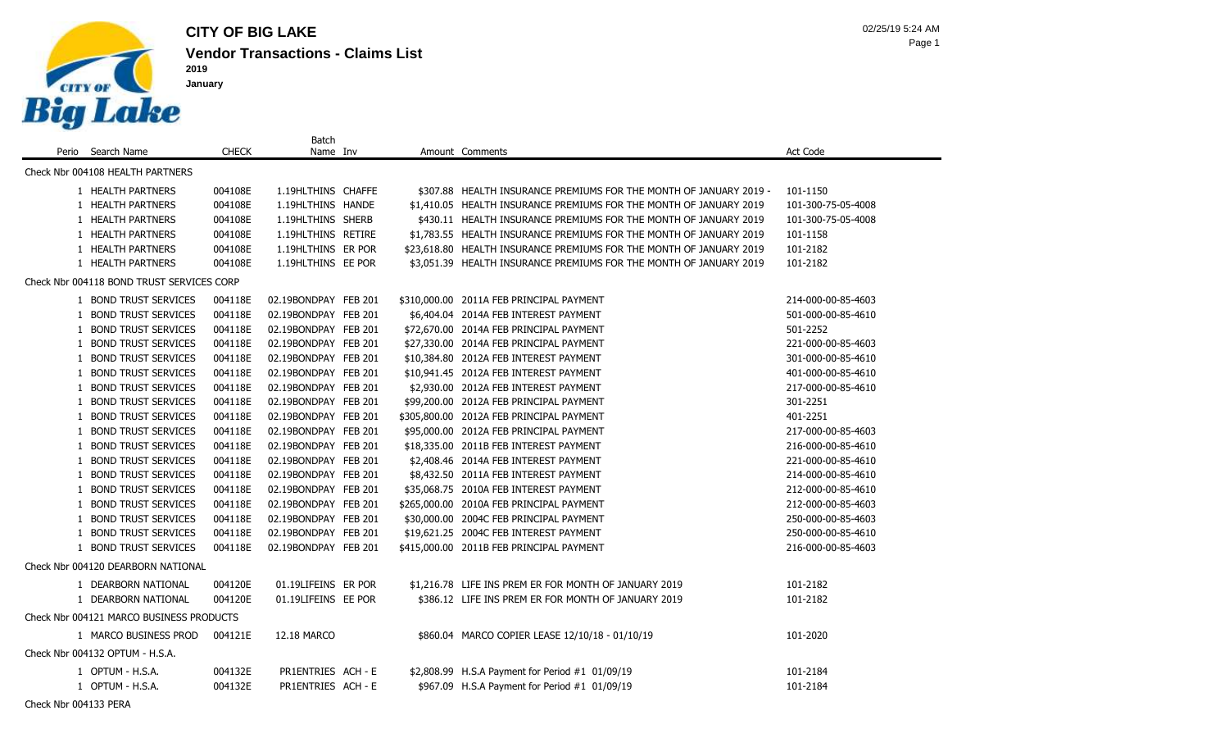

02/25/19 5:24 AM

Page 1

|                                           |              | <b>Batch</b>         |  |                                                                     |                    |
|-------------------------------------------|--------------|----------------------|--|---------------------------------------------------------------------|--------------------|
| Perio Search Name                         | <b>CHECK</b> | Name Inv             |  | Amount Comments                                                     | Act Code           |
| Check Nbr 004108 HEALTH PARTNERS          |              |                      |  |                                                                     |                    |
| 1 HEALTH PARTNERS                         | 004108E      | 1.19HLTHINS CHAFFE   |  | \$307.88 HEALTH INSURANCE PREMIUMS FOR THE MONTH OF JANUARY 2019 -  | 101-1150           |
| 1 HEALTH PARTNERS                         | 004108E      | 1.19HLTHINS HANDE    |  | \$1,410.05 HEALTH INSURANCE PREMIUMS FOR THE MONTH OF JANUARY 2019  | 101-300-75-05-4008 |
| 1 HEALTH PARTNERS                         | 004108E      | 1.19HLTHINS SHERB    |  | \$430.11 HEALTH INSURANCE PREMIUMS FOR THE MONTH OF JANUARY 2019    | 101-300-75-05-4008 |
| 1 HEALTH PARTNERS                         | 004108E      | 1.19HLTHINS RETIRE   |  | \$1,783.55 HEALTH INSURANCE PREMIUMS FOR THE MONTH OF JANUARY 2019  | 101-1158           |
| 1 HEALTH PARTNERS                         | 004108E      | 1.19HLTHINS ER POR   |  | \$23,618.80 HEALTH INSURANCE PREMIUMS FOR THE MONTH OF JANUARY 2019 | 101-2182           |
| 1 HEALTH PARTNERS                         | 004108E      | 1.19HLTHINS EE POR   |  | \$3,051.39 HEALTH INSURANCE PREMIUMS FOR THE MONTH OF JANUARY 2019  | 101-2182           |
| Check Nbr 004118 BOND TRUST SERVICES CORP |              |                      |  |                                                                     |                    |
| 1 BOND TRUST SERVICES                     | 004118E      | 02.19BONDPAY FEB 201 |  | \$310,000.00 2011A FEB PRINCIPAL PAYMENT                            | 214-000-00-85-4603 |
| 1 BOND TRUST SERVICES                     | 004118E      | 02.19BONDPAY FEB 201 |  | \$6,404.04 2014A FEB INTEREST PAYMENT                               | 501-000-00-85-4610 |
| 1 BOND TRUST SERVICES                     | 004118E      | 02.19BONDPAY FEB 201 |  | \$72,670.00 2014A FEB PRINCIPAL PAYMENT                             | 501-2252           |
| 1 BOND TRUST SERVICES                     | 004118E      | 02.19BONDPAY FEB 201 |  | \$27,330.00 2014A FEB PRINCIPAL PAYMENT                             | 221-000-00-85-4603 |
| 1 BOND TRUST SERVICES                     | 004118E      | 02.19BONDPAY FEB 201 |  | \$10,384.80 2012A FEB INTEREST PAYMENT                              | 301-000-00-85-4610 |
| 1 BOND TRUST SERVICES                     | 004118E      | 02.19BONDPAY FEB 201 |  | \$10,941.45 2012A FEB INTEREST PAYMENT                              | 401-000-00-85-4610 |
| 1 BOND TRUST SERVICES                     | 004118E      | 02.19BONDPAY FEB 201 |  | \$2,930.00 2012A FEB INTEREST PAYMENT                               | 217-000-00-85-4610 |
| 1 BOND TRUST SERVICES                     | 004118E      | 02.19BONDPAY FEB 201 |  | \$99,200.00 2012A FEB PRINCIPAL PAYMENT                             | 301-2251           |
| 1 BOND TRUST SERVICES                     | 004118E      | 02.19BONDPAY FEB 201 |  | \$305,800.00 2012A FEB PRINCIPAL PAYMENT                            | 401-2251           |
| 1 BOND TRUST SERVICES                     | 004118E      | 02.19BONDPAY FEB 201 |  | \$95,000.00 2012A FEB PRINCIPAL PAYMENT                             | 217-000-00-85-4603 |
| 1 BOND TRUST SERVICES                     | 004118E      | 02.19BONDPAY FEB 201 |  | \$18,335.00 2011B FEB INTEREST PAYMENT                              | 216-000-00-85-4610 |
| 1 BOND TRUST SERVICES                     | 004118E      | 02.19BONDPAY FEB 201 |  | \$2,408.46 2014A FEB INTEREST PAYMENT                               | 221-000-00-85-4610 |
| 1 BOND TRUST SERVICES                     | 004118E      | 02.19BONDPAY FEB 201 |  | \$8,432.50 2011A FEB INTEREST PAYMENT                               | 214-000-00-85-4610 |
| 1 BOND TRUST SERVICES                     | 004118E      | 02.19BONDPAY FEB 201 |  | \$35,068.75 2010A FEB INTEREST PAYMENT                              | 212-000-00-85-4610 |
| 1 BOND TRUST SERVICES                     | 004118E      | 02.19BONDPAY FEB 201 |  | \$265,000.00 2010A FEB PRINCIPAL PAYMENT                            | 212-000-00-85-4603 |
| 1 BOND TRUST SERVICES                     | 004118E      | 02.19BONDPAY FEB 201 |  | \$30,000.00 2004C FEB PRINCIPAL PAYMENT                             | 250-000-00-85-4603 |
| 1 BOND TRUST SERVICES                     | 004118E      | 02.19BONDPAY FEB 201 |  | \$19,621.25 2004C FEB INTEREST PAYMENT                              | 250-000-00-85-4610 |
| 1 BOND TRUST SERVICES                     | 004118E      | 02.19BONDPAY FEB 201 |  | \$415,000.00 2011B FEB PRINCIPAL PAYMENT                            | 216-000-00-85-4603 |
| Check Nbr 004120 DEARBORN NATIONAL        |              |                      |  |                                                                     |                    |
| 1 DEARBORN NATIONAL                       | 004120E      | 01.19LIFEINS ER POR  |  | \$1,216.78 LIFE INS PREM ER FOR MONTH OF JANUARY 2019               | 101-2182           |
| 1 DEARBORN NATIONAL                       | 004120E      | 01.19LIFEINS EE POR  |  | \$386.12 LIFE INS PREM ER FOR MONTH OF JANUARY 2019                 | 101-2182           |
| Check Nbr 004121 MARCO BUSINESS PRODUCTS  |              |                      |  |                                                                     |                    |
| 1 MARCO BUSINESS PROD                     | 004121E      | <b>12.18 MARCO</b>   |  | \$860.04 MARCO COPIER LEASE 12/10/18 - 01/10/19                     | 101-2020           |
| Check Nbr 004132 OPTUM - H.S.A.           |              |                      |  |                                                                     |                    |
| 1 OPTUM - H.S.A.                          | 004132E      | PR1ENTRIES ACH - E   |  | \$2,808.99 H.S.A Payment for Period #1 01/09/19                     | 101-2184           |
| 1 OPTUM - H.S.A.                          | 004132E      | PR1ENTRIES ACH - E   |  | \$967.09 H.S.A Payment for Period #1 01/09/19                       | 101-2184           |

Check Nbr 004133 PERA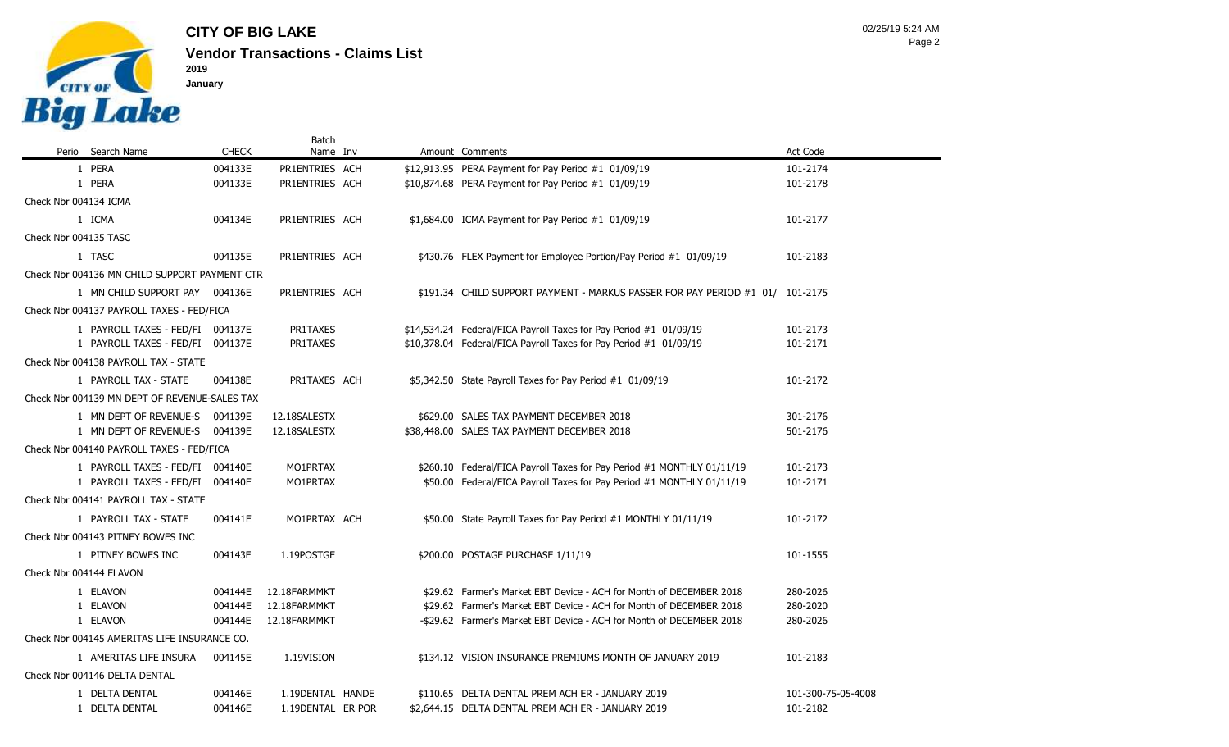

|                                               |              | <b>Batch</b>      |  |                                                                               |                    |
|-----------------------------------------------|--------------|-------------------|--|-------------------------------------------------------------------------------|--------------------|
| Perio Search Name                             | <b>CHECK</b> | Name Inv          |  | Amount Comments                                                               | Act Code           |
| 1 PERA                                        | 004133E      | PR1ENTRIES ACH    |  | \$12,913.95 PERA Payment for Pay Period #1 01/09/19                           | 101-2174           |
| 1 PERA                                        | 004133E      | PR1ENTRIES ACH    |  | \$10,874.68 PERA Payment for Pay Period #1 01/09/19                           | 101-2178           |
| Check Nbr 004134 ICMA                         |              |                   |  |                                                                               |                    |
| 1 ICMA                                        | 004134E      | PR1ENTRIES ACH    |  | \$1,684.00 ICMA Payment for Pay Period #1 01/09/19                            | 101-2177           |
| Check Nbr 004135 TASC                         |              |                   |  |                                                                               |                    |
| 1 TASC                                        | 004135E      | PR1ENTRIES ACH    |  | \$430.76 FLEX Payment for Employee Portion/Pay Period #1 01/09/19             | 101-2183           |
| Check Nbr 004136 MN CHILD SUPPORT PAYMENT CTR |              |                   |  |                                                                               |                    |
| 1 MN CHILD SUPPORT PAY 004136E                |              | PR1ENTRIES ACH    |  | \$191.34 CHILD SUPPORT PAYMENT - MARKUS PASSER FOR PAY PERIOD #1 01/ 101-2175 |                    |
| Check Nbr 004137 PAYROLL TAXES - FED/FICA     |              |                   |  |                                                                               |                    |
| 1 PAYROLL TAXES - FED/FI 004137E              |              | PR1TAXES          |  | \$14,534.24 Federal/FICA Payroll Taxes for Pay Period #1 01/09/19             | 101-2173           |
| 1 PAYROLL TAXES - FED/FI 004137E              |              | PR1TAXES          |  | \$10,378.04 Federal/FICA Payroll Taxes for Pay Period #1 01/09/19             | 101-2171           |
| Check Nbr 004138 PAYROLL TAX - STATE          |              |                   |  |                                                                               |                    |
| 1 PAYROLL TAX - STATE                         | 004138E      | PR1TAXES ACH      |  | \$5,342.50 State Payroll Taxes for Pay Period $#1$ 01/09/19                   | 101-2172           |
| Check Nbr 004139 MN DEPT OF REVENUE-SALES TAX |              |                   |  |                                                                               |                    |
| 1 MN DEPT OF REVENUE-S 004139E                |              | 12.18SALESTX      |  | \$629.00 SALES TAX PAYMENT DECEMBER 2018                                      | 301-2176           |
| 1 MN DEPT OF REVENUE-S 004139E                |              | 12.18SALESTX      |  | \$38,448.00 SALES TAX PAYMENT DECEMBER 2018                                   | 501-2176           |
| Check Nbr 004140 PAYROLL TAXES - FED/FICA     |              |                   |  |                                                                               |                    |
| 1 PAYROLL TAXES - FED/FI 004140E              |              | MO1PRTAX          |  | \$260.10 Federal/FICA Payroll Taxes for Pay Period #1 MONTHLY 01/11/19        | 101-2173           |
| 1 PAYROLL TAXES - FED/FI 004140E              |              | MO1PRTAX          |  | \$50.00 Federal/FICA Payroll Taxes for Pay Period #1 MONTHLY 01/11/19         | 101-2171           |
| Check Nbr 004141 PAYROLL TAX - STATE          |              |                   |  |                                                                               |                    |
| 1 PAYROLL TAX - STATE                         | 004141E      | MO1PRTAX ACH      |  | \$50.00 State Payroll Taxes for Pay Period #1 MONTHLY 01/11/19                | 101-2172           |
| Check Nbr 004143 PITNEY BOWES INC             |              |                   |  |                                                                               |                    |
| 1 PITNEY BOWES INC                            | 004143E      | 1.19POSTGE        |  | \$200.00 POSTAGE PURCHASE 1/11/19                                             | 101-1555           |
| Check Nbr 004144 ELAVON                       |              |                   |  |                                                                               |                    |
| 1 ELAVON                                      | 004144E      | 12.18FARMMKT      |  | \$29.62 Farmer's Market EBT Device - ACH for Month of DECEMBER 2018           | 280-2026           |
| 1 ELAVON                                      | 004144E      | 12.18FARMMKT      |  | \$29.62 Farmer's Market EBT Device - ACH for Month of DECEMBER 2018           | 280-2020           |
| 1 ELAVON                                      | 004144E      | 12.18FARMMKT      |  | -\$29.62 Farmer's Market EBT Device - ACH for Month of DECEMBER 2018          | 280-2026           |
| Check Nbr 004145 AMERITAS LIFE INSURANCE CO.  |              |                   |  |                                                                               |                    |
| 1 AMERITAS LIFE INSURA                        | 004145E      | 1.19VISION        |  | \$134.12 VISION INSURANCE PREMIUMS MONTH OF JANUARY 2019                      | 101-2183           |
| Check Nbr 004146 DELTA DENTAL                 |              |                   |  |                                                                               |                    |
| 1 DELTA DENTAL                                | 004146E      | 1.19DENTAL HANDE  |  | \$110.65 DELTA DENTAL PREM ACH ER - JANUARY 2019                              | 101-300-75-05-4008 |
| 1 DELTA DENTAL                                | 004146E      | 1.19DENTAL ER POR |  | \$2,644.15 DELTA DENTAL PREM ACH ER - JANUARY 2019                            | 101-2182           |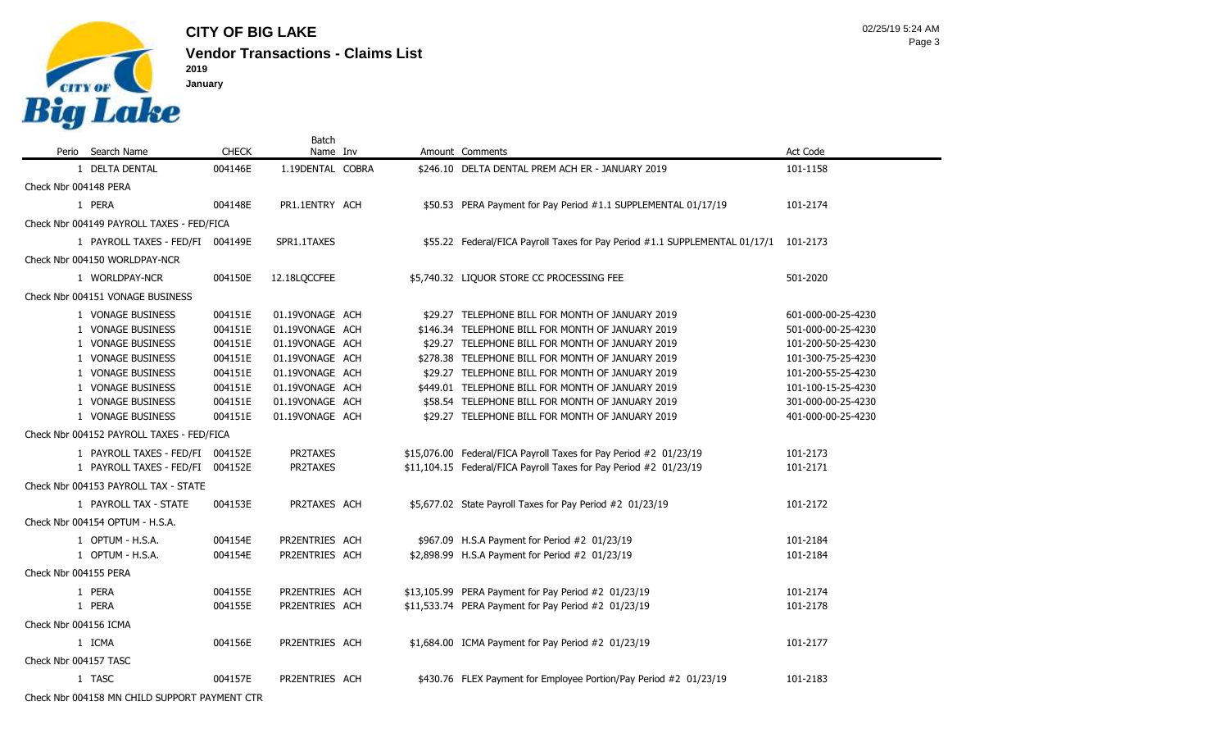

**January**

**Vendor Transactions - Claims List CITY OF BIG LAKE 2019**

|                       |                                           |              | <b>Batch</b>     |  |                                                                                      |                    |
|-----------------------|-------------------------------------------|--------------|------------------|--|--------------------------------------------------------------------------------------|--------------------|
|                       | Perio Search Name                         | <b>CHECK</b> | Name Inv         |  | Amount Comments                                                                      | Act Code           |
|                       | 1 DELTA DENTAL                            | 004146E      | 1.19DENTAL COBRA |  | \$246.10 DELTA DENTAL PREM ACH ER - JANUARY 2019                                     | 101-1158           |
| Check Nbr 004148 PERA |                                           |              |                  |  |                                                                                      |                    |
|                       | 1 PERA                                    | 004148E      | PR1.1ENTRY ACH   |  | \$50.53 PERA Payment for Pay Period #1.1 SUPPLEMENTAL 01/17/19                       | 101-2174           |
|                       | Check Nbr 004149 PAYROLL TAXES - FED/FICA |              |                  |  |                                                                                      |                    |
|                       | 1 PAYROLL TAXES - FED/FI 004149E          |              | SPR1.1TAXES      |  | \$55.22 Federal/FICA Payroll Taxes for Pay Period #1.1 SUPPLEMENTAL 01/17/1 101-2173 |                    |
|                       | Check Nbr 004150 WORLDPAY-NCR             |              |                  |  |                                                                                      |                    |
|                       | 1 WORLDPAY-NCR                            | 004150E      | 12.18LQCCFEE     |  | \$5,740.32 LIQUOR STORE CC PROCESSING FEE                                            | 501-2020           |
|                       | Check Nbr 004151 VONAGE BUSINESS          |              |                  |  |                                                                                      |                    |
|                       | 1 VONAGE BUSINESS                         | 004151E      | 01.19VONAGE ACH  |  | \$29.27 TELEPHONE BILL FOR MONTH OF JANUARY 2019                                     | 601-000-00-25-4230 |
|                       | 1 VONAGE BUSINESS                         | 004151E      | 01.19VONAGE ACH  |  | \$146.34 TELEPHONE BILL FOR MONTH OF JANUARY 2019                                    | 501-000-00-25-4230 |
|                       | 1 VONAGE BUSINESS                         | 004151E      | 01.19VONAGE ACH  |  | \$29.27 TELEPHONE BILL FOR MONTH OF JANUARY 2019                                     | 101-200-50-25-4230 |
|                       | 1 VONAGE BUSINESS                         | 004151E      | 01.19VONAGE ACH  |  | \$278.38 TELEPHONE BILL FOR MONTH OF JANUARY 2019                                    | 101-300-75-25-4230 |
|                       | 1 VONAGE BUSINESS                         | 004151E      | 01.19VONAGE ACH  |  | \$29.27 TELEPHONE BILL FOR MONTH OF JANUARY 2019                                     | 101-200-55-25-4230 |
|                       | 1 VONAGE BUSINESS                         | 004151E      | 01.19VONAGE ACH  |  | \$449.01 TELEPHONE BILL FOR MONTH OF JANUARY 2019                                    | 101-100-15-25-4230 |
|                       | 1 VONAGE BUSINESS                         | 004151E      | 01.19VONAGE ACH  |  | \$58.54 TELEPHONE BILL FOR MONTH OF JANUARY 2019                                     | 301-000-00-25-4230 |
|                       | 1 VONAGE BUSINESS                         | 004151E      | 01.19VONAGE ACH  |  | \$29.27 TELEPHONE BILL FOR MONTH OF JANUARY 2019                                     | 401-000-00-25-4230 |
|                       | Check Nbr 004152 PAYROLL TAXES - FED/FICA |              |                  |  |                                                                                      |                    |
|                       | 1 PAYROLL TAXES - FED/FI 004152E          |              | PR2TAXES         |  | \$15,076.00 Federal/FICA Payroll Taxes for Pay Period #2 01/23/19                    | 101-2173           |
|                       | 1 PAYROLL TAXES - FED/FI 004152E          |              | PR2TAXES         |  | \$11,104.15 Federal/FICA Payroll Taxes for Pay Period #2 01/23/19                    | 101-2171           |
|                       | Check Nbr 004153 PAYROLL TAX - STATE      |              |                  |  |                                                                                      |                    |
|                       | 1 PAYROLL TAX - STATE                     | 004153E      | PR2TAXES ACH     |  | \$5,677.02 State Payroll Taxes for Pay Period #2 01/23/19                            | 101-2172           |
|                       | Check Nbr 004154 OPTUM - H.S.A.           |              |                  |  |                                                                                      |                    |
|                       | 1 OPTUM - H.S.A.                          | 004154E      | PR2ENTRIES ACH   |  | \$967.09 H.S.A Payment for Period #2 01/23/19                                        | 101-2184           |
|                       | 1 OPTUM - H.S.A.                          | 004154E      | PR2ENTRIES ACH   |  | \$2,898.99 H.S.A Payment for Period #2 01/23/19                                      | 101-2184           |
| Check Nbr 004155 PERA |                                           |              |                  |  |                                                                                      |                    |
|                       | 1 PERA                                    | 004155E      | PR2ENTRIES ACH   |  | \$13,105.99 PERA Payment for Pay Period #2 01/23/19                                  | 101-2174           |
|                       | 1 PERA                                    | 004155E      | PR2ENTRIES ACH   |  | \$11,533.74 PERA Payment for Pay Period #2 01/23/19                                  | 101-2178           |
| Check Nbr 004156 ICMA |                                           |              |                  |  |                                                                                      |                    |
|                       | 1 ICMA                                    | 004156E      | PR2ENTRIES ACH   |  | \$1,684.00 ICMA Payment for Pay Period #2 01/23/19                                   | 101-2177           |
| Check Nbr 004157 TASC |                                           |              |                  |  |                                                                                      |                    |
|                       | 1 TASC                                    | 004157E      | PR2ENTRIES ACH   |  | \$430.76 FLEX Payment for Employee Portion/Pay Period #2 01/23/19                    | 101-2183           |

Check Nbr 004158 MN CHILD SUPPORT PAYMENT CTR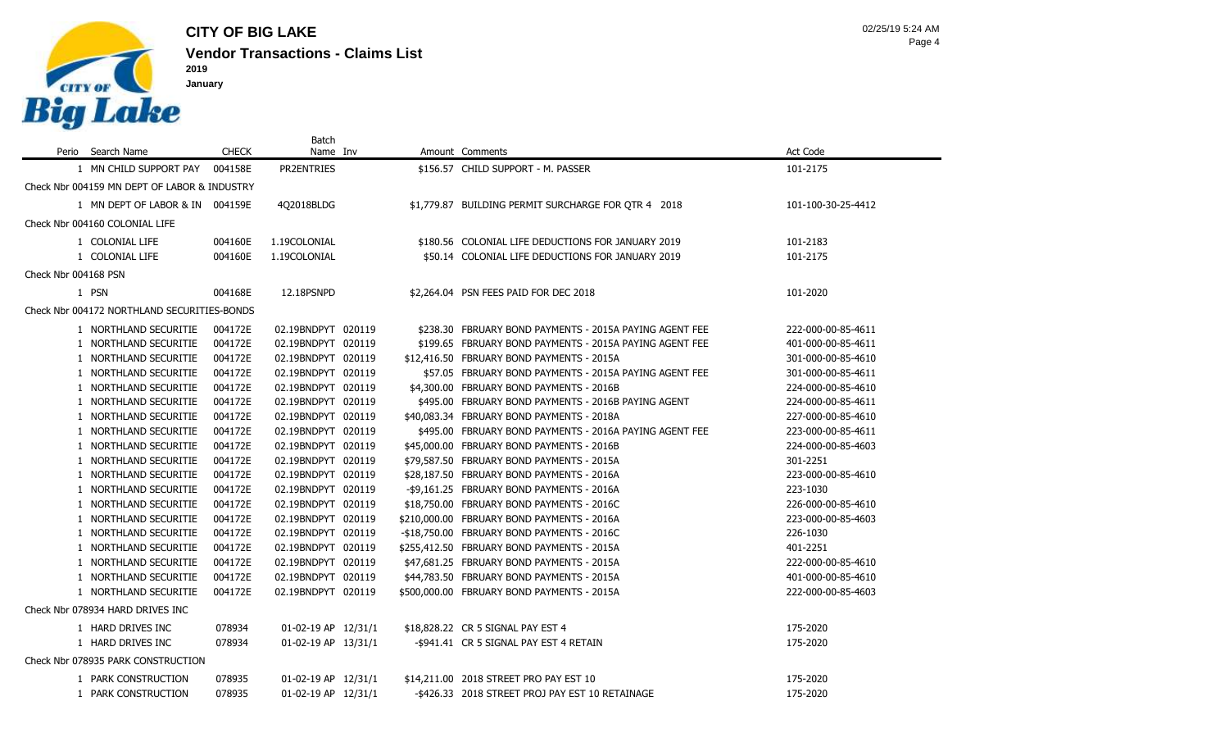

**CITY OF BIG LAKE January**

|                      |                                              |              | Batch               |  |                                                         |                    |
|----------------------|----------------------------------------------|--------------|---------------------|--|---------------------------------------------------------|--------------------|
|                      | Perio Search Name                            | <b>CHECK</b> | Name Inv            |  | Amount Comments                                         | <b>Act Code</b>    |
|                      | 1 MN CHILD SUPPORT PAY                       | 004158E      | PR2ENTRIES          |  | \$156.57 CHILD SUPPORT - M. PASSER                      | 101-2175           |
|                      | Check Nbr 004159 MN DEPT OF LABOR & INDUSTRY |              |                     |  |                                                         |                    |
|                      | 1 MN DEPT OF LABOR & IN 004159E              |              | 402018BLDG          |  | \$1,779.87 BUILDING PERMIT SURCHARGE FOR OTR 4 2018     | 101-100-30-25-4412 |
|                      | Check Nbr 004160 COLONIAL LIFE               |              |                     |  |                                                         |                    |
|                      | 1 COLONIAL LIFE                              | 004160E      | 1.19COLONIAL        |  | \$180.56 COLONIAL LIFE DEDUCTIONS FOR JANUARY 2019      | 101-2183           |
|                      | 1 COLONIAL LIFE                              | 004160E      | 1.19COLONIAL        |  | \$50.14 COLONIAL LIFE DEDUCTIONS FOR JANUARY 2019       | 101-2175           |
| Check Nbr 004168 PSN |                                              |              |                     |  |                                                         |                    |
|                      | 1 PSN                                        | 004168E      | 12.18PSNPD          |  | \$2,264.04 PSN FEES PAID FOR DEC 2018                   | 101-2020           |
|                      | Check Nbr 004172 NORTHLAND SECURITIES-BONDS  |              |                     |  |                                                         |                    |
|                      | 1 NORTHLAND SECURITIE                        | 004172E      | 02.19BNDPYT 020119  |  | \$238.30 FBRUARY BOND PAYMENTS - 2015A PAYING AGENT FEE | 222-000-00-85-4611 |
|                      | 1 NORTHLAND SECURITIE                        | 004172E      | 02.19BNDPYT 020119  |  | \$199.65 FBRUARY BOND PAYMENTS - 2015A PAYING AGENT FEE | 401-000-00-85-4611 |
|                      | 1 NORTHLAND SECURITIE                        | 004172E      | 02.19BNDPYT 020119  |  | \$12,416.50 FBRUARY BOND PAYMENTS - 2015A               | 301-000-00-85-4610 |
|                      | 1 NORTHLAND SECURITIE                        | 004172E      | 02.19BNDPYT 020119  |  | \$57.05 FBRUARY BOND PAYMENTS - 2015A PAYING AGENT FEE  | 301-000-00-85-4611 |
|                      | 1 NORTHLAND SECURITIE                        | 004172E      | 02.19BNDPYT 020119  |  | \$4,300.00 FBRUARY BOND PAYMENTS - 2016B                | 224-000-00-85-4610 |
|                      | 1 NORTHLAND SECURITIE                        | 004172E      | 02.19BNDPYT 020119  |  | \$495.00 FBRUARY BOND PAYMENTS - 2016B PAYING AGENT     | 224-000-00-85-4611 |
|                      | 1 NORTHLAND SECURITIE                        | 004172E      | 02.19BNDPYT 020119  |  | \$40,083.34 FBRUARY BOND PAYMENTS - 2018A               | 227-000-00-85-4610 |
|                      | 1 NORTHLAND SECURITIE                        | 004172E      | 02.19BNDPYT 020119  |  | \$495.00 FBRUARY BOND PAYMENTS - 2016A PAYING AGENT FEE | 223-000-00-85-4611 |
|                      | 1 NORTHLAND SECURITIE                        | 004172E      | 02.19BNDPYT 020119  |  | \$45,000.00 FBRUARY BOND PAYMENTS - 2016B               | 224-000-00-85-4603 |
|                      | 1 NORTHLAND SECURITIE                        | 004172E      | 02.19BNDPYT 020119  |  | \$79,587.50 FBRUARY BOND PAYMENTS - 2015A               | 301-2251           |
|                      | 1 NORTHLAND SECURITIE                        | 004172E      | 02.19BNDPYT 020119  |  | \$28,187.50 FBRUARY BOND PAYMENTS - 2016A               | 223-000-00-85-4610 |
|                      | 1 NORTHLAND SECURITIE                        | 004172E      | 02.19BNDPYT 020119  |  | -\$9,161.25 FBRUARY BOND PAYMENTS - 2016A               | 223-1030           |
|                      | 1 NORTHLAND SECURITIE                        | 004172E      | 02.19BNDPYT 020119  |  | \$18,750.00 FBRUARY BOND PAYMENTS - 2016C               | 226-000-00-85-4610 |
|                      | 1 NORTHLAND SECURITIE                        | 004172E      | 02.19BNDPYT 020119  |  | \$210,000.00 FBRUARY BOND PAYMENTS - 2016A              | 223-000-00-85-4603 |
|                      | 1 NORTHLAND SECURITIE                        | 004172E      | 02.19BNDPYT 020119  |  | -\$18,750.00 FBRUARY BOND PAYMENTS - 2016C              | 226-1030           |
|                      | 1 NORTHLAND SECURITIE                        | 004172E      | 02.19BNDPYT 020119  |  | \$255,412.50 FBRUARY BOND PAYMENTS - 2015A              | 401-2251           |
|                      | 1 NORTHLAND SECURITIE                        | 004172E      | 02.19BNDPYT 020119  |  | \$47,681.25 FBRUARY BOND PAYMENTS - 2015A               | 222-000-00-85-4610 |
|                      | 1 NORTHLAND SECURITIE                        | 004172E      | 02.19BNDPYT 020119  |  | \$44,783.50 FBRUARY BOND PAYMENTS - 2015A               | 401-000-00-85-4610 |
|                      | 1 NORTHLAND SECURITIE                        | 004172E      | 02.19BNDPYT 020119  |  | \$500,000.00 FBRUARY BOND PAYMENTS - 2015A              | 222-000-00-85-4603 |
|                      | Check Nbr 078934 HARD DRIVES INC             |              |                     |  |                                                         |                    |
|                      | 1 HARD DRIVES INC                            | 078934       | 01-02-19 AP 12/31/1 |  | \$18,828.22 CR 5 SIGNAL PAY EST 4                       | 175-2020           |
|                      | 1 HARD DRIVES INC                            | 078934       | 01-02-19 AP 13/31/1 |  | -\$941.41 CR 5 SIGNAL PAY EST 4 RETAIN                  | 175-2020           |
|                      | Check Nbr 078935 PARK CONSTRUCTION           |              |                     |  |                                                         |                    |
|                      | 1 PARK CONSTRUCTION                          | 078935       | 01-02-19 AP 12/31/1 |  | \$14,211,00 2018 STREET PRO PAY EST 10                  | 175-2020           |

PARK CONSTRUCTION 078935 01-02-19 AP 12/31/1 -\$426.33 2018 STREET PROJ PAY EST 10 RETAINAGE 175-2020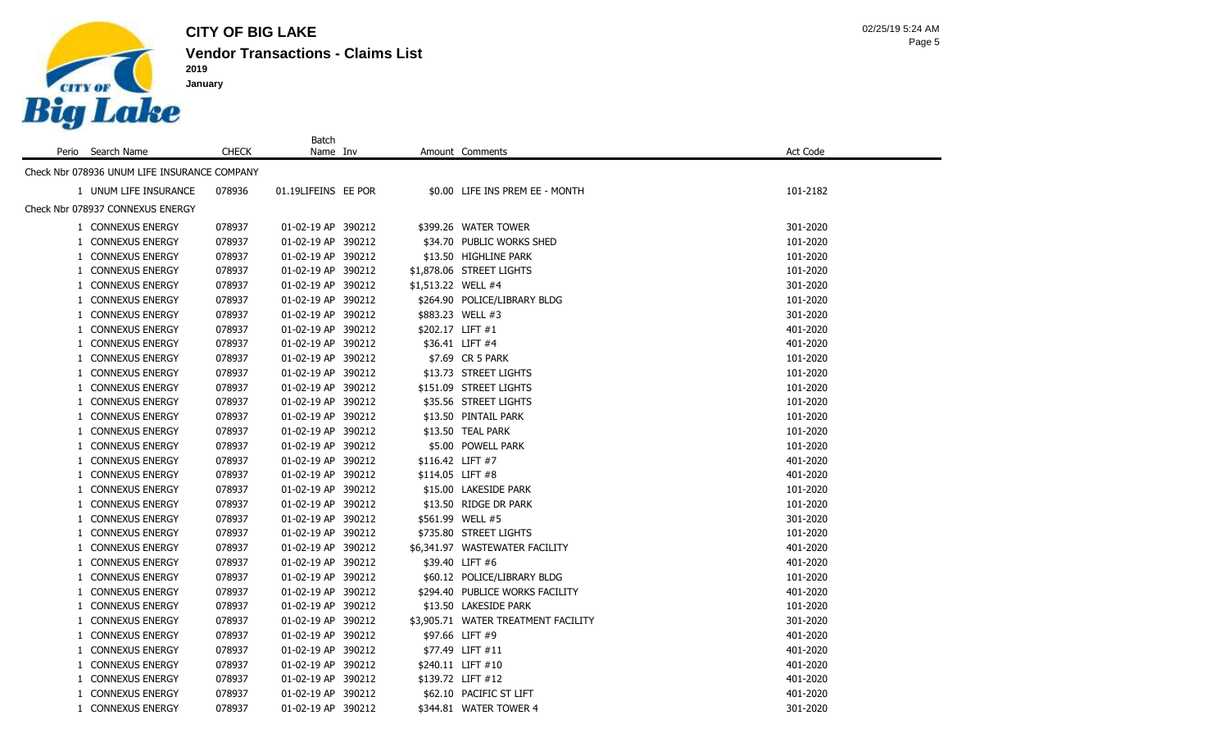

Batch

 **January**

| Perio Search Name                            | <b>CHECK</b> | Name Inv            |                    | Amount Comments                     | Act Code |
|----------------------------------------------|--------------|---------------------|--------------------|-------------------------------------|----------|
| Check Nbr 078936 UNUM LIFE INSURANCE COMPANY |              |                     |                    |                                     |          |
| 1 UNUM LIFE INSURANCE                        | 078936       | 01.19LIFEINS EE POR |                    | \$0.00 LIFE INS PREM EE - MONTH     | 101-2182 |
| Check Nbr 078937 CONNEXUS ENERGY             |              |                     |                    |                                     |          |
| 1 CONNEXUS ENERGY                            | 078937       | 01-02-19 AP 390212  |                    | \$399.26 WATER TOWER                | 301-2020 |
| 1 CONNEXUS ENERGY                            | 078937       | 01-02-19 AP 390212  |                    | \$34.70 PUBLIC WORKS SHED           | 101-2020 |
| 1 CONNEXUS ENERGY                            | 078937       | 01-02-19 AP 390212  |                    | \$13.50 HIGHLINE PARK               | 101-2020 |
| 1 CONNEXUS ENERGY                            | 078937       | 01-02-19 AP 390212  |                    | \$1,878.06 STREET LIGHTS            | 101-2020 |
| 1 CONNEXUS ENERGY                            | 078937       | 01-02-19 AP 390212  | \$1,513.22 WELL #4 |                                     | 301-2020 |
| 1 CONNEXUS ENERGY                            | 078937       | 01-02-19 AP 390212  |                    | \$264.90 POLICE/LIBRARY BLDG        | 101-2020 |
| 1 CONNEXUS ENERGY                            | 078937       | 01-02-19 AP 390212  |                    | \$883.23 WELL #3                    | 301-2020 |
| 1 CONNEXUS ENERGY                            | 078937       | 01-02-19 AP 390212  | \$202.17 LIFT #1   |                                     | 401-2020 |
| 1 CONNEXUS ENERGY                            | 078937       | 01-02-19 AP 390212  |                    | \$36.41 LIFT #4                     | 401-2020 |
| 1 CONNEXUS ENERGY                            | 078937       | 01-02-19 AP 390212  |                    | \$7.69 CR 5 PARK                    | 101-2020 |
| 1 CONNEXUS ENERGY                            | 078937       | 01-02-19 AP 390212  |                    | \$13.73 STREET LIGHTS               | 101-2020 |
| 1 CONNEXUS ENERGY                            | 078937       | 01-02-19 AP 390212  |                    | \$151.09 STREET LIGHTS              | 101-2020 |
| 1 CONNEXUS ENERGY                            | 078937       | 01-02-19 AP 390212  |                    | \$35.56 STREET LIGHTS               | 101-2020 |
| 1 CONNEXUS ENERGY                            | 078937       | 01-02-19 AP 390212  |                    | \$13.50 PINTAIL PARK                | 101-2020 |
| 1 CONNEXUS ENERGY                            | 078937       | 01-02-19 AP 390212  |                    | \$13.50 TEAL PARK                   | 101-2020 |
| 1 CONNEXUS ENERGY                            | 078937       | 01-02-19 AP 390212  |                    | \$5.00 POWELL PARK                  | 101-2020 |
| 1 CONNEXUS ENERGY                            | 078937       | 01-02-19 AP 390212  | \$116.42 LIFT #7   |                                     | 401-2020 |
| 1 CONNEXUS ENERGY                            | 078937       | 01-02-19 AP 390212  | \$114.05 LIFT #8   |                                     | 401-2020 |
| 1 CONNEXUS ENERGY                            | 078937       | 01-02-19 AP 390212  |                    | \$15.00 LAKESIDE PARK               | 101-2020 |
| 1 CONNEXUS ENERGY                            | 078937       | 01-02-19 AP 390212  |                    | \$13.50 RIDGE DR PARK               | 101-2020 |
| 1 CONNEXUS ENERGY                            | 078937       | 01-02-19 AP 390212  |                    | \$561.99 WELL #5                    | 301-2020 |
| 1 CONNEXUS ENERGY                            | 078937       | 01-02-19 AP 390212  |                    | \$735.80 STREET LIGHTS              | 101-2020 |
| 1 CONNEXUS ENERGY                            | 078937       | 01-02-19 AP 390212  |                    | \$6,341.97 WASTEWATER FACILITY      | 401-2020 |
| 1 CONNEXUS ENERGY                            | 078937       | 01-02-19 AP 390212  |                    | \$39.40 LIFT #6                     | 401-2020 |
| 1 CONNEXUS ENERGY                            | 078937       | 01-02-19 AP 390212  |                    | \$60.12 POLICE/LIBRARY BLDG         | 101-2020 |
| 1 CONNEXUS ENERGY                            | 078937       | 01-02-19 AP 390212  |                    | \$294.40 PUBLICE WORKS FACILITY     | 401-2020 |
| 1 CONNEXUS ENERGY                            | 078937       | 01-02-19 AP 390212  |                    | \$13.50 LAKESIDE PARK               | 101-2020 |
| 1 CONNEXUS ENERGY                            | 078937       | 01-02-19 AP 390212  |                    | \$3,905.71 WATER TREATMENT FACILITY | 301-2020 |
| 1 CONNEXUS ENERGY                            | 078937       | 01-02-19 AP 390212  |                    | \$97.66 LIFT #9                     | 401-2020 |
| 1 CONNEXUS ENERGY                            | 078937       | 01-02-19 AP 390212  |                    | \$77.49 LIFT #11                    | 401-2020 |
| 1 CONNEXUS ENERGY                            | 078937       | 01-02-19 AP 390212  |                    | \$240.11 LIFT #10                   | 401-2020 |
| 1 CONNEXUS ENERGY                            | 078937       | 01-02-19 AP 390212  |                    | \$139.72 LIFT #12                   | 401-2020 |
| 1 CONNEXUS ENERGY                            | 078937       | 01-02-19 AP 390212  |                    | \$62.10 PACIFIC ST LIFT             | 401-2020 |
| 1 CONNEXUS ENERGY                            | 078937       | 01-02-19 AP 390212  |                    | \$344.81 WATER TOWER 4              | 301-2020 |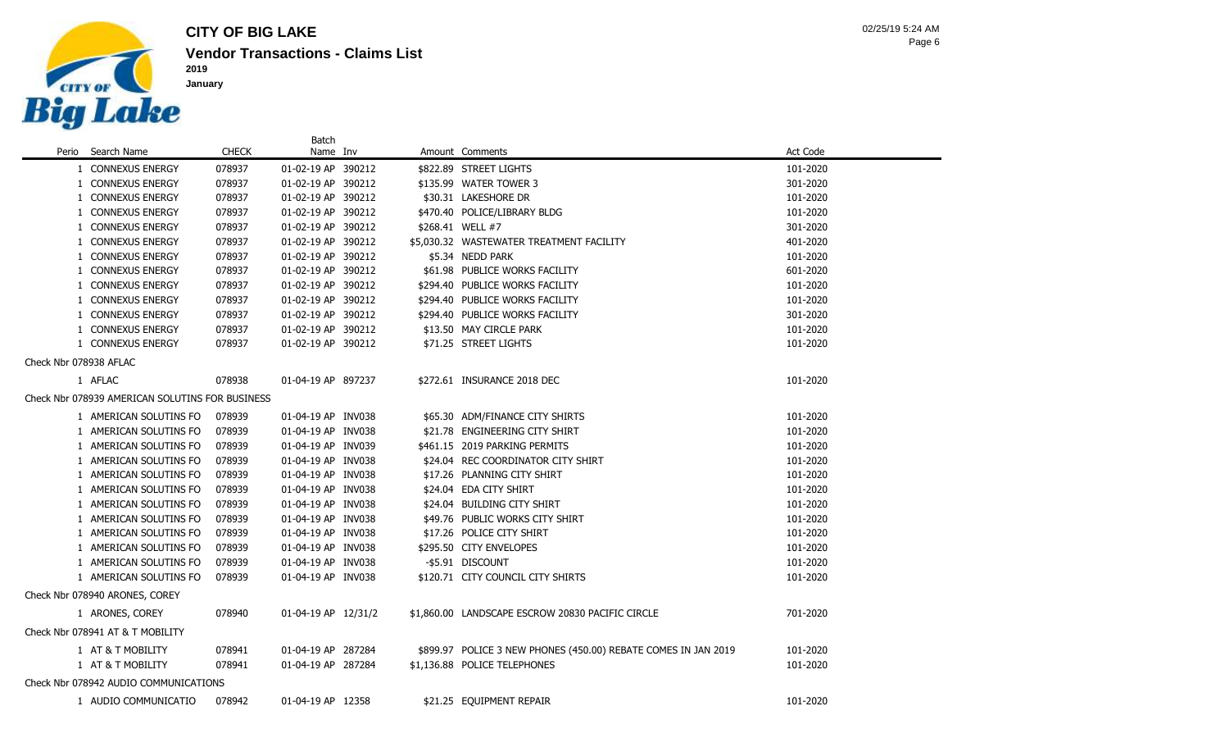

Batch

**January**

Perio Search Name CHECK Name Inv Amount Comments Act Code CONNEXUS ENERGY 078937 01-02-19 AP 390212 \$822.89 STREET LIGHTS 101-2020 CONNEXUS ENERGY 078937 01-02-19 AP 390212 \$135.99 WATER TOWER 3 301-2020 CONNEXUS ENERGY 078937 01-02-19 AP 390212 \$30.31 LAKESHORE DR 101-2020 CONNEXUS ENERGY 078937 01-02-19 AP 390212 \$470.40 POLICE/LIBRARY BLDG 101-2020 CONNEXUS ENERGY 078937 01-02-19 AP 390212 \$268.41 WELL #7 301-2020 CONNEXUS ENERGY 078937 01-02-19 AP 390212 \$5,030.32 WASTEWATER TREATMENT FACILITY 401-2020 CONNEXUS ENERGY 078937 01-02-19 AP 390212 \$5.34 NEDD PARK 101-2020 CONNEXUS ENERGY 078937 01-02-19 AP 390212 \$61.98 PUBLICE WORKS FACILITY 601-2020 CONNEXUS ENERGY 078937 01-02-19 AP 390212 \$294.40 PUBLICE WORKS FACILITY 101-2020 CONNEXUS ENERGY 078937 01-02-19 AP 390212 \$294.40 PUBLICE WORKS FACILITY 101-2020 CONNEXUS ENERGY 078937 01-02-19 AP 390212 \$294.40 PUBLICE WORKS FACILITY 301-2020 CONNEXUS ENERGY 078937 01-02-19 AP 390212 \$13.50 MAY CIRCLE PARK 101-2020 CONNEXUS ENERGY 078937 01-02-19 AP 390212 \$71.25 STREET LIGHTS 101-2020 Check Nbr 078938 AFLAC AFLAC 078938 01-04-19 AP 897237 \$272.61 INSURANCE 2018 DEC 101-2020 Check Nbr 078939 AMERICAN SOLUTINS FOR BUSINESS AMERICAN SOLUTINS FO 078939 01-04-19 AP INV038 \$65.30 ADM/FINANCE CITY SHIRTS 101-2020 AMERICAN SOLUTINS FO 078939 01-04-19 AP INV038 \$21.78 ENGINEERING CITY SHIRT 101-2020 AMERICAN SOLUTINS FO 078939 01-04-19 AP INV039 \$461.15 2019 PARKING PERMITS 101-2020 AMERICAN SOLUTINS FO 078939 01-04-19 AP INV038 \$24.04 REC COORDINATOR CITY SHIRT 101-2020 AMERICAN SOLUTINS FO 078939 01-04-19 AP INV038 \$17.26 PLANNING CITY SHIRT 101-2020 AMERICAN SOLUTINS FO 078939 01-04-19 AP INV038 \$24.04 EDA CITY SHIRT 101-2020 AMERICAN SOLUTINS FO 078939 01-04-19 AP INV038 \$24.04 BUILDING CITY SHIRT 101-2020 AMERICAN SOLUTINS FO 078939 01-04-19 AP INV038 \$49.76 PUBLIC WORKS CITY SHIRT 101-2020 AMERICAN SOLUTINS FO 078939 01-04-19 AP INV038 \$17.26 POLICE CITY SHIRT 101-2020 AMERICAN SOLUTINS FO 078939 01-04-19 AP INV038 \$295.50 CITY ENVELOPES 101-2020 1 AMERICAN SOLUTINS FO 078939 01-04-19 AP INV038 -\$5.91 DISCOUNT 101-2020 101-2020 AMERICAN SOLUTINS FO 078939 01-04-19 AP INV038 \$120.71 CITY COUNCIL CITY SHIRTS 101-2020 Check Nbr 078940 ARONES, COREY ARONES, COREY 078940 01-04-19 AP 12/31/2 \$1,860.00 LANDSCAPE ESCROW 20830 PACIFIC CIRCLE 701-2020 Check Nbr 078941 AT & T MOBILITY AT & T MOBILITY 078941 01-04-19 AP 287284 \$899.97 POLICE 3 NEW PHONES (450.00) REBATE COMES IN JAN 2019 101-2020 AT & T MOBILITY 078941 01-04-19 AP 287284 \$1,136.88 POLICE TELEPHONES 101-2020

Check Nbr 078942 AUDIO COMMUNICATIONS

- AUDIO COMMUNICATIO 078942 01-04-19 AP 12358 \$21.25 EQUIPMENT REPAIR 101-2020
	-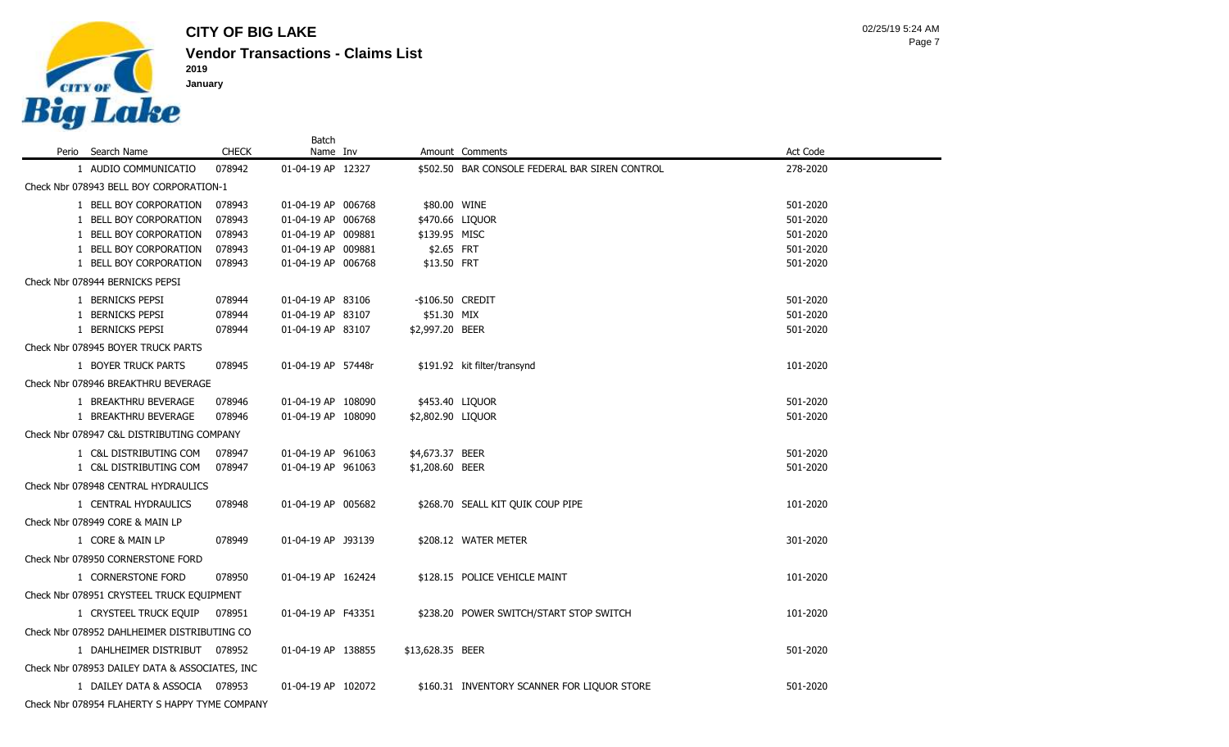

**CITY OF BIG LAKE 2019**

**January**

Perio Search Name CHECK Batch<br>Name Inv Amount Comments **Act Code** 1 AUDIO COMMUNICATIO 078942 01-04-19 AP 12327 \$502.50 BAR CONSOLE FEDERAL BAR SIREN CONTROL 278-2020 Check Nbr 078943 BELL BOY CORPORATION-1 1 BELL BOY CORPORATION 078943 01-04-19 AP 006768 \$80.00 WINE 501-2020 1 BELL BOY CORPORATION 078943 01-04-19 AP 006768 \$470.66 LIQUOR 501-2020 1 BELL BOY CORPORATION 078943 01-04-19 AP 009881 \$139.95 MISC 501-2020 1 BELL BOY CORPORATION 078943 01-04-19 AP 009881 \$2.65 FRT 501-2020 \$2.65 FRT 1 BELL BOY CORPORATION 078943 01-04-19 AP 006768 \$13.50 FRT \$13.50 FRT Check Nbr 078944 BERNICKS PEPSI 1 BERNICKS PEPSI 078944 01-04-19 AP 83106 -\$106.50 CREDIT 501-2020 1 BERNICKS PEPSI 078944 01-04-19 AP 83107 \$51.30 MIX 501-2020 501-2020 1 BERNICKS PEPSI 078944 01-04-19 AP 83107 \$2,997.20 BEER 501-2020 Check Nbr 078945 BOYER TRUCK PARTS 1 BOYER TRUCK PARTS 078945 01-04-19 AP 57448r \$191.92 kit filter/transynd 101-2020 Check Nbr 078946 BREAKTHRU BEVERAGE 1 BREAKTHRU BEVERAGE 078946 01-04-19 AP 108090 \$453.40 LIQUOR 501-2020 1 BREAKTHRU BEVERAGE 078946 01-04-19 AP 108090 \$2,802.90 LIQUOR 501-2020 Check Nbr 078947 C&L DISTRIBUTING COMPANY 1 C&L DISTRIBUTING COM 078947 01-04-19 AP 961063 \$4,673.37 BEER 501-2020 1 C&L DISTRIBUTING COM 078947 01-04-19 AP 961063 \$1,208.60 BEER 501-2020 501-2020 Check Nbr 078948 CENTRAL HYDRAULICS 1 CENTRAL HYDRAULICS 078948 01-04-19 AP 005682 \$268.70 SEALL KIT QUIK COUP PIPE 101-2020 Check Nbr 078949 CORE & MAIN LP 1 CORE & MAIN LP 078949 01-04-19 AP J93139 \$208.12 WATER METER 301-2020 Check Nbr 078950 CORNERSTONE FORD 1 CORNERSTONE FORD 078950 01-04-19 AP 162424 \$128.15 POLICE VEHICLE MAINT 101-2020 Check Nbr 078951 CRYSTEEL TRUCK EQUIPMENT 1 CRYSTEEL TRUCK EQUIP 078951 01-04-19 AP F43351 \$238.20 POWER SWITCH/START STOP SWITCH 101-2020 Check Nbr 078952 DAHLHEIMER DISTRIBUTING CO 1 DAHLHEIMER DISTRIBUT 078952 01-04-19 AP 138855 \$13,628.35 BEER 501-2020 Check Nbr 078953 DAILEY DATA & ASSOCIATES, INC

1 DAILEY DATA & ASSOCIA 078953 01-04-19 AP 102072 \$160.31 INVENTORY SCANNER FOR LIQUOR STORE 501-2020 Check Nbr 078954 FLAHERTY S HAPPY TYME COMPANY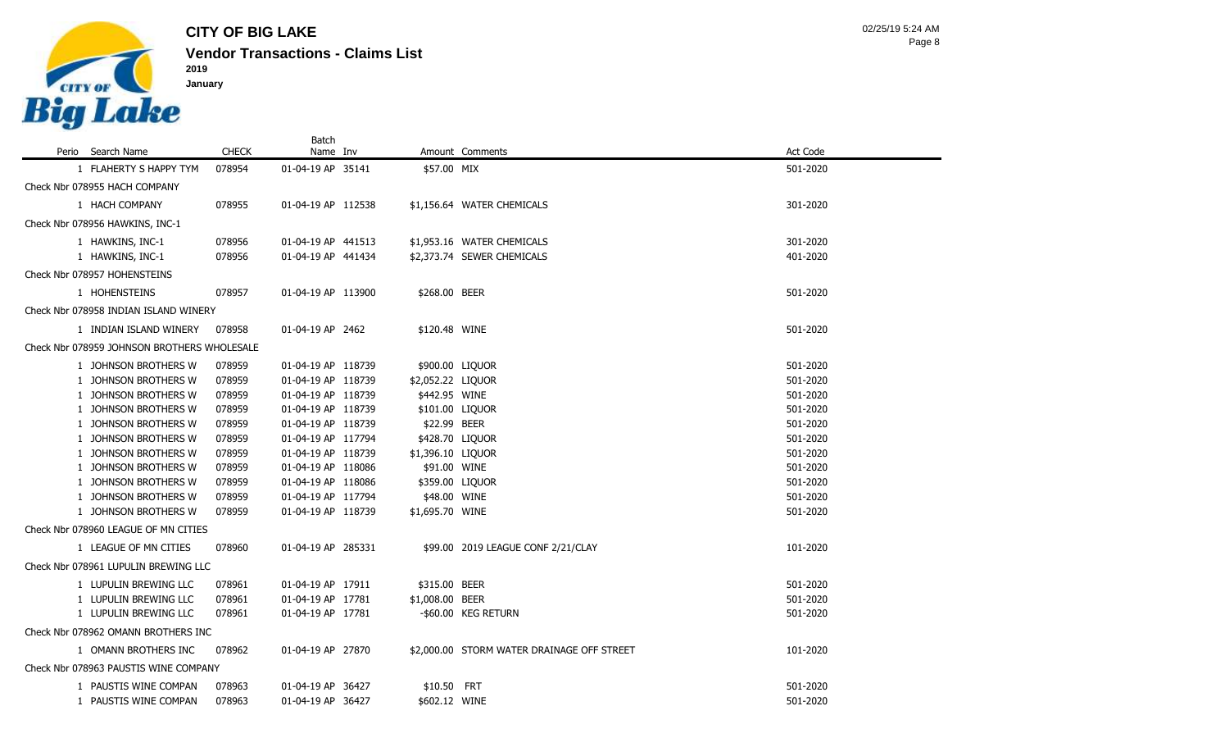

|                                             |              | Batch              |                   |                                            |          |
|---------------------------------------------|--------------|--------------------|-------------------|--------------------------------------------|----------|
| Perio Search Name                           | <b>CHECK</b> | Name Inv           |                   | Amount Comments                            | Act Code |
| 1 FLAHERTY S HAPPY TYM                      | 078954       | 01-04-19 AP 35141  | \$57.00 MIX       |                                            | 501-2020 |
| Check Nbr 078955 HACH COMPANY               |              |                    |                   |                                            |          |
| 1 HACH COMPANY                              | 078955       | 01-04-19 AP 112538 |                   | \$1,156.64 WATER CHEMICALS                 | 301-2020 |
| Check Nbr 078956 HAWKINS, INC-1             |              |                    |                   |                                            |          |
|                                             |              |                    |                   |                                            |          |
| 1 HAWKINS, INC-1                            | 078956       | 01-04-19 AP 441513 |                   | \$1,953.16 WATER CHEMICALS                 | 301-2020 |
| 1 HAWKINS, INC-1                            | 078956       | 01-04-19 AP 441434 |                   | \$2,373.74 SEWER CHEMICALS                 | 401-2020 |
| Check Nbr 078957 HOHENSTEINS                |              |                    |                   |                                            |          |
| 1 HOHENSTEINS                               | 078957       | 01-04-19 AP 113900 | \$268.00 BEER     |                                            | 501-2020 |
| Check Nbr 078958 INDIAN ISLAND WINERY       |              |                    |                   |                                            |          |
| 1 INDIAN ISLAND WINERY                      | 078958       | 01-04-19 AP 2462   | \$120.48 WINE     |                                            | 501-2020 |
| Check Nbr 078959 JOHNSON BROTHERS WHOLESALE |              |                    |                   |                                            |          |
| 1 JOHNSON BROTHERS W                        | 078959       | 01-04-19 AP 118739 | \$900.00 LIQUOR   |                                            | 501-2020 |
| 1 JOHNSON BROTHERS W                        | 078959       | 01-04-19 AP 118739 | \$2,052.22 LIQUOR |                                            | 501-2020 |
| 1 JOHNSON BROTHERS W                        | 078959       | 01-04-19 AP 118739 | \$442.95 WINE     |                                            | 501-2020 |
| 1 JOHNSON BROTHERS W                        | 078959       | 01-04-19 AP 118739 | \$101.00 LIQUOR   |                                            | 501-2020 |
| 1 JOHNSON BROTHERS W                        | 078959       | 01-04-19 AP 118739 | \$22.99 BEER      |                                            | 501-2020 |
| 1 JOHNSON BROTHERS W                        | 078959       | 01-04-19 AP 117794 | \$428.70 LIQUOR   |                                            | 501-2020 |
| 1 JOHNSON BROTHERS W                        | 078959       | 01-04-19 AP 118739 | \$1,396.10 LIQUOR |                                            | 501-2020 |
| 1 JOHNSON BROTHERS W                        | 078959       | 01-04-19 AP 118086 | \$91.00 WINE      |                                            | 501-2020 |
| 1 JOHNSON BROTHERS W                        | 078959       | 01-04-19 AP 118086 | \$359.00 LIQUOR   |                                            | 501-2020 |
| 1 JOHNSON BROTHERS W                        | 078959       | 01-04-19 AP 117794 | \$48.00 WINE      |                                            | 501-2020 |
| 1 JOHNSON BROTHERS W                        | 078959       | 01-04-19 AP 118739 | \$1,695.70 WINE   |                                            | 501-2020 |
| Check Nbr 078960 LEAGUE OF MN CITIES        |              |                    |                   |                                            |          |
| 1 LEAGUE OF MN CITIES                       | 078960       | 01-04-19 AP 285331 |                   | \$99.00 2019 LEAGUE CONF 2/21/CLAY         | 101-2020 |
| Check Nbr 078961 LUPULIN BREWING LLC        |              |                    |                   |                                            |          |
| 1 LUPULIN BREWING LLC                       | 078961       | 01-04-19 AP 17911  | \$315.00 BEER     |                                            | 501-2020 |
| 1 LUPULIN BREWING LLC                       | 078961       | 01-04-19 AP 17781  | \$1,008.00 BEER   |                                            | 501-2020 |
| 1 LUPULIN BREWING LLC                       | 078961       | 01-04-19 AP 17781  |                   | -\$60.00 KEG RETURN                        | 501-2020 |
| Check Nbr 078962 OMANN BROTHERS INC         |              |                    |                   |                                            |          |
| 1 OMANN BROTHERS INC                        | 078962       | 01-04-19 AP 27870  |                   | \$2,000.00 STORM WATER DRAINAGE OFF STREET | 101-2020 |
| Check Nbr 078963 PAUSTIS WINE COMPANY       |              |                    |                   |                                            |          |
| 1 PAUSTIS WINE COMPAN                       | 078963       | 01-04-19 AP 36427  | \$10.50 FRT       |                                            | 501-2020 |
| 1 PAUSTIS WINE COMPAN                       | 078963       | 01-04-19 AP 36427  | \$602.12 WINE     |                                            | 501-2020 |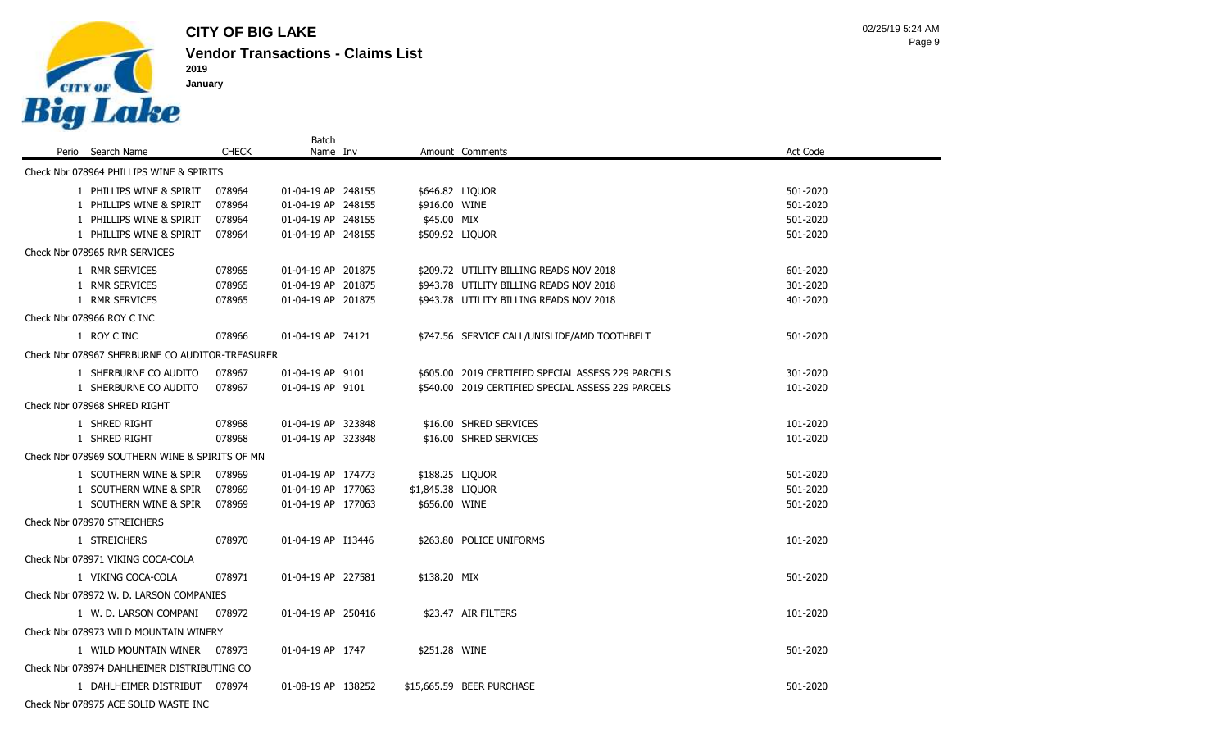

**CITY OF BIG LAKE 2019**

**January**

Perio Search Name **CHECK** Batch<br>Name Inv Amount Comments **Act Code** Check Nbr 078964 PHILLIPS WINE & SPIRITS 1 PHILLIPS WINE & SPIRIT 078964 01-04-19 AP 248155 \$646.82 LIQUOR \$646.92 SSP 301-2020 1 PHILLIPS WINE & SPIRIT 078964 01-04-19 AP 248155 \$916.00 WINE 501-2020 1 PHILLIPS WINE & SPIRIT 078964 01-04-19 AP 248155 \$45.00 MIX \$45.00 MIX 1 PHILLIPS WINE & SPIRIT 078964 01-04-19 AP 248155 \$509.92 LIQUOR 501-2020 Check Nbr 078965 RMR SERVICES 1 RMR SERVICES 078965 01-04-19 AP 201875 \$209.72 UTILITY BILLING READS NOV 2018 601-2020 1 RMR SERVICES 078965 01-04-19 AP 201875 \$943.78 UTILITY BILLING READS NOV 2018 301-2020 1 RMR SERVICES 078965 01-04-19 AP 201875 \$943.78 UTILITY BILLING READS NOV 2018 401-2020 Check Nbr 078966 ROY C INC 1 ROY C INC 078966 01-04-19 AP 74121 \$747.56 SERVICE CALL/UNISLIDE/AMD TOOTHBELT 501-2020 Check Nbr 078967 SHERBURNE CO AUDITOR-TREASURER 1 SHERBURNE CO AUDITO 078967 01-04-19 AP 9101 \$605.00 2019 CERTIFIED SPECIAL ASSESS 229 PARCELS 301-2020 1 SHERBURNE CO AUDITO 078967 01-04-19 AP 9101 \$540.00 2019 CERTIFIED SPECIAL ASSESS 229 PARCELS 101-2020 Check Nbr 078968 SHRED RIGHT 1 SHRED RIGHT 078968 01-04-19 AP 323848 \$16.00 SHRED SERVICES 101-2020 1 SHRED RIGHT 078968 01-04-19 AP 323848 \$16.00 SHRED SERVICES 101-2020 Check Nbr 078969 SOUTHERN WINE & SPIRITS OF MN 1 SOUTHERN WINE & SPIR 078969 01-04-19 AP 174773 \$188.25 LIQUOR \$189.25 LIQUOR 1 SOUTHERN WINE & SPIR 078969 01-04-19 AP 177063 \$1,845.38 LIQUOR 501-2020 1 SOUTHERN WINE & SPIR 078969 01-04-19 AP 177063 \$656.00 WINE 501-2020 Check Nbr 078970 STREICHERS 1 STREICHERS 078970 01-04-19 AP I13446 \$263.80 POLICE UNIFORMS 101-2020 Check Nbr 078971 VIKING COCA-COLA 1 VIKING COCA-COLA 078971 01-04-19 AP 227581 \$138.20 MIX 501-2020 501-2020 Check Nbr 078972 W. D. LARSON COMPANIES 1 W. D. LARSON COMPANI 078972 01-04-19 AP 250416 \$23.47 AIR FILTERS 101-2020 Check Nbr 078973 WILD MOUNTAIN WINERY 1 WILD MOUNTAIN WINER 078973 01-04-19 AP 1747 \$251.28 WINE \$251.29 AP \$251.28 WINE Check Nbr 078974 DAHLHEIMER DISTRIBUTING CO

1 DAHLHEIMER DISTRIBUT 078974 01-08-19 AP 138252 \$15,665.59 BEER PURCHASE 501-2020 Check Nbr 078975 ACE SOLID WASTE INC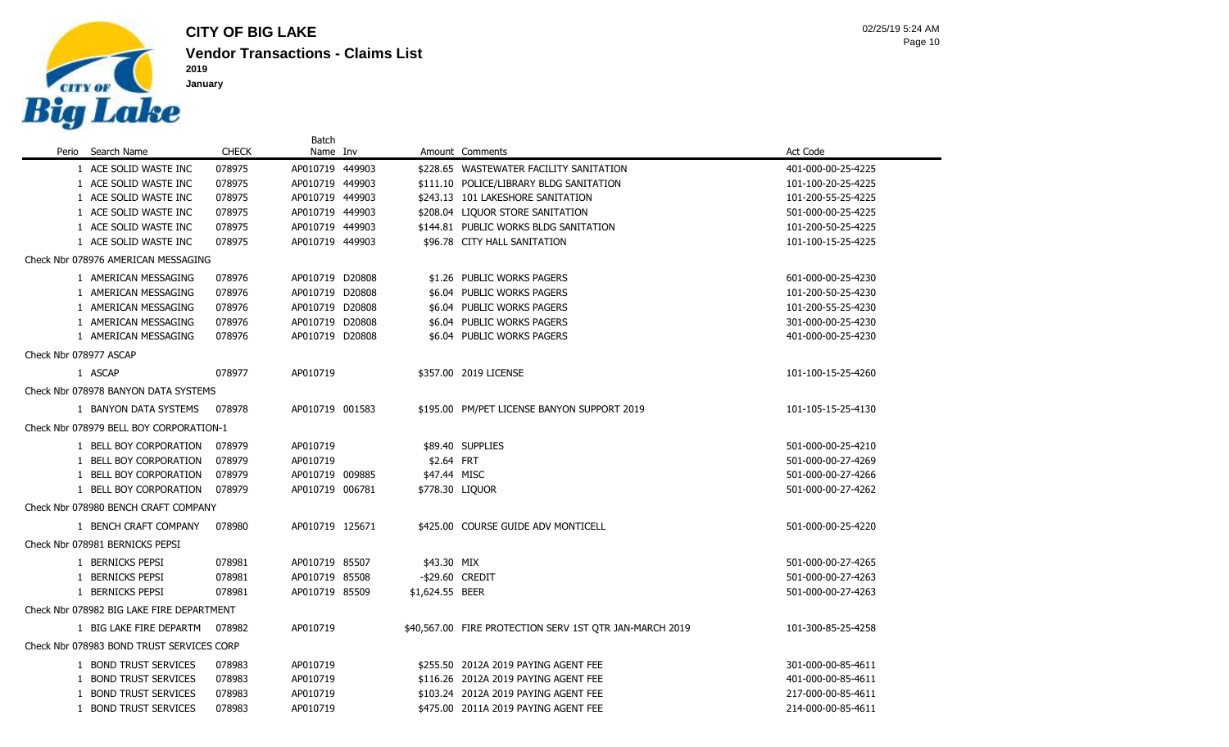

Page 10 02/25/19 5:24 AM

| Perio Search Name<br><b>CHECK</b><br>Name Inv<br>Act Code<br>Amount Comments<br>1 ACE SOLID WASTE INC<br>078975<br>AP010719 449903<br>\$228.65 WASTEWATER FACILITY SANITATION<br>401-000-00-25-4225<br>078975<br>AP010719 449903<br>1 ACE SOLID WASTE INC<br>\$111.10 POLICE/LIBRARY BLDG SANITATION<br>101-100-20-25-4225<br>1 ACE SOLID WASTE INC<br>078975<br>AP010719 449903<br>\$243.13 101 LAKESHORE SANITATION<br>101-200-55-25-4225<br>078975<br>AP010719 449903<br>1 ACE SOLID WASTE INC<br>\$208.04 LIQUOR STORE SANITATION<br>501-000-00-25-4225<br>1 ACE SOLID WASTE INC<br>078975<br>AP010719 449903<br>\$144.81 PUBLIC WORKS BLDG SANITATION<br>101-200-50-25-4225<br>AP010719 449903<br>1 ACE SOLID WASTE INC<br>078975<br>\$96.78 CITY HALL SANITATION<br>101-100-15-25-4225<br>Check Nbr 078976 AMERICAN MESSAGING<br>1 AMERICAN MESSAGING<br>078976<br>AP010719 D20808<br>\$1.26 PUBLIC WORKS PAGERS<br>601-000-00-25-4230<br>078976<br>AP010719 D20808<br>\$6.04 PUBLIC WORKS PAGERS<br>101-200-50-25-4230<br>1 AMERICAN MESSAGING<br>1 AMERICAN MESSAGING<br>078976<br>AP010719 D20808<br>\$6.04 PUBLIC WORKS PAGERS<br>101-200-55-25-4230<br>AP010719 D20808<br>\$6.04 PUBLIC WORKS PAGERS<br>1 AMERICAN MESSAGING<br>078976<br>301-000-00-25-4230<br>1 AMERICAN MESSAGING<br>078976<br>AP010719 D20808<br>\$6.04 PUBLIC WORKS PAGERS<br>401-000-00-25-4230<br>Check Nbr 078977 ASCAP<br>1 ASCAP<br>078977<br>AP010719<br>\$357.00 2019 LICENSE<br>101-100-15-25-4260<br>Check Nbr 078978 BANYON DATA SYSTEMS<br>1 BANYON DATA SYSTEMS<br>078978<br>AP010719 001583<br>\$195.00 PM/PET LICENSE BANYON SUPPORT 2019<br>101-105-15-25-4130<br>Check Nbr 078979 BELL BOY CORPORATION-1 |  | <b>Batch</b> |  |  |
|----------------------------------------------------------------------------------------------------------------------------------------------------------------------------------------------------------------------------------------------------------------------------------------------------------------------------------------------------------------------------------------------------------------------------------------------------------------------------------------------------------------------------------------------------------------------------------------------------------------------------------------------------------------------------------------------------------------------------------------------------------------------------------------------------------------------------------------------------------------------------------------------------------------------------------------------------------------------------------------------------------------------------------------------------------------------------------------------------------------------------------------------------------------------------------------------------------------------------------------------------------------------------------------------------------------------------------------------------------------------------------------------------------------------------------------------------------------------------------------------------------------------------------------------------------------------------------------------------------------------------------------------------------------------------------------------------------|--|--------------|--|--|
|                                                                                                                                                                                                                                                                                                                                                                                                                                                                                                                                                                                                                                                                                                                                                                                                                                                                                                                                                                                                                                                                                                                                                                                                                                                                                                                                                                                                                                                                                                                                                                                                                                                                                                          |  |              |  |  |
|                                                                                                                                                                                                                                                                                                                                                                                                                                                                                                                                                                                                                                                                                                                                                                                                                                                                                                                                                                                                                                                                                                                                                                                                                                                                                                                                                                                                                                                                                                                                                                                                                                                                                                          |  |              |  |  |
|                                                                                                                                                                                                                                                                                                                                                                                                                                                                                                                                                                                                                                                                                                                                                                                                                                                                                                                                                                                                                                                                                                                                                                                                                                                                                                                                                                                                                                                                                                                                                                                                                                                                                                          |  |              |  |  |
|                                                                                                                                                                                                                                                                                                                                                                                                                                                                                                                                                                                                                                                                                                                                                                                                                                                                                                                                                                                                                                                                                                                                                                                                                                                                                                                                                                                                                                                                                                                                                                                                                                                                                                          |  |              |  |  |
|                                                                                                                                                                                                                                                                                                                                                                                                                                                                                                                                                                                                                                                                                                                                                                                                                                                                                                                                                                                                                                                                                                                                                                                                                                                                                                                                                                                                                                                                                                                                                                                                                                                                                                          |  |              |  |  |
|                                                                                                                                                                                                                                                                                                                                                                                                                                                                                                                                                                                                                                                                                                                                                                                                                                                                                                                                                                                                                                                                                                                                                                                                                                                                                                                                                                                                                                                                                                                                                                                                                                                                                                          |  |              |  |  |
|                                                                                                                                                                                                                                                                                                                                                                                                                                                                                                                                                                                                                                                                                                                                                                                                                                                                                                                                                                                                                                                                                                                                                                                                                                                                                                                                                                                                                                                                                                                                                                                                                                                                                                          |  |              |  |  |
|                                                                                                                                                                                                                                                                                                                                                                                                                                                                                                                                                                                                                                                                                                                                                                                                                                                                                                                                                                                                                                                                                                                                                                                                                                                                                                                                                                                                                                                                                                                                                                                                                                                                                                          |  |              |  |  |
|                                                                                                                                                                                                                                                                                                                                                                                                                                                                                                                                                                                                                                                                                                                                                                                                                                                                                                                                                                                                                                                                                                                                                                                                                                                                                                                                                                                                                                                                                                                                                                                                                                                                                                          |  |              |  |  |
|                                                                                                                                                                                                                                                                                                                                                                                                                                                                                                                                                                                                                                                                                                                                                                                                                                                                                                                                                                                                                                                                                                                                                                                                                                                                                                                                                                                                                                                                                                                                                                                                                                                                                                          |  |              |  |  |
|                                                                                                                                                                                                                                                                                                                                                                                                                                                                                                                                                                                                                                                                                                                                                                                                                                                                                                                                                                                                                                                                                                                                                                                                                                                                                                                                                                                                                                                                                                                                                                                                                                                                                                          |  |              |  |  |
|                                                                                                                                                                                                                                                                                                                                                                                                                                                                                                                                                                                                                                                                                                                                                                                                                                                                                                                                                                                                                                                                                                                                                                                                                                                                                                                                                                                                                                                                                                                                                                                                                                                                                                          |  |              |  |  |
|                                                                                                                                                                                                                                                                                                                                                                                                                                                                                                                                                                                                                                                                                                                                                                                                                                                                                                                                                                                                                                                                                                                                                                                                                                                                                                                                                                                                                                                                                                                                                                                                                                                                                                          |  |              |  |  |
|                                                                                                                                                                                                                                                                                                                                                                                                                                                                                                                                                                                                                                                                                                                                                                                                                                                                                                                                                                                                                                                                                                                                                                                                                                                                                                                                                                                                                                                                                                                                                                                                                                                                                                          |  |              |  |  |
|                                                                                                                                                                                                                                                                                                                                                                                                                                                                                                                                                                                                                                                                                                                                                                                                                                                                                                                                                                                                                                                                                                                                                                                                                                                                                                                                                                                                                                                                                                                                                                                                                                                                                                          |  |              |  |  |
|                                                                                                                                                                                                                                                                                                                                                                                                                                                                                                                                                                                                                                                                                                                                                                                                                                                                                                                                                                                                                                                                                                                                                                                                                                                                                                                                                                                                                                                                                                                                                                                                                                                                                                          |  |              |  |  |
|                                                                                                                                                                                                                                                                                                                                                                                                                                                                                                                                                                                                                                                                                                                                                                                                                                                                                                                                                                                                                                                                                                                                                                                                                                                                                                                                                                                                                                                                                                                                                                                                                                                                                                          |  |              |  |  |
|                                                                                                                                                                                                                                                                                                                                                                                                                                                                                                                                                                                                                                                                                                                                                                                                                                                                                                                                                                                                                                                                                                                                                                                                                                                                                                                                                                                                                                                                                                                                                                                                                                                                                                          |  |              |  |  |
| 1 BELL BOY CORPORATION<br>078979<br>AP010719<br>\$89.40 SUPPLIES<br>501-000-00-25-4210                                                                                                                                                                                                                                                                                                                                                                                                                                                                                                                                                                                                                                                                                                                                                                                                                                                                                                                                                                                                                                                                                                                                                                                                                                                                                                                                                                                                                                                                                                                                                                                                                   |  |              |  |  |
| 1 BELL BOY CORPORATION<br>078979<br>AP010719<br>\$2.64 FRT<br>501-000-00-27-4269                                                                                                                                                                                                                                                                                                                                                                                                                                                                                                                                                                                                                                                                                                                                                                                                                                                                                                                                                                                                                                                                                                                                                                                                                                                                                                                                                                                                                                                                                                                                                                                                                         |  |              |  |  |
| 1 BELL BOY CORPORATION<br>078979<br>AP010719 009885<br>\$47.44 MISC<br>501-000-00-27-4266                                                                                                                                                                                                                                                                                                                                                                                                                                                                                                                                                                                                                                                                                                                                                                                                                                                                                                                                                                                                                                                                                                                                                                                                                                                                                                                                                                                                                                                                                                                                                                                                                |  |              |  |  |
| 1 BELL BOY CORPORATION<br>078979<br>AP010719 006781<br>\$778.30 LIQUOR<br>501-000-00-27-4262                                                                                                                                                                                                                                                                                                                                                                                                                                                                                                                                                                                                                                                                                                                                                                                                                                                                                                                                                                                                                                                                                                                                                                                                                                                                                                                                                                                                                                                                                                                                                                                                             |  |              |  |  |
| Check Nbr 078980 BENCH CRAFT COMPANY                                                                                                                                                                                                                                                                                                                                                                                                                                                                                                                                                                                                                                                                                                                                                                                                                                                                                                                                                                                                                                                                                                                                                                                                                                                                                                                                                                                                                                                                                                                                                                                                                                                                     |  |              |  |  |
| 1 BENCH CRAFT COMPANY<br>078980<br>AP010719 125671<br>\$425.00 COURSE GUIDE ADV MONTICELL<br>501-000-00-25-4220                                                                                                                                                                                                                                                                                                                                                                                                                                                                                                                                                                                                                                                                                                                                                                                                                                                                                                                                                                                                                                                                                                                                                                                                                                                                                                                                                                                                                                                                                                                                                                                          |  |              |  |  |
| Check Nbr 078981 BERNICKS PEPSI                                                                                                                                                                                                                                                                                                                                                                                                                                                                                                                                                                                                                                                                                                                                                                                                                                                                                                                                                                                                                                                                                                                                                                                                                                                                                                                                                                                                                                                                                                                                                                                                                                                                          |  |              |  |  |
| 078981<br>AP010719 85507<br>\$43.30 MIX<br>1 BERNICKS PEPSI<br>501-000-00-27-4265                                                                                                                                                                                                                                                                                                                                                                                                                                                                                                                                                                                                                                                                                                                                                                                                                                                                                                                                                                                                                                                                                                                                                                                                                                                                                                                                                                                                                                                                                                                                                                                                                        |  |              |  |  |
| 1 BERNICKS PEPSI<br>078981<br>AP010719 85508<br>-\$29.60 CREDIT<br>501-000-00-27-4263                                                                                                                                                                                                                                                                                                                                                                                                                                                                                                                                                                                                                                                                                                                                                                                                                                                                                                                                                                                                                                                                                                                                                                                                                                                                                                                                                                                                                                                                                                                                                                                                                    |  |              |  |  |
| AP010719 85509<br>\$1,624.55 BEER<br>1 BERNICKS PEPSI<br>078981<br>501-000-00-27-4263                                                                                                                                                                                                                                                                                                                                                                                                                                                                                                                                                                                                                                                                                                                                                                                                                                                                                                                                                                                                                                                                                                                                                                                                                                                                                                                                                                                                                                                                                                                                                                                                                    |  |              |  |  |
| Check Nbr 078982 BIG LAKE FIRE DEPARTMENT                                                                                                                                                                                                                                                                                                                                                                                                                                                                                                                                                                                                                                                                                                                                                                                                                                                                                                                                                                                                                                                                                                                                                                                                                                                                                                                                                                                                                                                                                                                                                                                                                                                                |  |              |  |  |
| 1 BIG LAKE FIRE DEPARTM<br>078982<br>AP010719<br>\$40,567.00 FIRE PROTECTION SERV 1ST OTR JAN-MARCH 2019<br>101-300-85-25-4258                                                                                                                                                                                                                                                                                                                                                                                                                                                                                                                                                                                                                                                                                                                                                                                                                                                                                                                                                                                                                                                                                                                                                                                                                                                                                                                                                                                                                                                                                                                                                                           |  |              |  |  |
| Check Nbr 078983 BOND TRUST SERVICES CORP                                                                                                                                                                                                                                                                                                                                                                                                                                                                                                                                                                                                                                                                                                                                                                                                                                                                                                                                                                                                                                                                                                                                                                                                                                                                                                                                                                                                                                                                                                                                                                                                                                                                |  |              |  |  |
| 1 BOND TRUST SERVICES<br>078983<br>AP010719<br>\$255.50 2012A 2019 PAYING AGENT FEE<br>301-000-00-85-4611                                                                                                                                                                                                                                                                                                                                                                                                                                                                                                                                                                                                                                                                                                                                                                                                                                                                                                                                                                                                                                                                                                                                                                                                                                                                                                                                                                                                                                                                                                                                                                                                |  |              |  |  |
| 1 BOND TRUST SERVICES<br>078983<br>\$116.26 2012A 2019 PAYING AGENT FEE<br>AP010719<br>401-000-00-85-4611                                                                                                                                                                                                                                                                                                                                                                                                                                                                                                                                                                                                                                                                                                                                                                                                                                                                                                                                                                                                                                                                                                                                                                                                                                                                                                                                                                                                                                                                                                                                                                                                |  |              |  |  |
| 1 BOND TRUST SERVICES<br>078983<br>\$103.24 2012A 2019 PAYING AGENT FEE<br>AP010719<br>217-000-00-85-4611                                                                                                                                                                                                                                                                                                                                                                                                                                                                                                                                                                                                                                                                                                                                                                                                                                                                                                                                                                                                                                                                                                                                                                                                                                                                                                                                                                                                                                                                                                                                                                                                |  |              |  |  |
| 1 BOND TRUST SERVICES<br>078983<br>AP010719<br>\$475.00 2011A 2019 PAYING AGENT FEE<br>214-000-00-85-4611                                                                                                                                                                                                                                                                                                                                                                                                                                                                                                                                                                                                                                                                                                                                                                                                                                                                                                                                                                                                                                                                                                                                                                                                                                                                                                                                                                                                                                                                                                                                                                                                |  |              |  |  |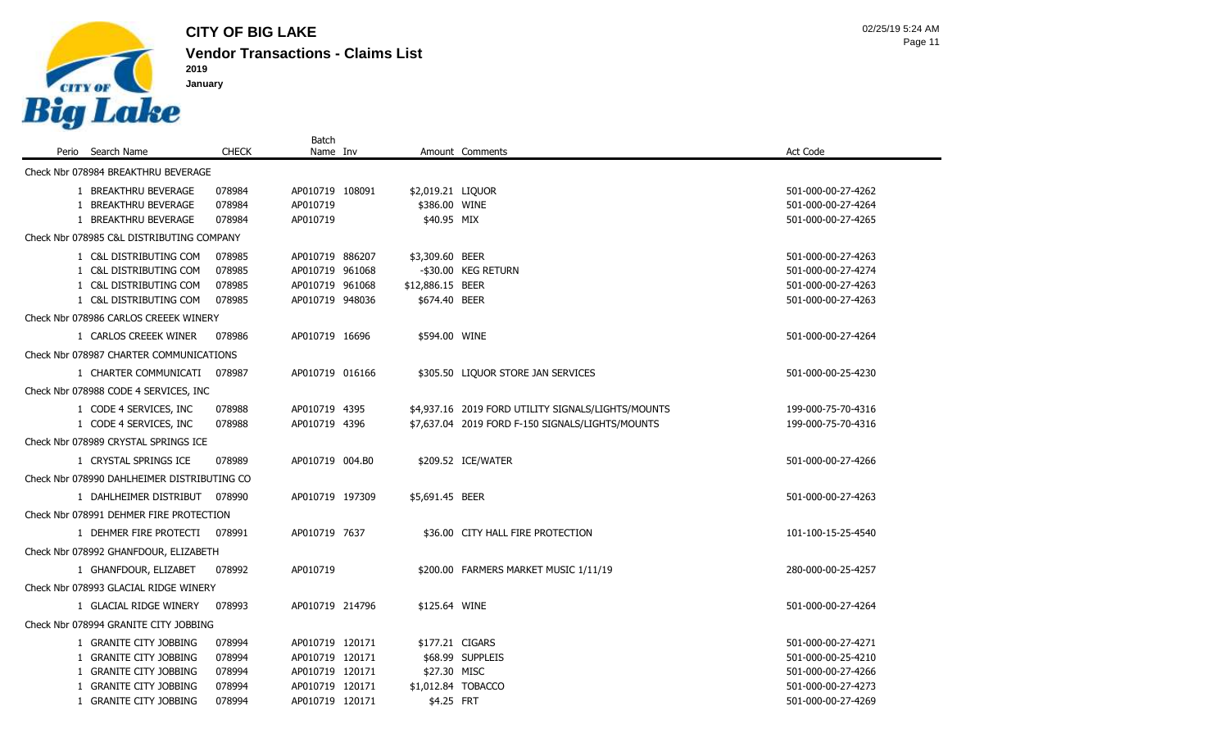

**January**

 $\sim$ 

|                                             |              | <b>Batch</b>    |                    |                                                    |                    |
|---------------------------------------------|--------------|-----------------|--------------------|----------------------------------------------------|--------------------|
| Perio Search Name                           | <b>CHECK</b> | Name Inv        |                    | Amount Comments                                    | Act Code           |
| Check Nbr 078984 BREAKTHRU BEVERAGE         |              |                 |                    |                                                    |                    |
| 1 BREAKTHRU BEVERAGE                        | 078984       | AP010719 108091 | \$2,019.21 LIQUOR  |                                                    | 501-000-00-27-4262 |
| 1 BREAKTHRU BEVERAGE                        | 078984       | AP010719        | \$386.00 WINE      |                                                    | 501-000-00-27-4264 |
| 1 BREAKTHRU BEVERAGE                        | 078984       | AP010719        | \$40.95 MIX        |                                                    | 501-000-00-27-4265 |
| Check Nbr 078985 C&L DISTRIBUTING COMPANY   |              |                 |                    |                                                    |                    |
| 1 C&L DISTRIBUTING COM                      | 078985       | AP010719 886207 | \$3,309.60 BEER    |                                                    | 501-000-00-27-4263 |
| 1 C&L DISTRIBUTING COM                      | 078985       | AP010719 961068 |                    | -\$30.00 KEG RETURN                                | 501-000-00-27-4274 |
| 1 C&L DISTRIBUTING COM                      | 078985       | AP010719 961068 | \$12,886.15 BEER   |                                                    | 501-000-00-27-4263 |
| 1 C&L DISTRIBUTING COM                      | 078985       | AP010719 948036 | \$674.40 BEER      |                                                    | 501-000-00-27-4263 |
| Check Nbr 078986 CARLOS CREEEK WINERY       |              |                 |                    |                                                    |                    |
| 1 CARLOS CREEEK WINER                       | 078986       | AP010719 16696  | \$594.00 WINE      |                                                    | 501-000-00-27-4264 |
| Check Nbr 078987 CHARTER COMMUNICATIONS     |              |                 |                    |                                                    |                    |
| 1 CHARTER COMMUNICATI 078987                |              | AP010719 016166 |                    | \$305.50 LIQUOR STORE JAN SERVICES                 | 501-000-00-25-4230 |
| Check Nbr 078988 CODE 4 SERVICES, INC       |              |                 |                    |                                                    |                    |
| 1 CODE 4 SERVICES, INC                      | 078988       | AP010719 4395   |                    | \$4,937.16 2019 FORD UTILITY SIGNALS/LIGHTS/MOUNTS | 199-000-75-70-4316 |
| 1 CODE 4 SERVICES, INC                      | 078988       | AP010719 4396   |                    | \$7,637.04 2019 FORD F-150 SIGNALS/LIGHTS/MOUNTS   | 199-000-75-70-4316 |
| Check Nbr 078989 CRYSTAL SPRINGS ICE        |              |                 |                    |                                                    |                    |
| 1 CRYSTAL SPRINGS ICE                       | 078989       | AP010719 004.B0 |                    | \$209.52 ICE/WATER                                 | 501-000-00-27-4266 |
| Check Nbr 078990 DAHLHEIMER DISTRIBUTING CO |              |                 |                    |                                                    |                    |
| 1 DAHLHEIMER DISTRIBUT 078990               |              | AP010719 197309 | \$5,691.45 BEER    |                                                    | 501-000-00-27-4263 |
| Check Nbr 078991 DEHMER FIRE PROTECTION     |              |                 |                    |                                                    |                    |
| 1 DEHMER FIRE PROTECTI 078991               |              | AP010719 7637   |                    | \$36.00 CITY HALL FIRE PROTECTION                  | 101-100-15-25-4540 |
| Check Nbr 078992 GHANFDOUR, ELIZABETH       |              |                 |                    |                                                    |                    |
| 1 GHANFDOUR, ELIZABET                       | 078992       | AP010719        |                    | \$200.00 FARMERS MARKET MUSIC 1/11/19              | 280-000-00-25-4257 |
| Check Nbr 078993 GLACIAL RIDGE WINERY       |              |                 |                    |                                                    |                    |
| 1 GLACIAL RIDGE WINERY                      | 078993       | AP010719 214796 | \$125.64 WINE      |                                                    | 501-000-00-27-4264 |
| Check Nbr 078994 GRANITE CITY JOBBING       |              |                 |                    |                                                    |                    |
| 1 GRANITE CITY JOBBING                      | 078994       | AP010719 120171 | \$177.21 CIGARS    |                                                    | 501-000-00-27-4271 |
| 1 GRANITE CITY JOBBING                      | 078994       | AP010719 120171 |                    | \$68.99 SUPPLEIS                                   | 501-000-00-25-4210 |
| 1 GRANITE CITY JOBBING                      | 078994       | AP010719 120171 | \$27.30 MISC       |                                                    | 501-000-00-27-4266 |
| 1 GRANITE CITY JOBBING                      | 078994       | AP010719 120171 | \$1,012.84 TOBACCO |                                                    | 501-000-00-27-4273 |
| 1 GRANITE CITY JOBBING                      | 078994       | AP010719 120171 | \$4.25 FRT         |                                                    | 501-000-00-27-4269 |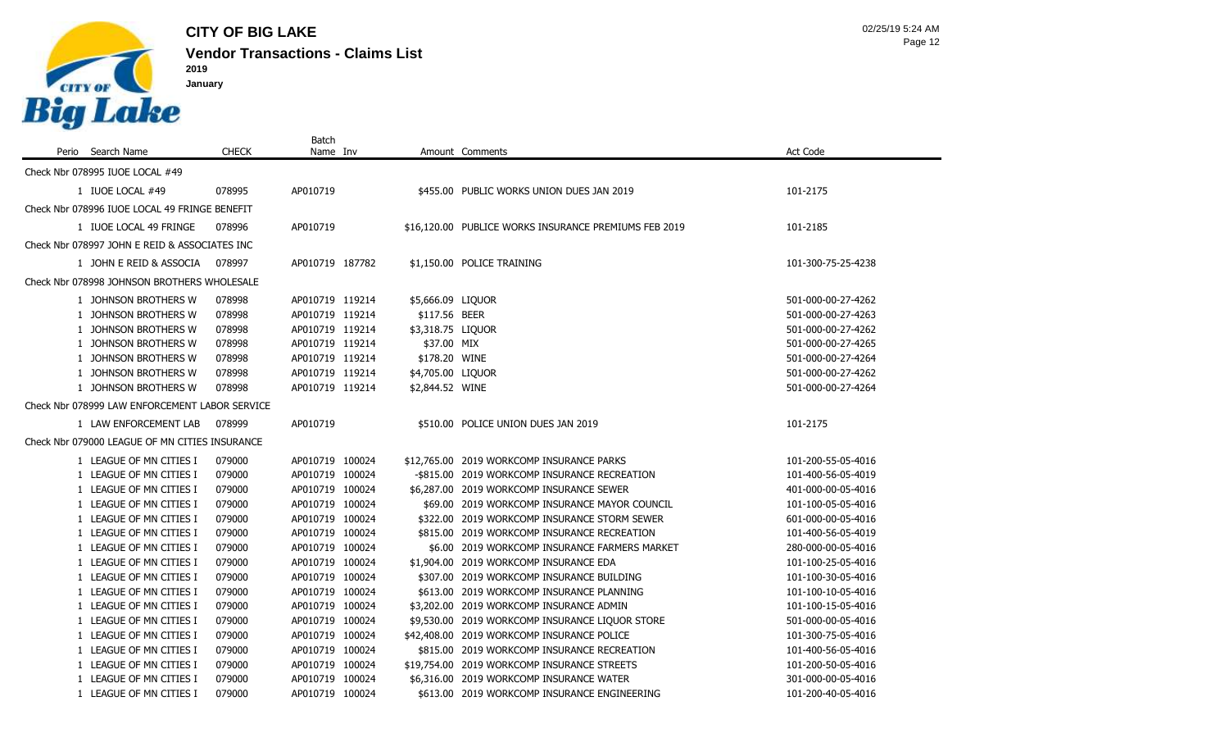

Batch

Page 12 02/25/19 5:24 AM

Perio Search Name **CHECK** Name Inv Amount Comments Act Code Check Nbr 078995 IUOE LOCAL #49 IUOE LOCAL #49 078995 AP010719 \$455.00 PUBLIC WORKS UNION DUES JAN 2019 101-2175 Check Nbr 078996 IUOE LOCAL 49 FRINGE BENEFIT IUOE LOCAL 49 FRINGE 078996 AP010719 \$16,120.00 PUBLICE WORKS INSURANCE PREMIUMS FEB 2019 101-2185 Check Nbr 078997 JOHN E REID & ASSOCIATES INC JOHN E REID & ASSOCIA 078997 AP010719 187782 \$1,150.00 POLICE TRAINING 101-300-75-25-4238 Check Nbr 078998 JOHNSON BROTHERS WHOLESALE JOHNSON BROTHERS W 078998 AP010719 119214 \$5,666.09 LIQUOR 501-000-00-27-4262 JOHNSON BROTHERS W 078998 AP010719 119214 \$117.56 BEER 501-000-00-27-4263 JOHNSON BROTHERS W 078998 AP010719 119214 \$3,318.75 LIQUOR 501-000-00-27-4262 JOHNSON BROTHERS W 078998 AP010719 119214 \$37.00 MIX 501-000-00-27-4265 JOHNSON BROTHERS W 078998 AP010719 119214 \$178.20 WINE 501-000-00-27-4264 JOHNSON BROTHERS W 078998 AP010719 119214 \$4,705.00 LIQUOR 501-000-00-27-4262 JOHNSON BROTHERS W 078998 AP010719 119214 \$2,844.52 WINE 501-000-00-27-4264 Check Nbr 078999 LAW ENFORCEMENT LABOR SERVICE LAW ENFORCEMENT LAB 078999 AP010719 \$510.00 POLICE UNION DUES JAN 2019 101-2175 Check Nbr 079000 LEAGUE OF MN CITIES INSURANCE LEAGUE OF MN CITIES I 079000 AP010719 100024 \$12,765.00 2019 WORKCOMP INSURANCE PARKS 101-200-55-05-4016 LEAGUE OF MN CITIES I 079000 AP010719 100024 -\$815.00 2019 WORKCOMP INSURANCE RECREATION 101-400-56-05-4019 LEAGUE OF MN CITIES I 079000 AP010719 100024 \$6,287.00 2019 WORKCOMP INSURANCE SEWER 401-000-00-05-4016 LEAGUE OF MN CITIES I 079000 AP010719 100024 \$69.00 2019 WORKCOMP INSURANCE MAYOR COUNCIL 101-100-05-05-4016 LEAGUE OF MN CITIES I 079000 AP010719 100024 \$322.00 2019 WORKCOMP INSURANCE STORM SEWER 601-000-00-05-4016 LEAGUE OF MN CITIES I 079000 AP010719 100024 \$815.00 2019 WORKCOMP INSURANCE RECREATION 101-400-56-05-4019 LEAGUE OF MN CITIES I 079000 AP010719 100024 \$6.00 2019 WORKCOMP INSURANCE FARMERS MARKET 280-000-00-05-4016 LEAGUE OF MN CITIES I 079000 AP010719 100024 \$1,904.00 2019 WORKCOMP INSURANCE EDA 101-100-25-05-4016 LEAGUE OF MN CITIES I 079000 AP010719 100024 \$307.00 2019 WORKCOMP INSURANCE BUILDING 101-100-30-05-4016 LEAGUE OF MN CITIES I 079000 AP010719 100024 \$613.00 2019 WORKCOMP INSURANCE PLANNING 101-100-10-05-4016 LEAGUE OF MN CITIES I 079000 AP010719 100024 \$3,202.00 2019 WORKCOMP INSURANCE ADMIN 101-100-15-05-4016 LEAGUE OF MN CITIES I 079000 AP010719 100024 \$9,530.00 2019 WORKCOMP INSURANCE LIQUOR STORE 501-000-00-05-4016 LEAGUE OF MN CITIES I 079000 AP010719 100024 \$42,408.00 2019 WORKCOMP INSURANCE POLICE 101-300-75-05-4016 LEAGUE OF MN CITIES I 079000 AP010719 100024 \$815.00 2019 WORKCOMP INSURANCE RECREATION 101-400-56-05-4016 LEAGUE OF MN CITIES I 079000 AP010719 100024 \$19,754.00 2019 WORKCOMP INSURANCE STREETS 101-200-50-05-4016 LEAGUE OF MN CITIES I 079000 AP010719 100024 \$6,316.00 2019 WORKCOMP INSURANCE WATER 301-000-00-05-4016 LEAGUE OF MN CITIES I 079000 AP010719 100024 \$613.00 2019 WORKCOMP INSURANCE ENGINEERING 101-200-40-05-4016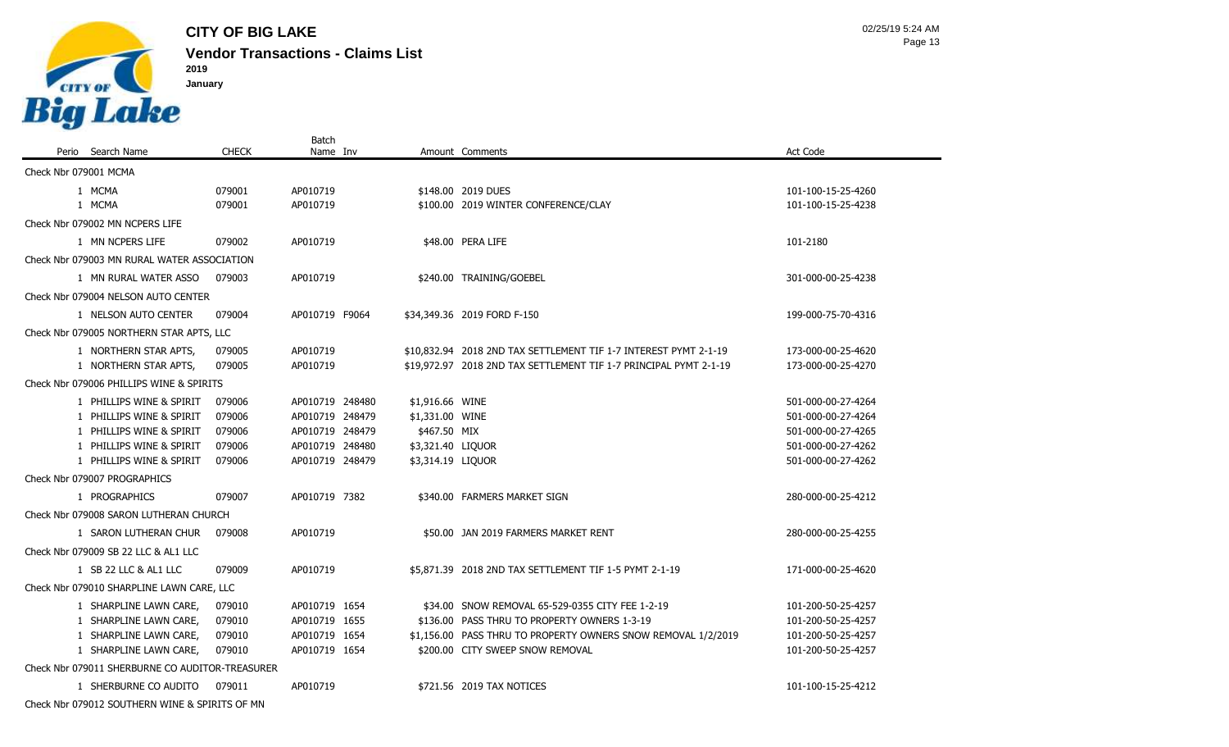

|                                                 |              | Batch           |                   |                                                                   |                    |
|-------------------------------------------------|--------------|-----------------|-------------------|-------------------------------------------------------------------|--------------------|
| Perio Search Name                               | <b>CHECK</b> | Name Inv        |                   | Amount Comments                                                   | <b>Act Code</b>    |
| Check Nbr 079001 MCMA                           |              |                 |                   |                                                                   |                    |
| 1 MCMA                                          | 079001       | AP010719        |                   | \$148.00 2019 DUES                                                | 101-100-15-25-4260 |
| 1 MCMA                                          | 079001       | AP010719        |                   | \$100.00 2019 WINTER CONFERENCE/CLAY                              | 101-100-15-25-4238 |
| Check Nbr 079002 MN NCPERS LIFE                 |              |                 |                   |                                                                   |                    |
| 1 MN NCPERS LIFE                                | 079002       | AP010719        |                   | \$48.00 PERA LIFE                                                 | 101-2180           |
| Check Nbr 079003 MN RURAL WATER ASSOCIATION     |              |                 |                   |                                                                   |                    |
| 1 MN RURAL WATER ASSO                           | 079003       | AP010719        |                   | \$240.00 TRAINING/GOEBEL                                          | 301-000-00-25-4238 |
| Check Nbr 079004 NELSON AUTO CENTER             |              |                 |                   |                                                                   |                    |
| 1 NELSON AUTO CENTER                            | 079004       | AP010719 F9064  |                   | \$34,349.36 2019 FORD F-150                                       | 199-000-75-70-4316 |
| Check Nbr 079005 NORTHERN STAR APTS, LLC        |              |                 |                   |                                                                   |                    |
| 1 NORTHERN STAR APTS,                           | 079005       | AP010719        |                   | \$10.832.94 2018 2ND TAX SETTLEMENT TIF 1-7 INTEREST PYMT 2-1-19  | 173-000-00-25-4620 |
| 1 NORTHERN STAR APTS,                           | 079005       | AP010719        |                   | \$19,972.97 2018 2ND TAX SETTLEMENT TIF 1-7 PRINCIPAL PYMT 2-1-19 | 173-000-00-25-4270 |
| Check Nbr 079006 PHILLIPS WINE & SPIRITS        |              |                 |                   |                                                                   |                    |
| 1 PHILLIPS WINE & SPIRIT                        | 079006       | AP010719 248480 | \$1,916.66 WINE   |                                                                   | 501-000-00-27-4264 |
| 1 PHILLIPS WINE & SPIRIT                        | 079006       | AP010719 248479 | \$1,331.00 WINE   |                                                                   | 501-000-00-27-4264 |
| 1 PHILLIPS WINE & SPIRIT                        | 079006       | AP010719 248479 | \$467.50 MIX      |                                                                   | 501-000-00-27-4265 |
| 1 PHILLIPS WINE & SPIRIT                        | 079006       | AP010719 248480 | \$3,321.40 LIQUOR |                                                                   | 501-000-00-27-4262 |
| 1 PHILLIPS WINE & SPIRIT                        | 079006       | AP010719 248479 | \$3,314.19 LIQUOR |                                                                   | 501-000-00-27-4262 |
| Check Nbr 079007 PROGRAPHICS                    |              |                 |                   |                                                                   |                    |
| 1 PROGRAPHICS                                   | 079007       | AP010719 7382   |                   | \$340.00 FARMERS MARKET SIGN                                      | 280-000-00-25-4212 |
| Check Nbr 079008 SARON LUTHERAN CHURCH          |              |                 |                   |                                                                   |                    |
| 1 SARON LUTHERAN CHUR                           | 079008       | AP010719        |                   | \$50.00 JAN 2019 FARMERS MARKET RENT                              | 280-000-00-25-4255 |
| Check Nbr 079009 SB 22 LLC & AL1 LLC            |              |                 |                   |                                                                   |                    |
| 1 SB 22 LLC & AL1 LLC                           | 079009       | AP010719        |                   | \$5,871.39 2018 2ND TAX SETTLEMENT TIF 1-5 PYMT 2-1-19            | 171-000-00-25-4620 |
| Check Nbr 079010 SHARPLINE LAWN CARE, LLC       |              |                 |                   |                                                                   |                    |
| 1 SHARPLINE LAWN CARE,                          | 079010       | AP010719 1654   |                   | \$34.00 SNOW REMOVAL 65-529-0355 CITY FEE 1-2-19                  | 101-200-50-25-4257 |
| 1 SHARPLINE LAWN CARE,                          | 079010       | AP010719 1655   |                   | \$136.00 PASS THRU TO PROPERTY OWNERS 1-3-19                      | 101-200-50-25-4257 |
| 1 SHARPLINE LAWN CARE,                          | 079010       | AP010719 1654   |                   | \$1,156.00 PASS THRU TO PROPERTY OWNERS SNOW REMOVAL 1/2/2019     | 101-200-50-25-4257 |
| 1 SHARPLINE LAWN CARE,                          | 079010       | AP010719 1654   |                   | \$200.00 CITY SWEEP SNOW REMOVAL                                  | 101-200-50-25-4257 |
| Check Nbr 079011 SHERBURNE CO AUDITOR-TREASURER |              |                 |                   |                                                                   |                    |
| 1 SHERBURNE CO AUDITO                           | 079011       | AP010719        |                   | \$721.56 2019 TAX NOTICES                                         | 101-100-15-25-4212 |
| Check Nbr 079012 SOUTHERN WINE & SPIRITS OF MN  |              |                 |                   |                                                                   |                    |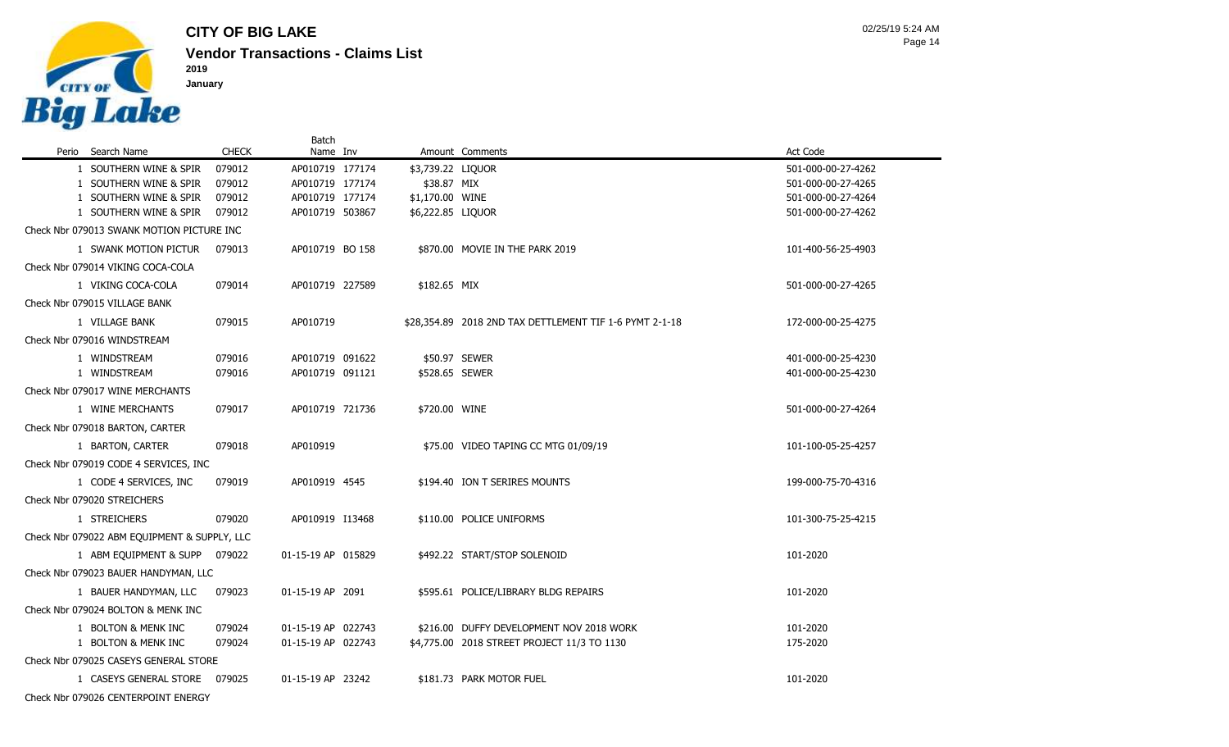

Check Nbr 079026 CENTERPOINT ENERGY

|                                              |              | Batch              |                   |                                                         |                    |
|----------------------------------------------|--------------|--------------------|-------------------|---------------------------------------------------------|--------------------|
| Perio Search Name                            | <b>CHECK</b> | Name Inv           |                   | Amount Comments                                         | Act Code           |
| 1 SOUTHERN WINE & SPIR                       | 079012       | AP010719 177174    | \$3,739.22 LIQUOR |                                                         | 501-000-00-27-4262 |
| 1 SOUTHERN WINE & SPIR                       | 079012       | AP010719 177174    | \$38.87 MIX       |                                                         | 501-000-00-27-4265 |
| 1 SOUTHERN WINE & SPIR                       | 079012       | AP010719 177174    | \$1,170.00 WINE   |                                                         | 501-000-00-27-4264 |
| 1 SOUTHERN WINE & SPIR                       | 079012       | AP010719 503867    | \$6,222.85 LIQUOR |                                                         | 501-000-00-27-4262 |
| Check Nbr 079013 SWANK MOTION PICTURE INC    |              |                    |                   |                                                         |                    |
| 1 SWANK MOTION PICTUR                        | 079013       | AP010719 BO 158    |                   | \$870.00 MOVIE IN THE PARK 2019                         | 101-400-56-25-4903 |
| Check Nbr 079014 VIKING COCA-COLA            |              |                    |                   |                                                         |                    |
| 1 VIKING COCA-COLA                           | 079014       | AP010719 227589    | \$182.65 MIX      |                                                         | 501-000-00-27-4265 |
| Check Nbr 079015 VILLAGE BANK                |              |                    |                   |                                                         |                    |
| 1 VILLAGE BANK                               | 079015       | AP010719           |                   | \$28,354.89 2018 2ND TAX DETTLEMENT TIF 1-6 PYMT 2-1-18 | 172-000-00-25-4275 |
| Check Nbr 079016 WINDSTREAM                  |              |                    |                   |                                                         |                    |
| 1 WINDSTREAM                                 | 079016       | AP010719 091622    |                   | \$50.97 SEWER                                           | 401-000-00-25-4230 |
| 1 WINDSTREAM                                 | 079016       | AP010719 091121    | \$528.65 SEWER    |                                                         | 401-000-00-25-4230 |
| Check Nbr 079017 WINE MERCHANTS              |              |                    |                   |                                                         |                    |
| 1 WINE MERCHANTS                             | 079017       | AP010719 721736    | \$720.00 WINE     |                                                         | 501-000-00-27-4264 |
| Check Nbr 079018 BARTON, CARTER              |              |                    |                   |                                                         |                    |
| 1 BARTON, CARTER                             | 079018       | AP010919           |                   | \$75.00 VIDEO TAPING CC MTG 01/09/19                    | 101-100-05-25-4257 |
| Check Nbr 079019 CODE 4 SERVICES, INC        |              |                    |                   |                                                         |                    |
| 1 CODE 4 SERVICES, INC                       | 079019       | AP010919 4545      |                   | \$194.40 ION T SERIRES MOUNTS                           | 199-000-75-70-4316 |
| Check Nbr 079020 STREICHERS                  |              |                    |                   |                                                         |                    |
| 1 STREICHERS                                 | 079020       | AP010919 I13468    |                   | \$110.00 POLICE UNIFORMS                                | 101-300-75-25-4215 |
| Check Nbr 079022 ABM EQUIPMENT & SUPPLY, LLC |              |                    |                   |                                                         |                    |
| 1 ABM EQUIPMENT & SUPP 079022                |              | 01-15-19 AP 015829 |                   | \$492.22 START/STOP SOLENOID                            | 101-2020           |
| Check Nbr 079023 BAUER HANDYMAN, LLC         |              |                    |                   |                                                         |                    |
| 1 BAUER HANDYMAN, LLC                        | 079023       | 01-15-19 AP 2091   |                   | \$595.61 POLICE/LIBRARY BLDG REPAIRS                    | 101-2020           |
| Check Nbr 079024 BOLTON & MENK INC           |              |                    |                   |                                                         |                    |
| 1 BOLTON & MENK INC                          | 079024       | 01-15-19 AP 022743 |                   | \$216.00 DUFFY DEVELOPMENT NOV 2018 WORK                | 101-2020           |
| 1 BOLTON & MENK INC                          | 079024       | 01-15-19 AP 022743 |                   | \$4,775.00 2018 STREET PROJECT 11/3 TO 1130             | 175-2020           |
| Check Nbr 079025 CASEYS GENERAL STORE        |              |                    |                   |                                                         |                    |
| 1 CASEYS GENERAL STORE 079025                |              | 01-15-19 AP 23242  |                   | \$181.73 PARK MOTOR FUEL                                | 101-2020           |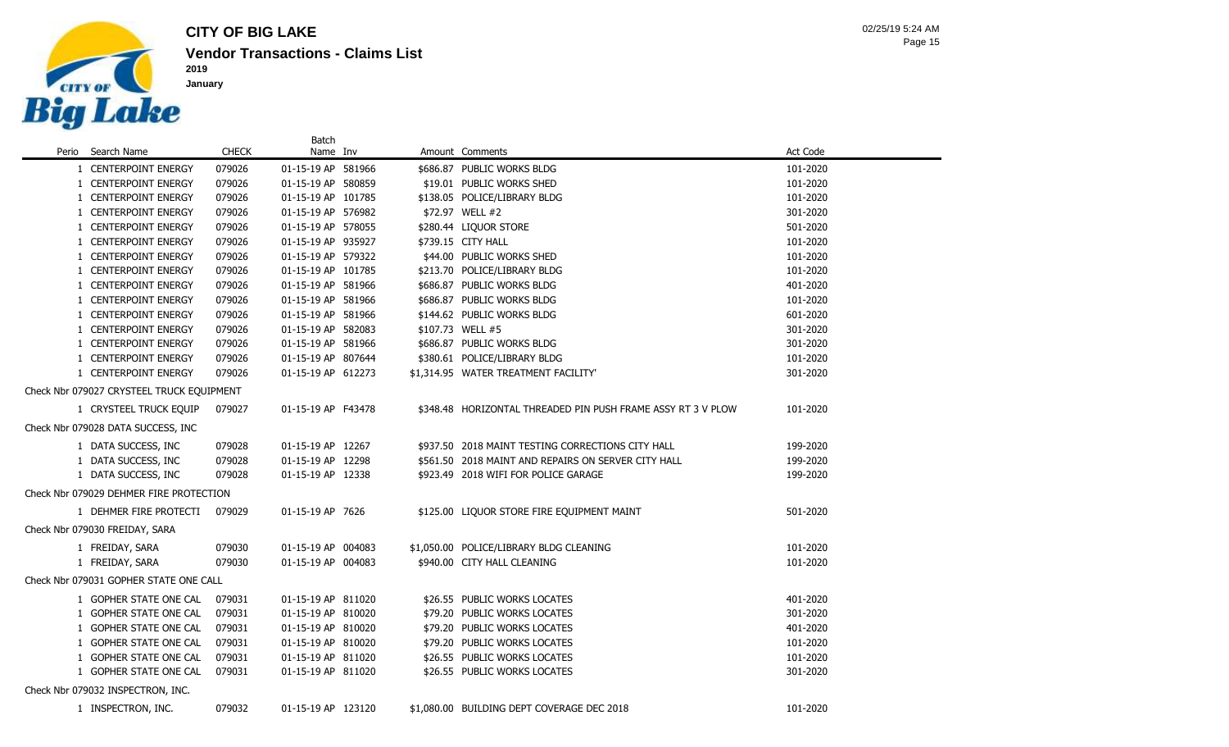

 $\sim$ 

**Vendor Transactions - Claims List CITY OF BIG LAKE**

 **January**

|                                           |              | <b>Batch</b>       |  |                                                              |          |
|-------------------------------------------|--------------|--------------------|--|--------------------------------------------------------------|----------|
| Perio Search Name                         | <b>CHECK</b> | Name Inv           |  | Amount Comments                                              | Act Code |
| 1 CENTERPOINT ENERGY                      | 079026       | 01-15-19 AP 581966 |  | \$686.87 PUBLIC WORKS BLDG                                   | 101-2020 |
| 1 CENTERPOINT ENERGY                      | 079026       | 01-15-19 AP 580859 |  | \$19.01 PUBLIC WORKS SHED                                    | 101-2020 |
| 1 CENTERPOINT ENERGY                      | 079026       | 01-15-19 AP 101785 |  | \$138.05 POLICE/LIBRARY BLDG                                 | 101-2020 |
| 1 CENTERPOINT ENERGY                      | 079026       | 01-15-19 AP 576982 |  | \$72.97 WELL #2                                              | 301-2020 |
| 1 CENTERPOINT ENERGY                      | 079026       | 01-15-19 AP 578055 |  | \$280.44 LIQUOR STORE                                        | 501-2020 |
| 1 CENTERPOINT ENERGY                      | 079026       | 01-15-19 AP 935927 |  | \$739.15 CITY HALL                                           | 101-2020 |
| 1 CENTERPOINT ENERGY                      | 079026       | 01-15-19 AP 579322 |  | \$44.00 PUBLIC WORKS SHED                                    | 101-2020 |
| 1 CENTERPOINT ENERGY                      | 079026       | 01-15-19 AP 101785 |  | \$213.70 POLICE/LIBRARY BLDG                                 | 101-2020 |
| 1 CENTERPOINT ENERGY                      | 079026       | 01-15-19 AP 581966 |  | \$686.87 PUBLIC WORKS BLDG                                   | 401-2020 |
| 1 CENTERPOINT ENERGY                      | 079026       | 01-15-19 AP 581966 |  | \$686.87 PUBLIC WORKS BLDG                                   | 101-2020 |
| 1 CENTERPOINT ENERGY                      | 079026       | 01-15-19 AP 581966 |  | \$144.62 PUBLIC WORKS BLDG                                   | 601-2020 |
| 1 CENTERPOINT ENERGY                      | 079026       | 01-15-19 AP 582083 |  | \$107.73 WELL #5                                             | 301-2020 |
| 1 CENTERPOINT ENERGY                      | 079026       | 01-15-19 AP 581966 |  | \$686.87 PUBLIC WORKS BLDG                                   | 301-2020 |
| 1 CENTERPOINT ENERGY                      | 079026       | 01-15-19 AP 807644 |  | \$380.61 POLICE/LIBRARY BLDG                                 | 101-2020 |
| 1 CENTERPOINT ENERGY                      | 079026       | 01-15-19 AP 612273 |  | \$1,314.95 WATER TREATMENT FACILITY'                         | 301-2020 |
| Check Nbr 079027 CRYSTEEL TRUCK EQUIPMENT |              |                    |  |                                                              |          |
| 1 CRYSTEEL TRUCK EQUIP                    | 079027       | 01-15-19 AP F43478 |  | \$348.48 HORIZONTAL THREADED PIN PUSH FRAME ASSY RT 3 V PLOW | 101-2020 |
| Check Nbr 079028 DATA SUCCESS, INC        |              |                    |  |                                                              |          |
| 1 DATA SUCCESS, INC                       | 079028       | 01-15-19 AP 12267  |  | \$937.50 2018 MAINT TESTING CORRECTIONS CITY HALL            | 199-2020 |
| 1 DATA SUCCESS, INC                       | 079028       | 01-15-19 AP 12298  |  | \$561.50 2018 MAINT AND REPAIRS ON SERVER CITY HALL          | 199-2020 |
| 1 DATA SUCCESS, INC                       | 079028       | 01-15-19 AP 12338  |  | \$923.49 2018 WIFI FOR POLICE GARAGE                         | 199-2020 |
| Check Nbr 079029 DEHMER FIRE PROTECTION   |              |                    |  |                                                              |          |
| 1 DEHMER FIRE PROTECTI                    | 079029       | 01-15-19 AP 7626   |  | \$125.00 LIQUOR STORE FIRE EQUIPMENT MAINT                   | 501-2020 |
| Check Nbr 079030 FREIDAY, SARA            |              |                    |  |                                                              |          |
| 1 FREIDAY, SARA                           | 079030       | 01-15-19 AP 004083 |  | \$1,050.00 POLICE/LIBRARY BLDG CLEANING                      | 101-2020 |
| 1 FREIDAY, SARA                           | 079030       | 01-15-19 AP 004083 |  | \$940.00 CITY HALL CLEANING                                  | 101-2020 |
| Check Nbr 079031 GOPHER STATE ONE CALL    |              |                    |  |                                                              |          |
| 1 GOPHER STATE ONE CAL                    | 079031       | 01-15-19 AP 811020 |  | \$26.55 PUBLIC WORKS LOCATES                                 | 401-2020 |
| 1 GOPHER STATE ONE CAL                    | 079031       | 01-15-19 AP 810020 |  | \$79.20 PUBLIC WORKS LOCATES                                 | 301-2020 |
| 1 GOPHER STATE ONE CAL                    | 079031       | 01-15-19 AP 810020 |  | \$79.20 PUBLIC WORKS LOCATES                                 | 401-2020 |
| 1 GOPHER STATE ONE CAL                    | 079031       | 01-15-19 AP 810020 |  | \$79.20 PUBLIC WORKS LOCATES                                 | 101-2020 |
| 1 GOPHER STATE ONE CAL                    | 079031       | 01-15-19 AP 811020 |  | \$26.55 PUBLIC WORKS LOCATES                                 | 101-2020 |
| 1 GOPHER STATE ONE CAL                    | 079031       | 01-15-19 AP 811020 |  | \$26.55 PUBLIC WORKS LOCATES                                 | 301-2020 |
| Check Nbr 079032 INSPECTRON, INC.         |              |                    |  |                                                              |          |
|                                           |              |                    |  |                                                              |          |

INSPECTRON, INC. 079032 01-15-19 AP 123120 \$1,080.00 BUILDING DEPT COVERAGE DEC 2018 101-2020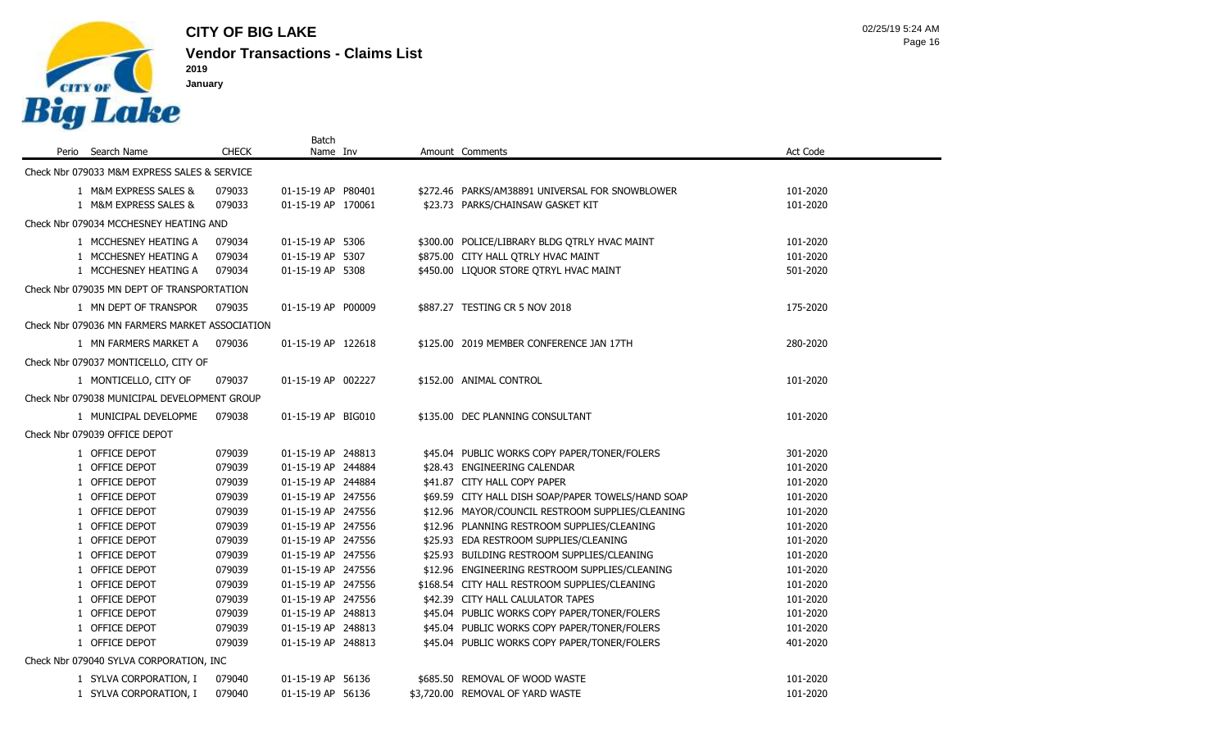

|                                                |              | Batch              |  |                                                    |          |
|------------------------------------------------|--------------|--------------------|--|----------------------------------------------------|----------|
| Perio Search Name                              | <b>CHECK</b> | Name Inv           |  | Amount Comments                                    | Act Code |
| Check Nbr 079033 M&M EXPRESS SALES & SERVICE   |              |                    |  |                                                    |          |
| 1 M&M EXPRESS SALES &                          | 079033       | 01-15-19 AP P80401 |  | \$272.46 PARKS/AM38891 UNIVERSAL FOR SNOWBLOWER    | 101-2020 |
| 1 M&M EXPRESS SALES &                          | 079033       | 01-15-19 AP 170061 |  | \$23.73 PARKS/CHAINSAW GASKET KIT                  | 101-2020 |
| Check Nbr 079034 MCCHESNEY HEATING AND         |              |                    |  |                                                    |          |
| 1 MCCHESNEY HEATING A                          | 079034       | 01-15-19 AP 5306   |  | \$300.00 POLICE/LIBRARY BLDG QTRLY HVAC MAINT      | 101-2020 |
| 1 MCCHESNEY HEATING A                          | 079034       | 01-15-19 AP 5307   |  | \$875.00 CITY HALL QTRLY HVAC MAINT                | 101-2020 |
| 1 MCCHESNEY HEATING A                          | 079034       | 01-15-19 AP 5308   |  | \$450.00 LIQUOR STORE QTRYL HVAC MAINT             | 501-2020 |
| Check Nbr 079035 MN DEPT OF TRANSPORTATION     |              |                    |  |                                                    |          |
| 1 MN DEPT OF TRANSPOR                          | 079035       | 01-15-19 AP P00009 |  | \$887.27 TESTING CR 5 NOV 2018                     | 175-2020 |
| Check Nbr 079036 MN FARMERS MARKET ASSOCIATION |              |                    |  |                                                    |          |
| 1 MN FARMERS MARKET A                          | 079036       | 01-15-19 AP 122618 |  | \$125.00 2019 MEMBER CONFERENCE JAN 17TH           | 280-2020 |
| Check Nbr 079037 MONTICELLO, CITY OF           |              |                    |  |                                                    |          |
| 1 MONTICELLO, CITY OF                          | 079037       | 01-15-19 AP 002227 |  | \$152.00 ANIMAL CONTROL                            | 101-2020 |
| Check Nbr 079038 MUNICIPAL DEVELOPMENT GROUP   |              |                    |  |                                                    |          |
| 1 MUNICIPAL DEVELOPME                          | 079038       | 01-15-19 AP BIG010 |  | \$135.00 DEC PLANNING CONSULTANT                   | 101-2020 |
| Check Nbr 079039 OFFICE DEPOT                  |              |                    |  |                                                    |          |
| 1 OFFICE DEPOT                                 | 079039       | 01-15-19 AP 248813 |  | \$45.04 PUBLIC WORKS COPY PAPER/TONER/FOLERS       | 301-2020 |
| 1 OFFICE DEPOT                                 | 079039       | 01-15-19 AP 244884 |  | \$28.43 ENGINEERING CALENDAR                       | 101-2020 |
| 1 OFFICE DEPOT                                 | 079039       | 01-15-19 AP 244884 |  | \$41.87 CITY HALL COPY PAPER                       | 101-2020 |
| 1 OFFICE DEPOT                                 | 079039       | 01-15-19 AP 247556 |  | \$69.59 CITY HALL DISH SOAP/PAPER TOWELS/HAND SOAP | 101-2020 |
| 1 OFFICE DEPOT                                 | 079039       | 01-15-19 AP 247556 |  | \$12.96 MAYOR/COUNCIL RESTROOM SUPPLIES/CLEANING   | 101-2020 |
| 1 OFFICE DEPOT                                 | 079039       | 01-15-19 AP 247556 |  | \$12.96 PLANNING RESTROOM SUPPLIES/CLEANING        | 101-2020 |
| 1 OFFICE DEPOT                                 | 079039       | 01-15-19 AP 247556 |  | \$25.93 EDA RESTROOM SUPPLIES/CLEANING             | 101-2020 |
| 1 OFFICE DEPOT                                 | 079039       | 01-15-19 AP 247556 |  | \$25.93 BUILDING RESTROOM SUPPLIES/CLEANING        | 101-2020 |
| 1 OFFICE DEPOT                                 | 079039       | 01-15-19 AP 247556 |  | \$12.96 ENGINEERING RESTROOM SUPPLIES/CLEANING     | 101-2020 |
| 1 OFFICE DEPOT                                 | 079039       | 01-15-19 AP 247556 |  | \$168.54 CITY HALL RESTROOM SUPPLIES/CLEANING      | 101-2020 |
| 1 OFFICE DEPOT                                 | 079039       | 01-15-19 AP 247556 |  | \$42.39 CITY HALL CALULATOR TAPES                  | 101-2020 |
| 1 OFFICE DEPOT                                 | 079039       | 01-15-19 AP 248813 |  | \$45.04 PUBLIC WORKS COPY PAPER/TONER/FOLERS       | 101-2020 |
| 1 OFFICE DEPOT                                 | 079039       | 01-15-19 AP 248813 |  | \$45.04 PUBLIC WORKS COPY PAPER/TONER/FOLERS       | 101-2020 |
| 1 OFFICE DEPOT                                 | 079039       | 01-15-19 AP 248813 |  | \$45.04 PUBLIC WORKS COPY PAPER/TONER/FOLERS       | 401-2020 |
| Check Nbr 079040 SYLVA CORPORATION, INC        |              |                    |  |                                                    |          |
| 1 SYLVA CORPORATION, I                         | 079040       | 01-15-19 AP 56136  |  | \$685.50 REMOVAL OF WOOD WASTE                     | 101-2020 |
| 1 SYLVA CORPORATION, I                         | 079040       | 01-15-19 AP 56136  |  | \$3,720.00 REMOVAL OF YARD WASTE                   | 101-2020 |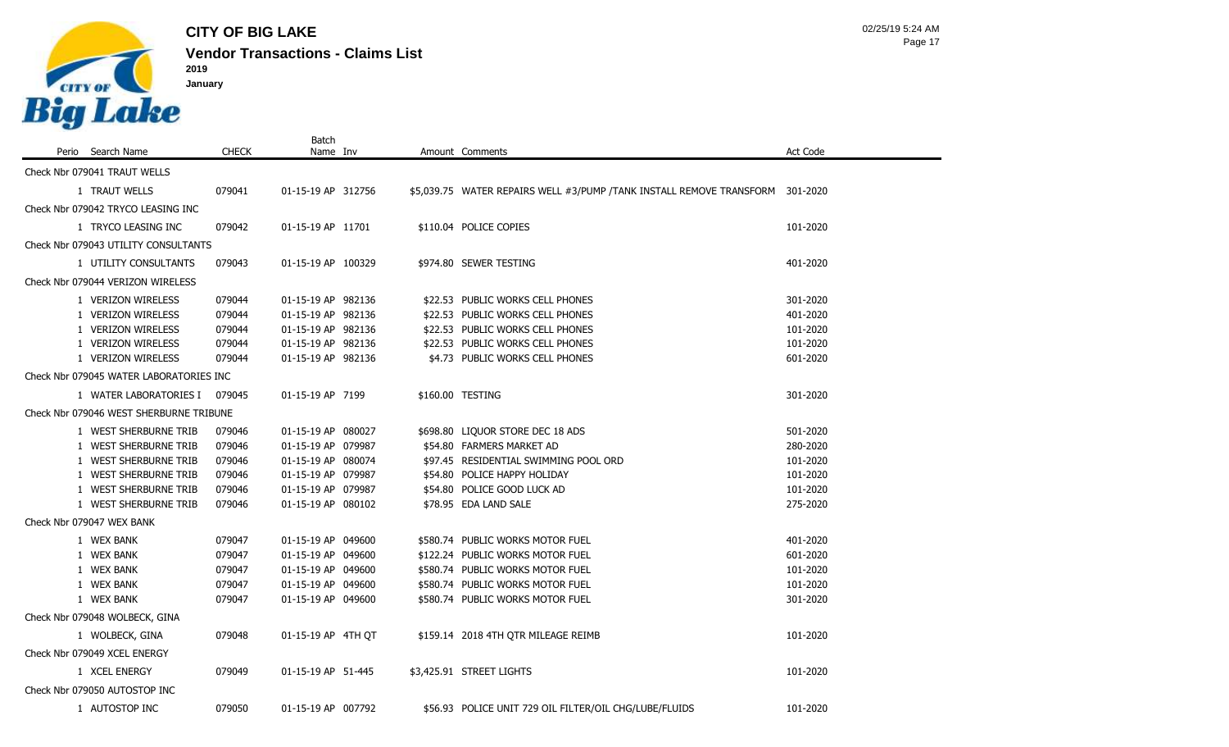

**January**

**Vendor Transactions - Claims List CITY OF BIG LAKE 2019**

Batch

| Perio Search Name                       | <b>CHECK</b> | Name Inv           |  | Amount Comments                                                               | Act Code |
|-----------------------------------------|--------------|--------------------|--|-------------------------------------------------------------------------------|----------|
| Check Nbr 079041 TRAUT WELLS            |              |                    |  |                                                                               |          |
| 1 TRAUT WELLS                           | 079041       | 01-15-19 AP 312756 |  | \$5,039.75 WATER REPAIRS WELL #3/PUMP /TANK INSTALL REMOVE TRANSFORM 301-2020 |          |
| Check Nbr 079042 TRYCO LEASING INC      |              |                    |  |                                                                               |          |
| 1 TRYCO LEASING INC                     | 079042       | 01-15-19 AP 11701  |  | \$110.04 POLICE COPIES                                                        | 101-2020 |
| Check Nbr 079043 UTILITY CONSULTANTS    |              |                    |  |                                                                               |          |
| 1 UTILITY CONSULTANTS                   | 079043       | 01-15-19 AP 100329 |  | \$974.80 SEWER TESTING                                                        | 401-2020 |
| Check Nbr 079044 VERIZON WIRELESS       |              |                    |  |                                                                               |          |
| 1 VERIZON WIRELESS                      | 079044       | 01-15-19 AP 982136 |  | \$22.53 PUBLIC WORKS CELL PHONES                                              | 301-2020 |
| 1 VERIZON WIRELESS                      | 079044       | 01-15-19 AP 982136 |  | \$22.53 PUBLIC WORKS CELL PHONES                                              | 401-2020 |
| 1 VERIZON WIRELESS                      | 079044       | 01-15-19 AP 982136 |  | \$22.53 PUBLIC WORKS CELL PHONES                                              | 101-2020 |
| 1 VERIZON WIRELESS                      | 079044       | 01-15-19 AP 982136 |  | \$22.53 PUBLIC WORKS CELL PHONES                                              | 101-2020 |
| 1 VERIZON WIRELESS                      | 079044       | 01-15-19 AP 982136 |  | \$4.73 PUBLIC WORKS CELL PHONES                                               | 601-2020 |
|                                         |              |                    |  |                                                                               |          |
| Check Nbr 079045 WATER LABORATORIES INC |              |                    |  |                                                                               |          |
| 1 WATER LABORATORIES I 079045           |              | 01-15-19 AP 7199   |  | \$160.00 TESTING                                                              | 301-2020 |
| Check Nbr 079046 WEST SHERBURNE TRIBUNE |              |                    |  |                                                                               |          |
| 1 WEST SHERBURNE TRIB                   | 079046       | 01-15-19 AP 080027 |  | \$698.80 LIQUOR STORE DEC 18 ADS                                              | 501-2020 |
| 1 WEST SHERBURNE TRIB                   | 079046       | 01-15-19 AP 079987 |  | \$54.80 FARMERS MARKET AD                                                     | 280-2020 |
| 1 WEST SHERBURNE TRIB                   | 079046       | 01-15-19 AP 080074 |  | \$97.45 RESIDENTIAL SWIMMING POOL ORD                                         | 101-2020 |
| 1 WEST SHERBURNE TRIB                   | 079046       | 01-15-19 AP 079987 |  | \$54.80 POLICE HAPPY HOLIDAY                                                  | 101-2020 |
| 1 WEST SHERBURNE TRIB                   | 079046       | 01-15-19 AP 079987 |  | \$54.80 POLICE GOOD LUCK AD                                                   | 101-2020 |
| 1 WEST SHERBURNE TRIB                   | 079046       | 01-15-19 AP 080102 |  | \$78.95 EDA LAND SALE                                                         | 275-2020 |
| Check Nbr 079047 WEX BANK               |              |                    |  |                                                                               |          |
| 1 WEX BANK                              | 079047       | 01-15-19 AP 049600 |  | \$580.74 PUBLIC WORKS MOTOR FUEL                                              | 401-2020 |
| 1 WEX BANK                              | 079047       | 01-15-19 AP 049600 |  | \$122.24 PUBLIC WORKS MOTOR FUEL                                              | 601-2020 |
| 1 WEX BANK                              | 079047       | 01-15-19 AP 049600 |  | \$580.74 PUBLIC WORKS MOTOR FUEL                                              | 101-2020 |
| 1 WEX BANK                              | 079047       | 01-15-19 AP 049600 |  | \$580.74 PUBLIC WORKS MOTOR FUEL                                              | 101-2020 |
| 1 WEX BANK                              | 079047       | 01-15-19 AP 049600 |  | \$580.74 PUBLIC WORKS MOTOR FUEL                                              | 301-2020 |
| Check Nbr 079048 WOLBECK, GINA          |              |                    |  |                                                                               |          |
| 1 WOLBECK, GINA                         | 079048       | 01-15-19 AP 4TH QT |  | \$159.14 2018 4TH QTR MILEAGE REIMB                                           | 101-2020 |
| Check Nbr 079049 XCEL ENERGY            |              |                    |  |                                                                               |          |
|                                         |              |                    |  |                                                                               |          |
| 1 XCEL ENERGY                           | 079049       | 01-15-19 AP 51-445 |  | \$3,425.91 STREET LIGHTS                                                      | 101-2020 |
| Check Nbr 079050 AUTOSTOP INC           |              |                    |  |                                                                               |          |
| 1 AUTOSTOP INC                          | 079050       | 01-15-19 AP 007792 |  | \$56.93 POLICE UNIT 729 OIL FILTER/OIL CHG/LUBE/FLUIDS                        | 101-2020 |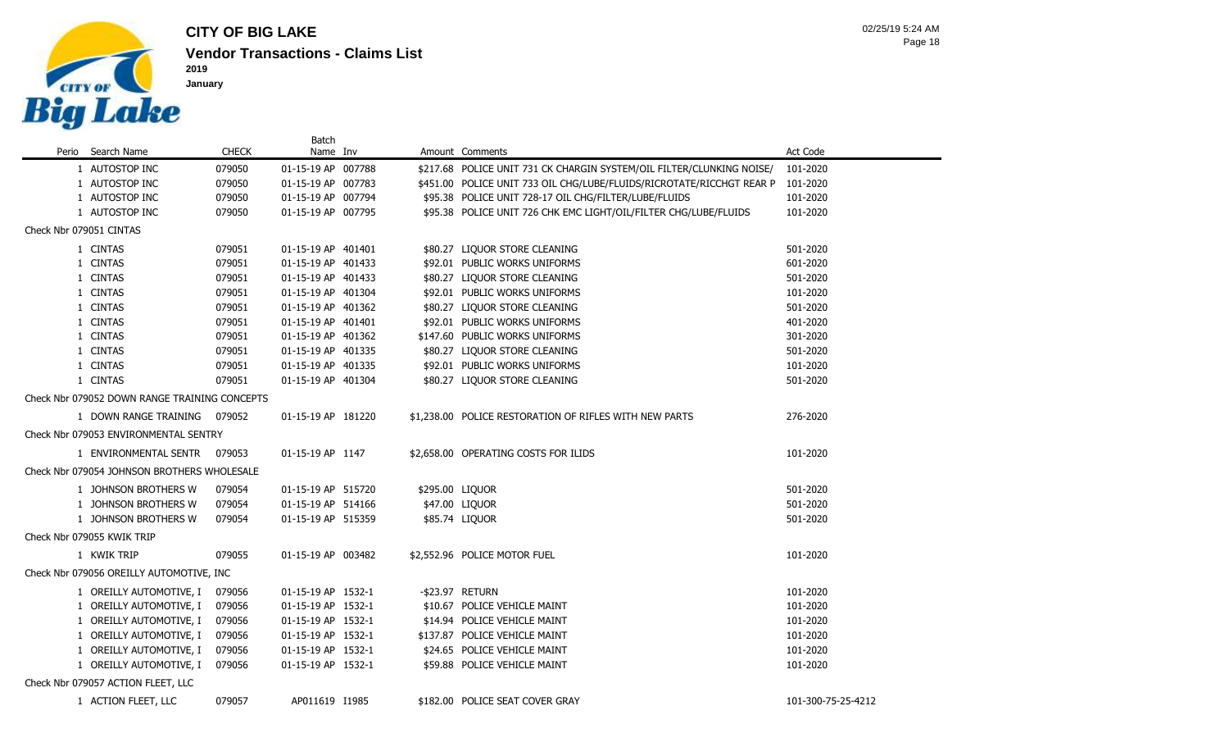

 $\sim$ 

**Vendor Transactions - Claims List CITY OF BIG LAKE**

Page 18 02/25/19 5:24 AM

|                                               |              | Batch              |                 |                                                                       |          |
|-----------------------------------------------|--------------|--------------------|-----------------|-----------------------------------------------------------------------|----------|
| Perio Search Name                             | <b>CHECK</b> | Name Inv           |                 | Amount Comments                                                       | Act Code |
| 1 AUTOSTOP INC                                | 079050       | 01-15-19 AP 007788 |                 | \$217.68 POLICE UNIT 731 CK CHARGIN SYSTEM/OIL FILTER/CLUNKING NOISE/ | 101-2020 |
| 1 AUTOSTOP INC                                | 079050       | 01-15-19 AP 007783 |                 | \$451.00 POLICE UNIT 733 OIL CHG/LUBE/FLUIDS/RICROTATE/RICCHGT REAR P | 101-2020 |
| 1 AUTOSTOP INC                                | 079050       | 01-15-19 AP 007794 |                 | \$95.38 POLICE UNIT 728-17 OIL CHG/FILTER/LUBE/FLUIDS                 | 101-2020 |
| 1 AUTOSTOP INC                                | 079050       | 01-15-19 AP 007795 |                 | \$95.38 POLICE UNIT 726 CHK EMC LIGHT/OIL/FILTER CHG/LUBE/FLUIDS      | 101-2020 |
| Check Nbr 079051 CINTAS                       |              |                    |                 |                                                                       |          |
| 1 CINTAS                                      | 079051       | 01-15-19 AP 401401 |                 | \$80.27 LIQUOR STORE CLEANING                                         | 501-2020 |
| 1 CINTAS                                      | 079051       | 01-15-19 AP 401433 |                 | \$92.01 PUBLIC WORKS UNIFORMS                                         | 601-2020 |
| 1 CINTAS                                      | 079051       | 01-15-19 AP 401433 |                 | \$80.27 LIQUOR STORE CLEANING                                         | 501-2020 |
| 1 CINTAS                                      | 079051       | 01-15-19 AP 401304 |                 | \$92.01 PUBLIC WORKS UNIFORMS                                         | 101-2020 |
| 1 CINTAS                                      | 079051       | 01-15-19 AP 401362 |                 | \$80.27 LIQUOR STORE CLEANING                                         | 501-2020 |
| 1 CINTAS                                      | 079051       | 01-15-19 AP 401401 |                 | \$92.01 PUBLIC WORKS UNIFORMS                                         | 401-2020 |
| 1 CINTAS                                      | 079051       | 01-15-19 AP 401362 |                 | \$147.60 PUBLIC WORKS UNIFORMS                                        | 301-2020 |
| 1 CINTAS                                      | 079051       | 01-15-19 AP 401335 |                 | \$80.27 LIQUOR STORE CLEANING                                         | 501-2020 |
| 1 CINTAS                                      | 079051       | 01-15-19 AP 401335 |                 | \$92.01 PUBLIC WORKS UNIFORMS                                         | 101-2020 |
| 1 CINTAS                                      | 079051       | 01-15-19 AP 401304 |                 | \$80.27 LIQUOR STORE CLEANING                                         | 501-2020 |
| Check Nbr 079052 DOWN RANGE TRAINING CONCEPTS |              |                    |                 |                                                                       |          |
| 1 DOWN RANGE TRAINING 079052                  |              | 01-15-19 AP 181220 |                 | \$1,238.00 POLICE RESTORATION OF RIFLES WITH NEW PARTS                | 276-2020 |
| Check Nbr 079053 ENVIRONMENTAL SENTRY         |              |                    |                 |                                                                       |          |
| 1 ENVIRONMENTAL SENTR 079053                  |              | 01-15-19 AP 1147   |                 | \$2,658.00 OPERATING COSTS FOR ILIDS                                  | 101-2020 |
| Check Nbr 079054 JOHNSON BROTHERS WHOLESALE   |              |                    |                 |                                                                       |          |
| 1 JOHNSON BROTHERS W                          | 079054       | 01-15-19 AP 515720 | \$295.00 LIQUOR |                                                                       | 501-2020 |
| 1 JOHNSON BROTHERS W                          | 079054       | 01-15-19 AP 514166 |                 | \$47.00 LIQUOR                                                        | 501-2020 |
| 1 JOHNSON BROTHERS W                          | 079054       | 01-15-19 AP 515359 |                 | \$85.74 LIQUOR                                                        | 501-2020 |
| Check Nbr 079055 KWIK TRIP                    |              |                    |                 |                                                                       |          |
| 1 KWIK TRIP                                   | 079055       | 01-15-19 AP 003482 |                 | \$2,552.96 POLICE MOTOR FUEL                                          | 101-2020 |
| Check Nbr 079056 OREILLY AUTOMOTIVE, INC      |              |                    |                 |                                                                       |          |
| 1 OREILLY AUTOMOTIVE, I                       | 079056       | 01-15-19 AP 1532-1 |                 | -\$23.97 RETURN                                                       | 101-2020 |
| 1 OREILLY AUTOMOTIVE, I                       | 079056       | 01-15-19 AP 1532-1 |                 | \$10.67 POLICE VEHICLE MAINT                                          | 101-2020 |
| 1 OREILLY AUTOMOTIVE, I                       | 079056       | 01-15-19 AP 1532-1 |                 | \$14.94 POLICE VEHICLE MAINT                                          | 101-2020 |
| 1 OREILLY AUTOMOTIVE, I                       | 079056       | 01-15-19 AP 1532-1 |                 | \$137.87 POLICE VEHICLE MAINT                                         | 101-2020 |
| 1 OREILLY AUTOMOTIVE, I                       | 079056       | 01-15-19 AP 1532-1 |                 | \$24.65 POLICE VEHICLE MAINT                                          | 101-2020 |
| 1 OREILLY AUTOMOTIVE, I 079056                |              | 01-15-19 AP 1532-1 |                 | \$59.88 POLICE VEHICLE MAINT                                          | 101-2020 |
|                                               |              |                    |                 |                                                                       |          |

Check Nbr 079057 ACTION FLEET, LLC

|  | ACTION FLEET, LLC | 079057 | AP011619 I1985 | \$182.00 POLICE SEAT COVER GRAY |
|--|-------------------|--------|----------------|---------------------------------|
|--|-------------------|--------|----------------|---------------------------------|

101-300-75-25-4212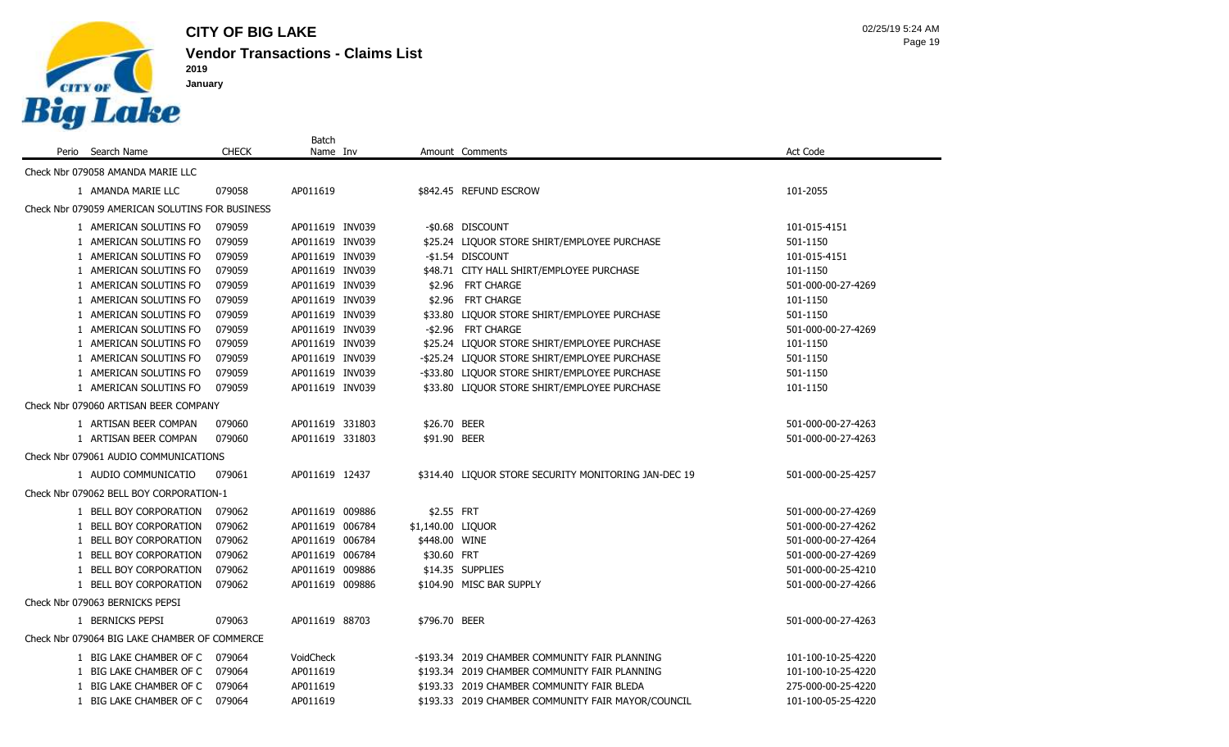

Batch

**January**

Perio Search Name **CHECK** Name Inv Amount Comments Act Code Check Nbr 079058 AMANDA MARIE LLC 1 AMANDA MARIE LLC 079058 AP011619 \$842.45 REFUND ESCROW 101-2055 Check Nbr 079059 AMERICAN SOLUTINS FOR BUSINESS 1 AMERICAN SOLUTINS FO 079059 AP011619 INV039 -\$0.68 DISCOUNT 101-015-4151 101-015-4151 1 AMERICAN SOLUTINS FO 079059 AP011619 INV039 \$25.24 LIQUOR STORE SHIRT/EMPLOYEE PURCHASE 501-1150 1 AMERICAN SOLUTINS FO 079059 AP011619 INV039 -\$1.54 DISCOUNT 101-015-4151 101-015-4151 1 AMERICAN SOLUTINS FO 079059 AP011619 INV039 \$48.71 CITY HALL SHIRT/EMPLOYEE PURCHASE 101-1150 1 AMERICAN SOLUTINS FO 079059 AP011619 INV039 \$2.96 FRT CHARGE 501-000-00-27-4269 1 AMERICAN SOLUTINS FO 079059 AP011619 INV039 \$2.96 FRT CHARGE 101-1150 1 AMERICAN SOLUTINS FO 079059 AP011619 INV039 \$33.80 LIQUOR STORE SHIRT/EMPLOYEE PURCHASE 501-1150 1 AMERICAN SOLUTINS FO 079059 AP011619 INV039 -\$2.96 FRT CHARGE 501-000-00-27-4269 1 AMERICAN SOLUTINS FO 079059 AP011619 INV039 \$25.24 LIQUOR STORE SHIRT/EMPLOYEE PURCHASE 101-1150 1 AMERICAN SOLUTINS FO 079059 AP011619 INV039 -\$25.24 LIQUOR STORE SHIRT/EMPLOYEE PURCHASE 501-1150 1 AMERICAN SOLUTINS FO 079059 AP011619 INV039 - \$33.80 LIQUOR STORE SHIRT/EMPLOYEE PURCHASE 501-1150 1 AMERICAN SOLUTINS FO 079059 AP011619 INV039 \$33.80 LIQUOR STORE SHIRT/EMPLOYEE PURCHASE 101-1150 Check Nbr 079060 ARTISAN BEER COMPANY 1 ARTISAN BEER COMPAN 079060 AP011619 331803 \$26.70 BEER 501-000-00-27-4263 1 ARTISAN BEER COMPAN 079060 AP011619 331803 \$91.90 BEER 501-000-00-27-4263 Check Nbr 079061 AUDIO COMMUNICATIONS 1 AUDIO COMMUNICATIO 079061 AP011619 12437 \$314.40 LIQUOR STORE SECURITY MONITORING JAN-DEC 19 501-000-00-25-4257 Check Nbr 079062 BELL BOY CORPORATION-1 1 BELL BOY CORPORATION 079062 AP011619 009886 \$2.55 FRT 501-000-00-27-4269 1 BELL BOY CORPORATION 079062 AP011619 006784 \$1,140.00 LIQUOR \$1,140.00 APO FOR SOLL SOLL SOLL SOLL SOLL SOLL 1 BELL BOY CORPORATION 079062 AP011619 006784 \$448.00 WINE 501-000-00-27-4264 1 BELL BOY CORPORATION 079062 AP011619 006784 \$30.60 FRT 501-000-00-27-4269 1 BELL BOY CORPORATION 079062 AP011619 009886 \$14.35 SUPPLIES \$10.00 FOI-000-00-25-4210 1 BELL BOY CORPORATION 079062 AP011619 009886 \$104.90 MISC BAR SUPPLY 501-000-00-27-4266 Check Nbr 079063 BERNICKS PEPSI 1 BERNICKS PEPSI 079063 AP011619 88703 \$796.70 BEER 501-000-00-27-4263 Check Nbr 079064 BIG LAKE CHAMBER OF COMMERCE 1 BIG LAKE CHAMBER OF C 079064 VoidCheck - - \$193.34 2019 CHAMBER COMMUNITY FAIR PLANNING 101-100-10-25-4220 1 BIG LAKE CHAMBER OF C 079064 AP011619 \$193.34 2019 CHAMBER COMMUNITY FAIR PLANNING 101-100-10-25-4220 1 BIG LAKE CHAMBER OF C 079064 AP011619 \$193.33 2019 CHAMBER COMMUNITY FAIR BLEDA 275-000-00-25-4220

1 BIG LAKE CHAMBER OF C 079064 AP011619 \$193.33 2019 CHAMBER COMMUNITY FAIR MAYOR/COUNCIL 101-100-05-25-4220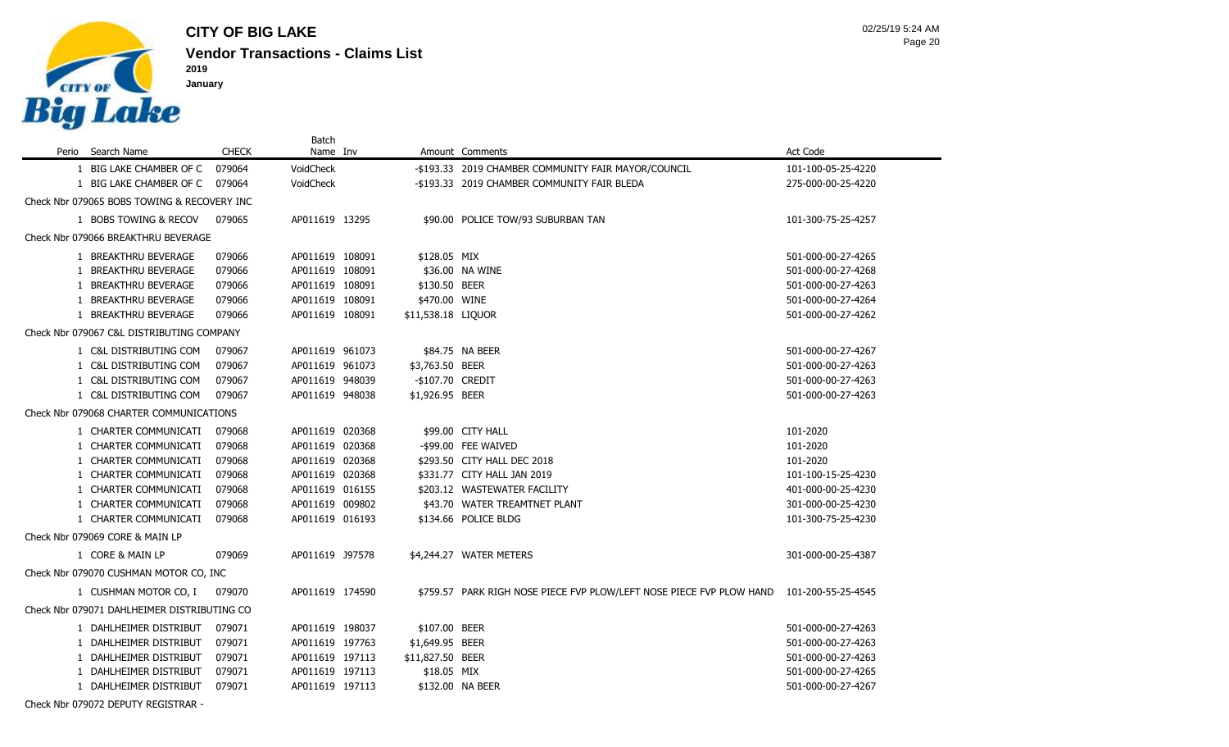

|                                             |              | Batch           |                    |                                                                                         |                    |
|---------------------------------------------|--------------|-----------------|--------------------|-----------------------------------------------------------------------------------------|--------------------|
| Perio Search Name                           | <b>CHECK</b> | Name Inv        |                    | Amount Comments                                                                         | Act Code           |
| 1 BIG LAKE CHAMBER OF C                     | 079064       | VoidCheck       |                    | -\$193.33 2019 CHAMBER COMMUNITY FAIR MAYOR/COUNCIL                                     | 101-100-05-25-4220 |
| 1 BIG LAKE CHAMBER OF C                     | 079064       | VoidCheck       |                    | -\$193.33 2019 CHAMBER COMMUNITY FAIR BLEDA                                             | 275-000-00-25-4220 |
| Check Nbr 079065 BOBS TOWING & RECOVERY INC |              |                 |                    |                                                                                         |                    |
| 1 BOBS TOWING & RECOV                       | 079065       | AP011619 13295  |                    | \$90.00 POLICE TOW/93 SUBURBAN TAN                                                      | 101-300-75-25-4257 |
| Check Nbr 079066 BREAKTHRU BEVERAGE         |              |                 |                    |                                                                                         |                    |
| 1 BREAKTHRU BEVERAGE                        | 079066       | AP011619 108091 | \$128.05 MIX       |                                                                                         | 501-000-00-27-4265 |
| <b>BREAKTHRU BEVERAGE</b>                   | 079066       | AP011619 108091 |                    | \$36.00 NA WINE                                                                         | 501-000-00-27-4268 |
| 1 BREAKTHRU BEVERAGE                        | 079066       | AP011619 108091 | \$130.50 BEER      |                                                                                         | 501-000-00-27-4263 |
| 1 BREAKTHRU BEVERAGE                        | 079066       | AP011619 108091 | \$470.00 WINE      |                                                                                         | 501-000-00-27-4264 |
| 1 BREAKTHRU BEVERAGE                        | 079066       | AP011619 108091 | \$11,538.18 LIQUOR |                                                                                         | 501-000-00-27-4262 |
| Check Nbr 079067 C&L DISTRIBUTING COMPANY   |              |                 |                    |                                                                                         |                    |
| 1 C&L DISTRIBUTING COM                      | 079067       | AP011619 961073 |                    | \$84.75 NA BEER                                                                         | 501-000-00-27-4267 |
| 1 C&L DISTRIBUTING COM                      | 079067       | AP011619 961073 | \$3,763.50 BEER    |                                                                                         | 501-000-00-27-4263 |
| 1 C&L DISTRIBUTING COM                      | 079067       | AP011619 948039 | -\$107.70 CREDIT   |                                                                                         | 501-000-00-27-4263 |
| 1 C&L DISTRIBUTING COM                      | 079067       | AP011619 948038 | \$1,926.95 BEER    |                                                                                         | 501-000-00-27-4263 |
| Check Nbr 079068 CHARTER COMMUNICATIONS     |              |                 |                    |                                                                                         |                    |
| 1 CHARTER COMMUNICATI                       | 079068       | AP011619 020368 |                    | \$99.00 CITY HALL                                                                       | 101-2020           |
| 1 CHARTER COMMUNICATI                       | 079068       | AP011619 020368 |                    | -\$99.00 FEE WAIVED                                                                     | 101-2020           |
| 1 CHARTER COMMUNICATI                       | 079068       | AP011619 020368 |                    | \$293.50 CITY HALL DEC 2018                                                             | 101-2020           |
| 1 CHARTER COMMUNICATI                       | 079068       | AP011619 020368 |                    | \$331.77 CITY HALL JAN 2019                                                             | 101-100-15-25-4230 |
| 1 CHARTER COMMUNICATI                       | 079068       | AP011619 016155 |                    | \$203.12 WASTEWATER FACILITY                                                            | 401-000-00-25-4230 |
| 1 CHARTER COMMUNICATI                       | 079068       | AP011619 009802 |                    | \$43.70 WATER TREAMTNET PLANT                                                           | 301-000-00-25-4230 |
| 1 CHARTER COMMUNICATI                       | 079068       | AP011619 016193 |                    | \$134.66 POLICE BLDG                                                                    | 101-300-75-25-4230 |
| Check Nbr 079069 CORE & MAIN LP             |              |                 |                    |                                                                                         |                    |
| 1 CORE & MAIN LP                            | 079069       | AP011619 J97578 |                    | \$4,244.27 WATER METERS                                                                 | 301-000-00-25-4387 |
| Check Nbr 079070 CUSHMAN MOTOR CO, INC      |              |                 |                    |                                                                                         |                    |
| 1 CUSHMAN MOTOR CO, I                       | 079070       | AP011619 174590 |                    | \$759.57 PARK RIGH NOSE PIECE FVP PLOW/LEFT NOSE PIECE FVP PLOW HAND 101-200-55-25-4545 |                    |
| Check Nbr 079071 DAHLHEIMER DISTRIBUTING CO |              |                 |                    |                                                                                         |                    |
| 1 DAHLHEIMER DISTRIBUT                      | 079071       | AP011619 198037 | \$107.00 BEER      |                                                                                         | 501-000-00-27-4263 |
| 1 DAHLHEIMER DISTRIBUT                      | 079071       | AP011619 197763 | \$1,649.95 BEER    |                                                                                         | 501-000-00-27-4263 |
| 1 DAHLHEIMER DISTRIBUT                      | 079071       | AP011619 197113 | \$11,827.50 BEER   |                                                                                         | 501-000-00-27-4263 |
| 1 DAHLHEIMER DISTRIBUT                      | 079071       | AP011619 197113 | \$18.05 MIX        |                                                                                         | 501-000-00-27-4265 |
| 1 DAHLHEIMER DISTRIBUT                      | 079071       | AP011619 197113 |                    | \$132.00 NA BEER                                                                        | 501-000-00-27-4267 |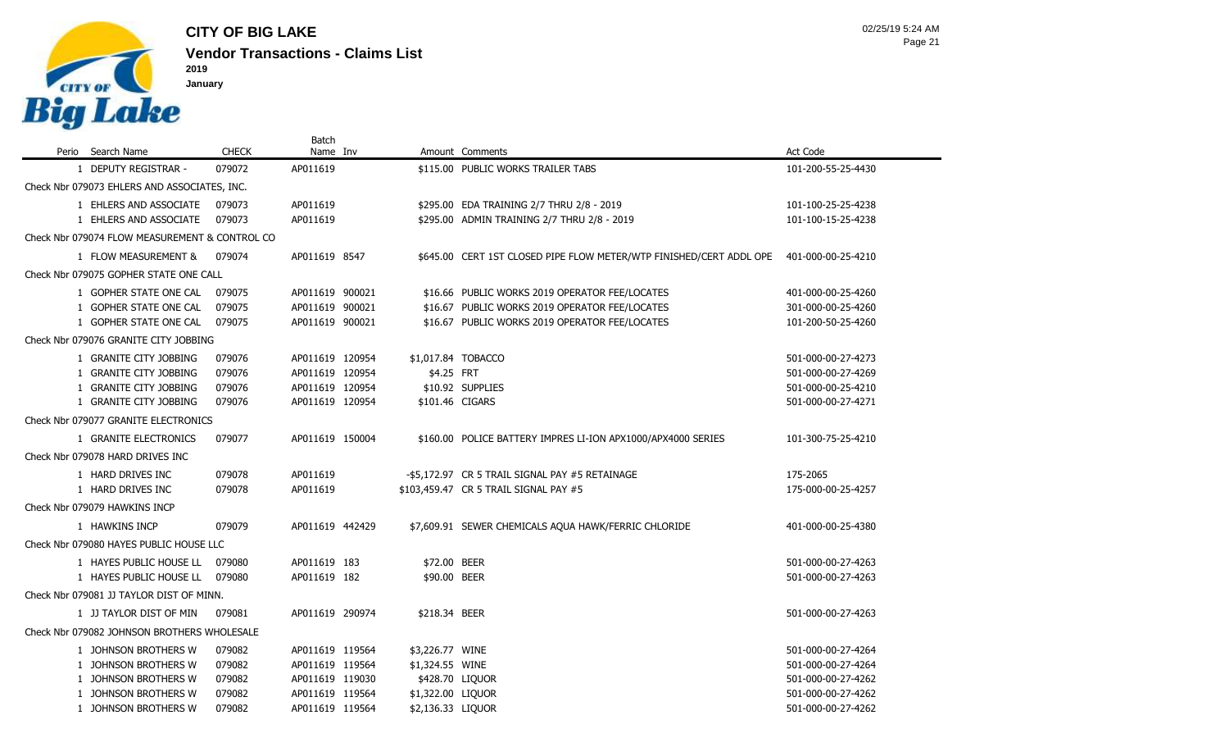

|                                                |                                              |              | <b>Batch</b>    |  |                    |                                                                     |                    |  |  |  |
|------------------------------------------------|----------------------------------------------|--------------|-----------------|--|--------------------|---------------------------------------------------------------------|--------------------|--|--|--|
|                                                | Perio Search Name                            | <b>CHECK</b> | Name Inv        |  |                    | Amount Comments                                                     | Act Code           |  |  |  |
|                                                | 1 DEPUTY REGISTRAR -                         | 079072       | AP011619        |  |                    | \$115.00 PUBLIC WORKS TRAILER TABS                                  | 101-200-55-25-4430 |  |  |  |
|                                                | Check Nbr 079073 EHLERS AND ASSOCIATES, INC. |              |                 |  |                    |                                                                     |                    |  |  |  |
|                                                | 1 EHLERS AND ASSOCIATE                       | 079073       | AP011619        |  |                    | \$295.00 EDA TRAINING 2/7 THRU 2/8 - 2019                           | 101-100-25-25-4238 |  |  |  |
|                                                | 1 EHLERS AND ASSOCIATE                       | 079073       | AP011619        |  |                    | \$295.00 ADMIN TRAINING 2/7 THRU 2/8 - 2019                         | 101-100-15-25-4238 |  |  |  |
| Check Nbr 079074 FLOW MEASUREMENT & CONTROL CO |                                              |              |                 |  |                    |                                                                     |                    |  |  |  |
|                                                | 1 FLOW MEASUREMENT &                         | 079074       | AP011619 8547   |  |                    | \$645.00 CERT 1ST CLOSED PIPE FLOW METER/WTP FINISHED/CERT ADDL OPE | 401-000-00-25-4210 |  |  |  |
|                                                | Check Nbr 079075 GOPHER STATE ONE CALL       |              |                 |  |                    |                                                                     |                    |  |  |  |
|                                                | 1 GOPHER STATE ONE CAL                       | 079075       | AP011619 900021 |  |                    | \$16.66 PUBLIC WORKS 2019 OPERATOR FEE/LOCATES                      | 401-000-00-25-4260 |  |  |  |
|                                                | 1 GOPHER STATE ONE CAL                       | 079075       | AP011619 900021 |  |                    | \$16.67 PUBLIC WORKS 2019 OPERATOR FEE/LOCATES                      | 301-000-00-25-4260 |  |  |  |
|                                                | 1 GOPHER STATE ONE CAL                       | 079075       | AP011619 900021 |  |                    | \$16.67 PUBLIC WORKS 2019 OPERATOR FEE/LOCATES                      | 101-200-50-25-4260 |  |  |  |
|                                                | Check Nbr 079076 GRANITE CITY JOBBING        |              |                 |  |                    |                                                                     |                    |  |  |  |
|                                                | 1 GRANITE CITY JOBBING                       | 079076       | AP011619 120954 |  | \$1,017.84 TOBACCO |                                                                     | 501-000-00-27-4273 |  |  |  |
|                                                | 1 GRANITE CITY JOBBING                       | 079076       | AP011619 120954 |  | \$4.25 FRT         |                                                                     | 501-000-00-27-4269 |  |  |  |
|                                                | 1 GRANITE CITY JOBBING                       | 079076       | AP011619 120954 |  |                    | \$10.92 SUPPLIES                                                    | 501-000-00-25-4210 |  |  |  |
|                                                | 1 GRANITE CITY JOBBING                       | 079076       | AP011619 120954 |  | \$101.46 CIGARS    |                                                                     | 501-000-00-27-4271 |  |  |  |
|                                                | Check Nbr 079077 GRANITE ELECTRONICS         |              |                 |  |                    |                                                                     |                    |  |  |  |
|                                                | 1 GRANITE ELECTRONICS                        | 079077       | AP011619 150004 |  |                    | \$160.00 POLICE BATTERY IMPRES LI-ION APX1000/APX4000 SERIES        | 101-300-75-25-4210 |  |  |  |
|                                                | Check Nbr 079078 HARD DRIVES INC             |              |                 |  |                    |                                                                     |                    |  |  |  |
|                                                | 1 HARD DRIVES INC                            | 079078       | AP011619        |  |                    | -\$5,172.97 CR 5 TRAIL SIGNAL PAY #5 RETAINAGE                      | 175-2065           |  |  |  |
|                                                | 1 HARD DRIVES INC                            | 079078       | AP011619        |  |                    | \$103,459.47 CR 5 TRAIL SIGNAL PAY #5                               | 175-000-00-25-4257 |  |  |  |
|                                                | Check Nbr 079079 HAWKINS INCP                |              |                 |  |                    |                                                                     |                    |  |  |  |
|                                                | 1 HAWKINS INCP                               | 079079       | AP011619 442429 |  |                    | \$7,609.91 SEWER CHEMICALS AQUA HAWK/FERRIC CHLORIDE                | 401-000-00-25-4380 |  |  |  |
|                                                | Check Nbr 079080 HAYES PUBLIC HOUSE LLC      |              |                 |  |                    |                                                                     |                    |  |  |  |
|                                                | 1 HAYES PUBLIC HOUSE LL                      | 079080       | AP011619 183    |  | \$72.00 BEER       |                                                                     | 501-000-00-27-4263 |  |  |  |
|                                                | 1 HAYES PUBLIC HOUSE LL 079080               |              | AP011619 182    |  | \$90.00 BEER       |                                                                     | 501-000-00-27-4263 |  |  |  |
|                                                | Check Nbr 079081 JJ TAYLOR DIST OF MINN.     |              |                 |  |                    |                                                                     |                    |  |  |  |
|                                                | 1 JJ TAYLOR DIST OF MIN                      | 079081       | AP011619 290974 |  | \$218.34 BEER      |                                                                     | 501-000-00-27-4263 |  |  |  |
|                                                | Check Nbr 079082 JOHNSON BROTHERS WHOLESALE  |              |                 |  |                    |                                                                     |                    |  |  |  |
|                                                | 1 JOHNSON BROTHERS W                         | 079082       | AP011619 119564 |  | \$3,226.77 WINE    |                                                                     | 501-000-00-27-4264 |  |  |  |
|                                                | 1 JOHNSON BROTHERS W                         | 079082       | AP011619 119564 |  | \$1,324.55 WINE    |                                                                     | 501-000-00-27-4264 |  |  |  |
|                                                | 1 JOHNSON BROTHERS W                         | 079082       | AP011619 119030 |  | \$428.70 LIQUOR    |                                                                     | 501-000-00-27-4262 |  |  |  |
|                                                | 1 JOHNSON BROTHERS W                         | 079082       | AP011619 119564 |  | \$1,322.00 LIQUOR  |                                                                     | 501-000-00-27-4262 |  |  |  |
|                                                | 1 JOHNSON BROTHERS W                         | 079082       | AP011619 119564 |  | \$2,136.33 LIQUOR  |                                                                     | 501-000-00-27-4262 |  |  |  |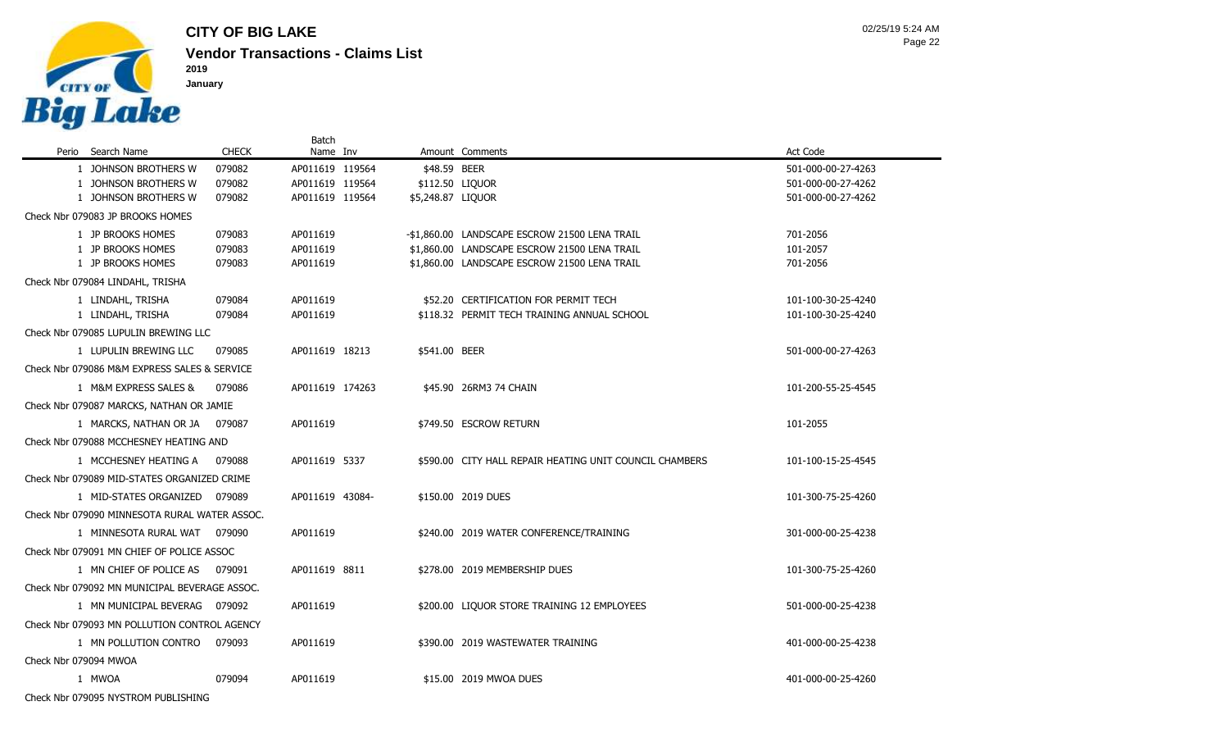

|                                               |              | Batch           |  |                                                         |                    |  |  |  |  |  |
|-----------------------------------------------|--------------|-----------------|--|---------------------------------------------------------|--------------------|--|--|--|--|--|
| Perio Search Name                             | <b>CHECK</b> | Name Inv        |  | Amount Comments                                         | Act Code           |  |  |  |  |  |
| 1 JOHNSON BROTHERS W                          | 079082       | AP011619 119564 |  | \$48.59 BEER                                            | 501-000-00-27-4263 |  |  |  |  |  |
| 1 JOHNSON BROTHERS W                          | 079082       | AP011619 119564 |  | \$112.50 LIQUOR                                         | 501-000-00-27-4262 |  |  |  |  |  |
| 1 JOHNSON BROTHERS W                          | 079082       | AP011619 119564 |  | \$5,248.87 LIQUOR                                       | 501-000-00-27-4262 |  |  |  |  |  |
| Check Nbr 079083 JP BROOKS HOMES              |              |                 |  |                                                         |                    |  |  |  |  |  |
| 1 JP BROOKS HOMES                             | 079083       | AP011619        |  | -\$1,860.00 LANDSCAPE ESCROW 21500 LENA TRAIL           | 701-2056           |  |  |  |  |  |
| 1 JP BROOKS HOMES                             | 079083       | AP011619        |  | \$1,860.00 LANDSCAPE ESCROW 21500 LENA TRAIL            | 101-2057           |  |  |  |  |  |
| 1 JP BROOKS HOMES                             | 079083       | AP011619        |  | \$1,860.00 LANDSCAPE ESCROW 21500 LENA TRAIL            | 701-2056           |  |  |  |  |  |
| Check Nbr 079084 LINDAHL, TRISHA              |              |                 |  |                                                         |                    |  |  |  |  |  |
| 1 LINDAHL, TRISHA                             | 079084       | AP011619        |  | \$52.20 CERTIFICATION FOR PERMIT TECH                   | 101-100-30-25-4240 |  |  |  |  |  |
| 1 LINDAHL, TRISHA                             | 079084       | AP011619        |  | \$118.32 PERMIT TECH TRAINING ANNUAL SCHOOL             | 101-100-30-25-4240 |  |  |  |  |  |
| Check Nbr 079085 LUPULIN BREWING LLC          |              |                 |  |                                                         |                    |  |  |  |  |  |
| 1 LUPULIN BREWING LLC                         | 079085       | AP011619 18213  |  | \$541.00 BEER                                           | 501-000-00-27-4263 |  |  |  |  |  |
| Check Nbr 079086 M&M EXPRESS SALES & SERVICE  |              |                 |  |                                                         |                    |  |  |  |  |  |
| 1 M&M EXPRESS SALES &                         | 079086       | AP011619 174263 |  | \$45.90 26RM3 74 CHAIN                                  | 101-200-55-25-4545 |  |  |  |  |  |
| Check Nbr 079087 MARCKS, NATHAN OR JAMIE      |              |                 |  |                                                         |                    |  |  |  |  |  |
| 1 MARCKS, NATHAN OR JA 079087                 |              | AP011619        |  | \$749.50 ESCROW RETURN                                  | 101-2055           |  |  |  |  |  |
| Check Nbr 079088 MCCHESNEY HEATING AND        |              |                 |  |                                                         |                    |  |  |  |  |  |
| 1 MCCHESNEY HEATING A 079088                  |              | AP011619 5337   |  | \$590.00 CITY HALL REPAIR HEATING UNIT COUNCIL CHAMBERS | 101-100-15-25-4545 |  |  |  |  |  |
| Check Nbr 079089 MID-STATES ORGANIZED CRIME   |              |                 |  |                                                         |                    |  |  |  |  |  |
| 1 MID-STATES ORGANIZED 079089                 |              | AP011619 43084- |  | \$150.00 2019 DUES                                      | 101-300-75-25-4260 |  |  |  |  |  |
| Check Nbr 079090 MINNESOTA RURAL WATER ASSOC. |              |                 |  |                                                         |                    |  |  |  |  |  |
| 1 MINNESOTA RURAL WAT 079090                  |              | AP011619        |  | \$240.00 2019 WATER CONFERENCE/TRAINING                 | 301-000-00-25-4238 |  |  |  |  |  |
| Check Nbr 079091 MN CHIEF OF POLICE ASSOC     |              |                 |  |                                                         |                    |  |  |  |  |  |
| 1 MN CHIEF OF POLICE AS                       | 079091       | AP011619 8811   |  | \$278.00 2019 MEMBERSHIP DUES                           | 101-300-75-25-4260 |  |  |  |  |  |
| Check Nbr 079092 MN MUNICIPAL BEVERAGE ASSOC. |              |                 |  |                                                         |                    |  |  |  |  |  |
| 1 MN MUNICIPAL BEVERAG 079092                 |              | AP011619        |  | \$200.00 LIQUOR STORE TRAINING 12 EMPLOYEES             | 501-000-00-25-4238 |  |  |  |  |  |
| Check Nbr 079093 MN POLLUTION CONTROL AGENCY  |              |                 |  |                                                         |                    |  |  |  |  |  |
| 1 MN POLLUTION CONTRO                         | 079093       | AP011619        |  | \$390.00 2019 WASTEWATER TRAINING                       | 401-000-00-25-4238 |  |  |  |  |  |
| Check Nbr 079094 MWOA                         |              |                 |  |                                                         |                    |  |  |  |  |  |
| 1 MWOA                                        | 079094       | AP011619        |  | \$15.00 2019 MWOA DUES                                  | 401-000-00-25-4260 |  |  |  |  |  |

Check Nbr 079095 NYSTROM PUBLISHING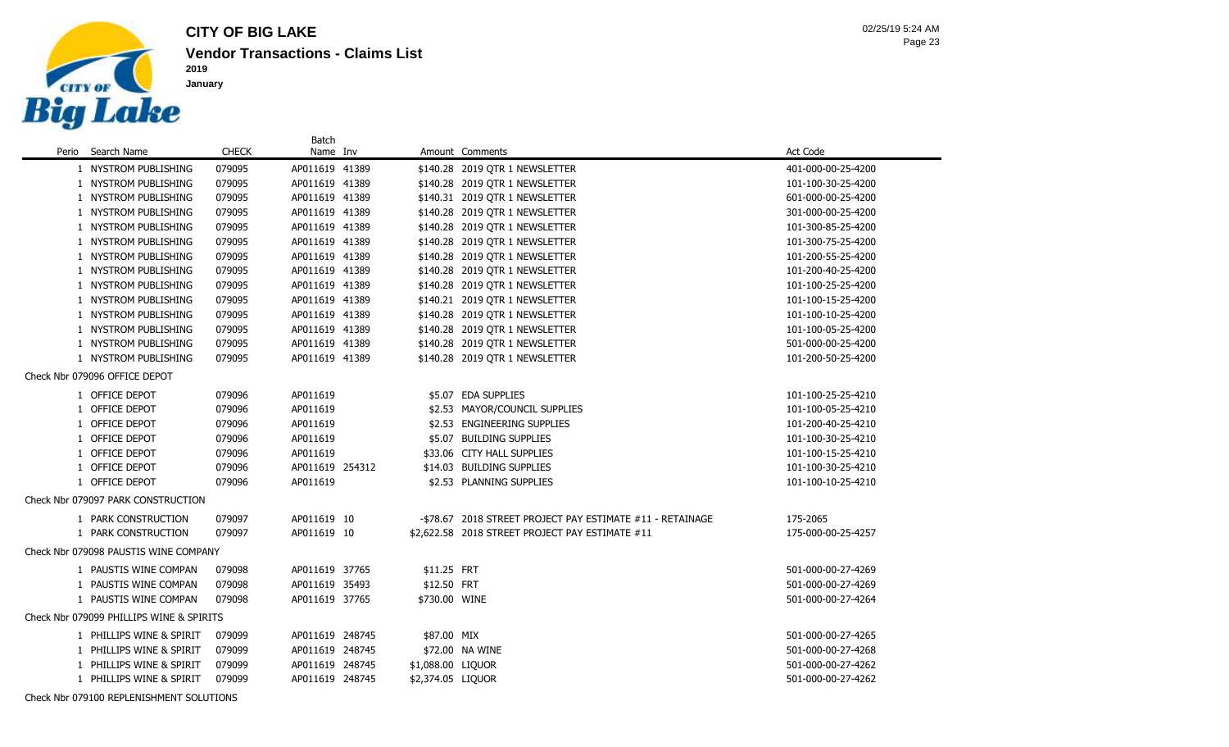

 $\sim$ 

**Vendor Transactions - Claims List CITY OF BIG LAKE**

 **January**

|       |                                          |              | Batch           |                   |                                                           |                    |
|-------|------------------------------------------|--------------|-----------------|-------------------|-----------------------------------------------------------|--------------------|
| Perio | Search Name                              | <b>CHECK</b> | Name Inv        |                   | Amount Comments                                           | Act Code           |
|       | 1 NYSTROM PUBLISHING                     | 079095       | AP011619 41389  |                   | \$140.28 2019 QTR 1 NEWSLETTER                            | 401-000-00-25-4200 |
|       | 1 NYSTROM PUBLISHING                     | 079095       | AP011619 41389  |                   | \$140.28 2019 QTR 1 NEWSLETTER                            | 101-100-30-25-4200 |
|       | 1 NYSTROM PUBLISHING                     | 079095       | AP011619 41389  |                   | \$140.31 2019 QTR 1 NEWSLETTER                            | 601-000-00-25-4200 |
|       | 1 NYSTROM PUBLISHING                     | 079095       | AP011619 41389  |                   | \$140.28 2019 QTR 1 NEWSLETTER                            | 301-000-00-25-4200 |
|       | 1 NYSTROM PUBLISHING                     | 079095       | AP011619 41389  |                   | \$140.28 2019 QTR 1 NEWSLETTER                            | 101-300-85-25-4200 |
|       | 1 NYSTROM PUBLISHING                     | 079095       | AP011619 41389  |                   | \$140.28 2019 QTR 1 NEWSLETTER                            | 101-300-75-25-4200 |
|       | 1 NYSTROM PUBLISHING                     | 079095       | AP011619 41389  |                   | \$140.28 2019 QTR 1 NEWSLETTER                            | 101-200-55-25-4200 |
|       | 1 NYSTROM PUBLISHING                     | 079095       | AP011619 41389  |                   | \$140.28 2019 QTR 1 NEWSLETTER                            | 101-200-40-25-4200 |
|       | 1 NYSTROM PUBLISHING                     | 079095       | AP011619 41389  |                   | \$140.28 2019 QTR 1 NEWSLETTER                            | 101-100-25-25-4200 |
|       | 1 NYSTROM PUBLISHING                     | 079095       | AP011619 41389  |                   | \$140.21 2019 QTR 1 NEWSLETTER                            | 101-100-15-25-4200 |
|       | 1 NYSTROM PUBLISHING                     | 079095       | AP011619 41389  |                   | \$140.28 2019 QTR 1 NEWSLETTER                            | 101-100-10-25-4200 |
|       | 1 NYSTROM PUBLISHING                     | 079095       | AP011619 41389  |                   | \$140.28 2019 QTR 1 NEWSLETTER                            | 101-100-05-25-4200 |
|       | 1 NYSTROM PUBLISHING                     | 079095       | AP011619 41389  |                   | \$140.28 2019 QTR 1 NEWSLETTER                            | 501-000-00-25-4200 |
|       | 1 NYSTROM PUBLISHING                     | 079095       | AP011619 41389  |                   | \$140.28 2019 QTR 1 NEWSLETTER                            | 101-200-50-25-4200 |
|       | Check Nbr 079096 OFFICE DEPOT            |              |                 |                   |                                                           |                    |
|       | 1 OFFICE DEPOT                           | 079096       | AP011619        |                   | \$5.07 EDA SUPPLIES                                       | 101-100-25-25-4210 |
|       | 1 OFFICE DEPOT                           | 079096       | AP011619        |                   | \$2.53 MAYOR/COUNCIL SUPPLIES                             | 101-100-05-25-4210 |
|       | 1 OFFICE DEPOT                           | 079096       | AP011619        |                   | \$2.53 ENGINEERING SUPPLIES                               | 101-200-40-25-4210 |
|       | 1 OFFICE DEPOT                           | 079096       | AP011619        |                   | \$5.07 BUILDING SUPPLIES                                  | 101-100-30-25-4210 |
|       | 1 OFFICE DEPOT                           | 079096       | AP011619        |                   | \$33.06 CITY HALL SUPPLIES                                | 101-100-15-25-4210 |
|       | 1 OFFICE DEPOT                           | 079096       | AP011619 254312 |                   | \$14.03 BUILDING SUPPLIES                                 | 101-100-30-25-4210 |
|       | 1 OFFICE DEPOT                           | 079096       | AP011619        |                   | \$2.53 PLANNING SUPPLIES                                  | 101-100-10-25-4210 |
|       | Check Nbr 079097 PARK CONSTRUCTION       |              |                 |                   |                                                           |                    |
|       | 1 PARK CONSTRUCTION                      | 079097       | AP011619 10     |                   | -\$78.67 2018 STREET PROJECT PAY ESTIMATE #11 - RETAINAGE | 175-2065           |
|       | 1 PARK CONSTRUCTION                      | 079097       | AP011619 10     |                   | \$2,622.58 2018 STREET PROJECT PAY ESTIMATE #11           | 175-000-00-25-4257 |
|       | Check Nbr 079098 PAUSTIS WINE COMPANY    |              |                 |                   |                                                           |                    |
|       | 1 PAUSTIS WINE COMPAN                    | 079098       | AP011619 37765  | \$11.25 FRT       |                                                           | 501-000-00-27-4269 |
|       | 1 PAUSTIS WINE COMPAN                    | 079098       | AP011619 35493  | \$12.50 FRT       |                                                           | 501-000-00-27-4269 |
|       | 1 PAUSTIS WINE COMPAN                    | 079098       | AP011619 37765  | \$730.00 WINE     |                                                           | 501-000-00-27-4264 |
|       | Check Nbr 079099 PHILLIPS WINE & SPIRITS |              |                 |                   |                                                           |                    |
|       | 1 PHILLIPS WINE & SPIRIT                 | 079099       | AP011619 248745 | \$87.00 MIX       |                                                           | 501-000-00-27-4265 |
|       | 1 PHILLIPS WINE & SPIRIT                 | 079099       | AP011619 248745 |                   | \$72.00 NA WINE                                           | 501-000-00-27-4268 |
|       | 1 PHILLIPS WINE & SPIRIT                 | 079099       | AP011619 248745 | \$1,088.00 LIQUOR |                                                           | 501-000-00-27-4262 |
|       | 1 PHILLIPS WINE & SPIRIT                 | 079099       | AP011619 248745 | \$2,374.05 LIOUOR |                                                           | 501-000-00-27-4262 |

Check Nbr 079100 REPLENISHMENT SOLUTIONS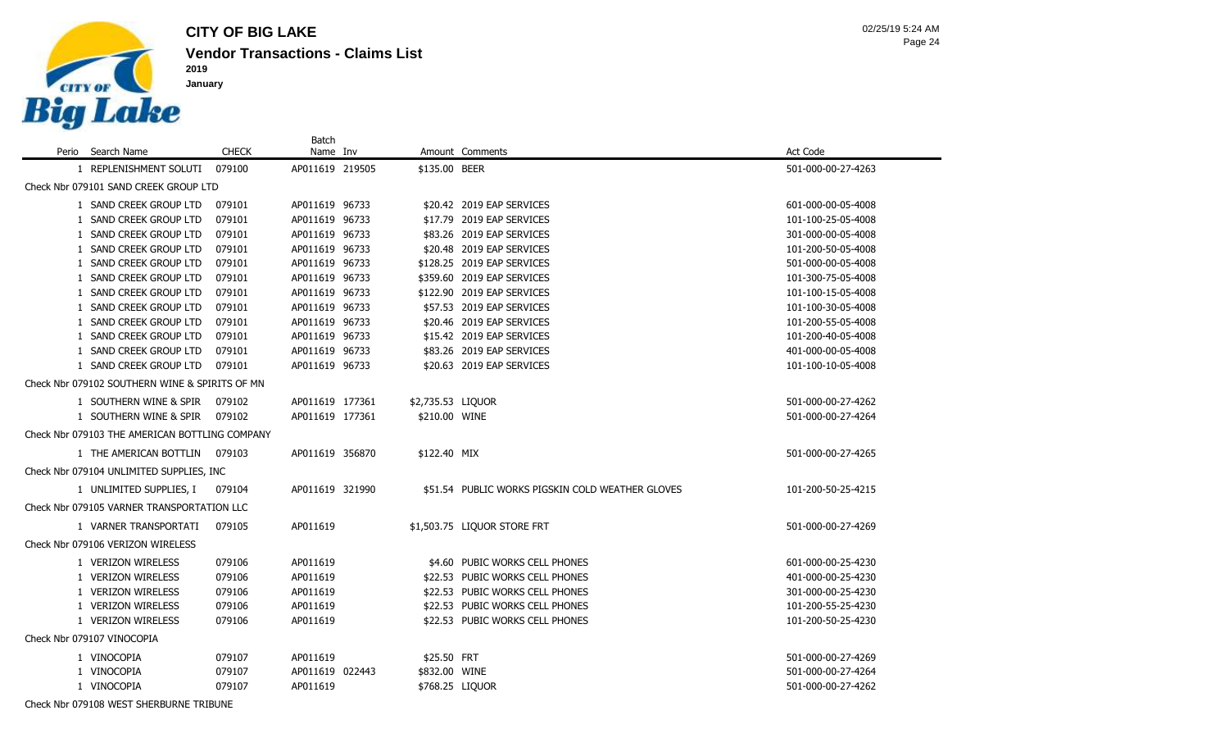

Batch

**January**

| Perio | Search Name                                    | <b>CHECK</b> | Name Inv        |                   | Amount Comments                                  | Act Code           |
|-------|------------------------------------------------|--------------|-----------------|-------------------|--------------------------------------------------|--------------------|
|       | 1 REPLENISHMENT SOLUTI                         | 079100       | AP011619 219505 | \$135.00 BEER     |                                                  | 501-000-00-27-4263 |
|       | Check Nbr 079101 SAND CREEK GROUP LTD          |              |                 |                   |                                                  |                    |
|       | 1 SAND CREEK GROUP LTD                         | 079101       | AP011619 96733  |                   | \$20.42 2019 EAP SERVICES                        | 601-000-00-05-4008 |
|       | 1 SAND CREEK GROUP LTD                         | 079101       | AP011619 96733  |                   | \$17.79 2019 EAP SERVICES                        | 101-100-25-05-4008 |
|       | 1 SAND CREEK GROUP LTD                         | 079101       | AP011619 96733  |                   | \$83.26 2019 EAP SERVICES                        | 301-000-00-05-4008 |
|       | 1 SAND CREEK GROUP LTD                         | 079101       | AP011619 96733  |                   | \$20.48 2019 EAP SERVICES                        | 101-200-50-05-4008 |
|       | 1 SAND CREEK GROUP LTD                         | 079101       | AP011619 96733  |                   | \$128.25 2019 EAP SERVICES                       | 501-000-00-05-4008 |
|       | 1 SAND CREEK GROUP LTD                         | 079101       | AP011619 96733  |                   | \$359.60 2019 EAP SERVICES                       | 101-300-75-05-4008 |
|       | 1 SAND CREEK GROUP LTD                         | 079101       | AP011619 96733  |                   | \$122.90 2019 EAP SERVICES                       | 101-100-15-05-4008 |
|       | 1 SAND CREEK GROUP LTD                         | 079101       | AP011619 96733  |                   | \$57.53 2019 EAP SERVICES                        | 101-100-30-05-4008 |
|       | 1 SAND CREEK GROUP LTD                         | 079101       | AP011619 96733  |                   | \$20.46 2019 EAP SERVICES                        | 101-200-55-05-4008 |
|       | 1 SAND CREEK GROUP LTD                         | 079101       | AP011619 96733  |                   | \$15.42 2019 EAP SERVICES                        | 101-200-40-05-4008 |
|       | 1 SAND CREEK GROUP LTD                         | 079101       | AP011619 96733  |                   | \$83.26 2019 EAP SERVICES                        | 401-000-00-05-4008 |
|       | 1 SAND CREEK GROUP LTD                         | 079101       | AP011619 96733  |                   | \$20.63 2019 EAP SERVICES                        | 101-100-10-05-4008 |
|       | Check Nbr 079102 SOUTHERN WINE & SPIRITS OF MN |              |                 |                   |                                                  |                    |
|       | 1 SOUTHERN WINE & SPIR                         | 079102       | AP011619 177361 | \$2,735.53 LIQUOR |                                                  | 501-000-00-27-4262 |
|       | 1 SOUTHERN WINE & SPIR                         | 079102       | AP011619 177361 | \$210.00 WINE     |                                                  | 501-000-00-27-4264 |
|       | Check Nbr 079103 THE AMERICAN BOTTLING COMPANY |              |                 |                   |                                                  |                    |
|       | 1 THE AMERICAN BOTTLIN 079103                  |              | AP011619 356870 | \$122.40 MIX      |                                                  | 501-000-00-27-4265 |
|       | Check Nbr 079104 UNLIMITED SUPPLIES, INC       |              |                 |                   |                                                  |                    |
|       | 1 UNLIMITED SUPPLIES, I                        | 079104       | AP011619 321990 |                   | \$51.54 PUBLIC WORKS PIGSKIN COLD WEATHER GLOVES | 101-200-50-25-4215 |
|       | Check Nbr 079105 VARNER TRANSPORTATION LLC     |              |                 |                   |                                                  |                    |
|       | 1 VARNER TRANSPORTATI                          | 079105       | AP011619        |                   | \$1,503.75 LIQUOR STORE FRT                      | 501-000-00-27-4269 |
|       | Check Nbr 079106 VERIZON WIRELESS              |              |                 |                   |                                                  |                    |
|       | 1 VERIZON WIRELESS                             | 079106       | AP011619        |                   | \$4.60 PUBIC WORKS CELL PHONES                   | 601-000-00-25-4230 |
|       | 1 VERIZON WIRELESS                             | 079106       | AP011619        |                   | \$22.53 PUBIC WORKS CELL PHONES                  | 401-000-00-25-4230 |
|       | 1 VERIZON WIRELESS                             | 079106       | AP011619        |                   | \$22.53 PUBIC WORKS CELL PHONES                  | 301-000-00-25-4230 |
|       | 1 VERIZON WIRELESS                             | 079106       | AP011619        |                   | \$22.53 PUBIC WORKS CELL PHONES                  | 101-200-55-25-4230 |
|       | 1 VERIZON WIRELESS                             | 079106       | AP011619        |                   | \$22.53 PUBIC WORKS CELL PHONES                  | 101-200-50-25-4230 |
|       | Check Nbr 079107 VINOCOPIA                     |              |                 |                   |                                                  |                    |
|       | 1 VINOCOPIA                                    | 079107       | AP011619        | \$25.50 FRT       |                                                  | 501-000-00-27-4269 |
|       | 1 VINOCOPIA                                    | 079107       | AP011619 022443 | \$832.00 WINE     |                                                  | 501-000-00-27-4264 |
|       | 1 VINOCOPIA                                    | 079107       | AP011619        | \$768.25 LIQUOR   |                                                  | 501-000-00-27-4262 |

Check Nbr 079108 WEST SHERBURNE TRIBUNE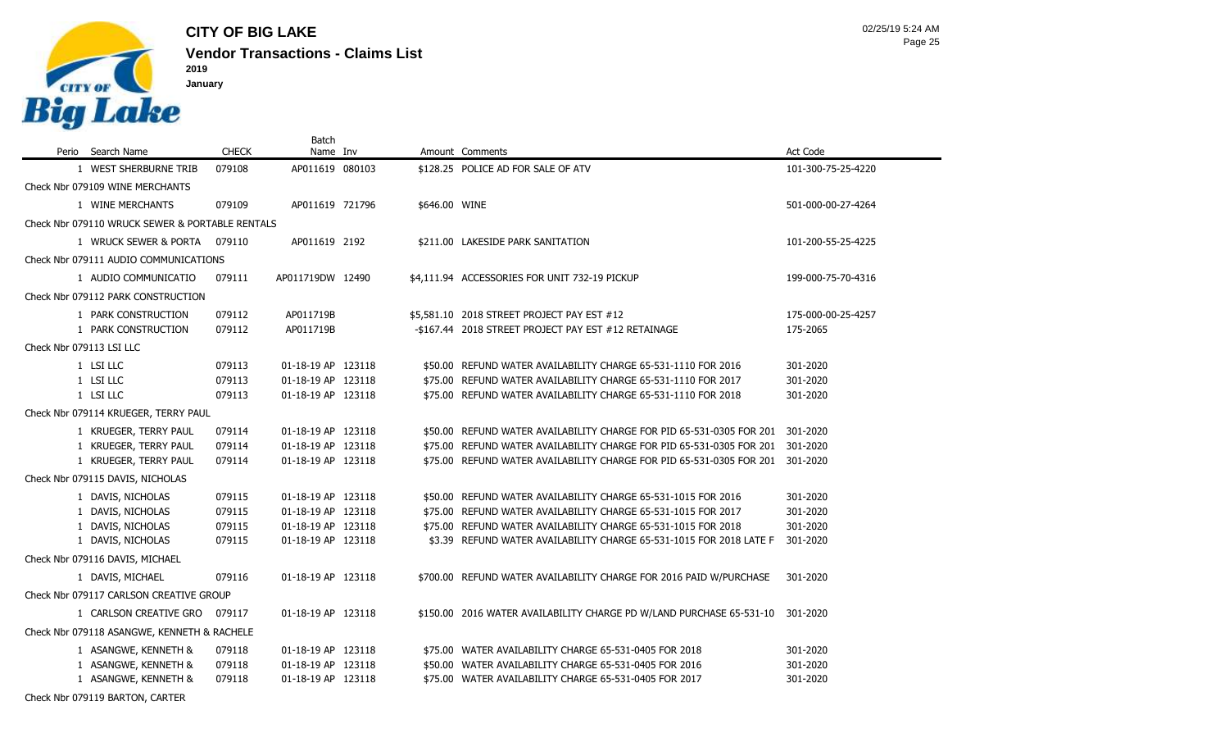

**Vendor Transactions - Claims List CITY OF BIG LAKE 2019 January**

|                                                 |              | Batch              |               |                                                                      |                    |
|-------------------------------------------------|--------------|--------------------|---------------|----------------------------------------------------------------------|--------------------|
| Perio Search Name                               | <b>CHECK</b> | Name Inv           |               | Amount Comments                                                      | Act Code           |
| 1 WEST SHERBURNE TRIB                           | 079108       | AP011619 080103    |               | \$128.25 POLICE AD FOR SALE OF ATV                                   | 101-300-75-25-4220 |
| Check Nbr 079109 WINE MERCHANTS                 |              |                    |               |                                                                      |                    |
| 1 WINE MERCHANTS                                | 079109       | AP011619 721796    | \$646.00 WINE |                                                                      | 501-000-00-27-4264 |
| Check Nbr 079110 WRUCK SEWER & PORTABLE RENTALS |              |                    |               |                                                                      |                    |
| 1 WRUCK SEWER & PORTA 079110                    |              | AP011619 2192      |               | \$211.00 LAKESIDE PARK SANITATION                                    | 101-200-55-25-4225 |
| Check Nbr 079111 AUDIO COMMUNICATIONS           |              |                    |               |                                                                      |                    |
| 1 AUDIO COMMUNICATIO                            | 079111       | AP011719DW 12490   |               | \$4,111.94 ACCESSORIES FOR UNIT 732-19 PICKUP                        | 199-000-75-70-4316 |
| Check Nbr 079112 PARK CONSTRUCTION              |              |                    |               |                                                                      |                    |
| 1 PARK CONSTRUCTION                             | 079112       | AP011719B          |               | \$5,581.10 2018 STREET PROJECT PAY EST #12                           | 175-000-00-25-4257 |
| 1 PARK CONSTRUCTION                             | 079112       | AP011719B          |               | -\$167.44 2018 STREET PROJECT PAY EST #12 RETAINAGE                  | 175-2065           |
| Check Nbr 079113 LSI LLC                        |              |                    |               |                                                                      |                    |
| 1 LSI LLC                                       | 079113       | 01-18-19 AP 123118 |               | \$50.00 REFUND WATER AVAILABILITY CHARGE 65-531-1110 FOR 2016        | 301-2020           |
| 1 LSI LLC                                       | 079113       | 01-18-19 AP 123118 |               | \$75.00 REFUND WATER AVAILABILITY CHARGE 65-531-1110 FOR 2017        | 301-2020           |
| 1 LSI LLC                                       | 079113       | 01-18-19 AP 123118 |               | \$75.00 REFUND WATER AVAILABILITY CHARGE 65-531-1110 FOR 2018        | 301-2020           |
| Check Nbr 079114 KRUEGER, TERRY PAUL            |              |                    |               |                                                                      |                    |
| 1 KRUEGER, TERRY PAUL                           | 079114       | 01-18-19 AP 123118 |               | \$50.00 REFUND WATER AVAILABILITY CHARGE FOR PID 65-531-0305 FOR 201 | 301-2020           |
| 1 KRUEGER, TERRY PAUL                           | 079114       | 01-18-19 AP 123118 |               | \$75.00 REFUND WATER AVAILABILITY CHARGE FOR PID 65-531-0305 FOR 201 | 301-2020           |
| 1 KRUEGER, TERRY PAUL                           | 079114       | 01-18-19 AP 123118 |               | \$75.00 REFUND WATER AVAILABILITY CHARGE FOR PID 65-531-0305 FOR 201 | 301-2020           |
| Check Nbr 079115 DAVIS, NICHOLAS                |              |                    |               |                                                                      |                    |
| 1 DAVIS, NICHOLAS                               | 079115       | 01-18-19 AP 123118 |               | \$50.00 REFUND WATER AVAILABILITY CHARGE 65-531-1015 FOR 2016        | 301-2020           |
| 1 DAVIS, NICHOLAS                               | 079115       | 01-18-19 AP 123118 |               | \$75.00 REFUND WATER AVAILABILITY CHARGE 65-531-1015 FOR 2017        | 301-2020           |
| 1 DAVIS, NICHOLAS                               | 079115       | 01-18-19 AP 123118 |               | \$75.00 REFUND WATER AVAILABILITY CHARGE 65-531-1015 FOR 2018        | 301-2020           |
| 1 DAVIS, NICHOLAS                               | 079115       | 01-18-19 AP 123118 |               | \$3.39 REFUND WATER AVAILABILITY CHARGE 65-531-1015 FOR 2018 LATE F  | 301-2020           |
| Check Nbr 079116 DAVIS, MICHAEL                 |              |                    |               |                                                                      |                    |
| 1 DAVIS, MICHAEL                                | 079116       | 01-18-19 AP 123118 |               | \$700.00 REFUND WATER AVAILABILITY CHARGE FOR 2016 PAID W/PURCHASE   | 301-2020           |
| Check Nbr 079117 CARLSON CREATIVE GROUP         |              |                    |               |                                                                      |                    |
| 1 CARLSON CREATIVE GRO                          | 079117       | 01-18-19 AP 123118 |               | \$150.00 2016 WATER AVAILABILITY CHARGE PD W/LAND PURCHASE 65-531-10 | 301-2020           |
| Check Nbr 079118 ASANGWE, KENNETH & RACHELE     |              |                    |               |                                                                      |                    |
| 1 ASANGWE, KENNETH &                            | 079118       | 01-18-19 AP 123118 |               | \$75.00 WATER AVAILABILITY CHARGE 65-531-0405 FOR 2018               | 301-2020           |
| 1 ASANGWE, KENNETH &                            | 079118       | 01-18-19 AP 123118 |               | \$50.00 WATER AVAILABILITY CHARGE 65-531-0405 FOR 2016               | 301-2020           |
| 1 ASANGWE, KENNETH &                            | 079118       | 01-18-19 AP 123118 |               | \$75.00 WATER AVAILABILITY CHARGE 65-531-0405 FOR 2017               | 301-2020           |

Check Nbr 079119 BARTON, CARTER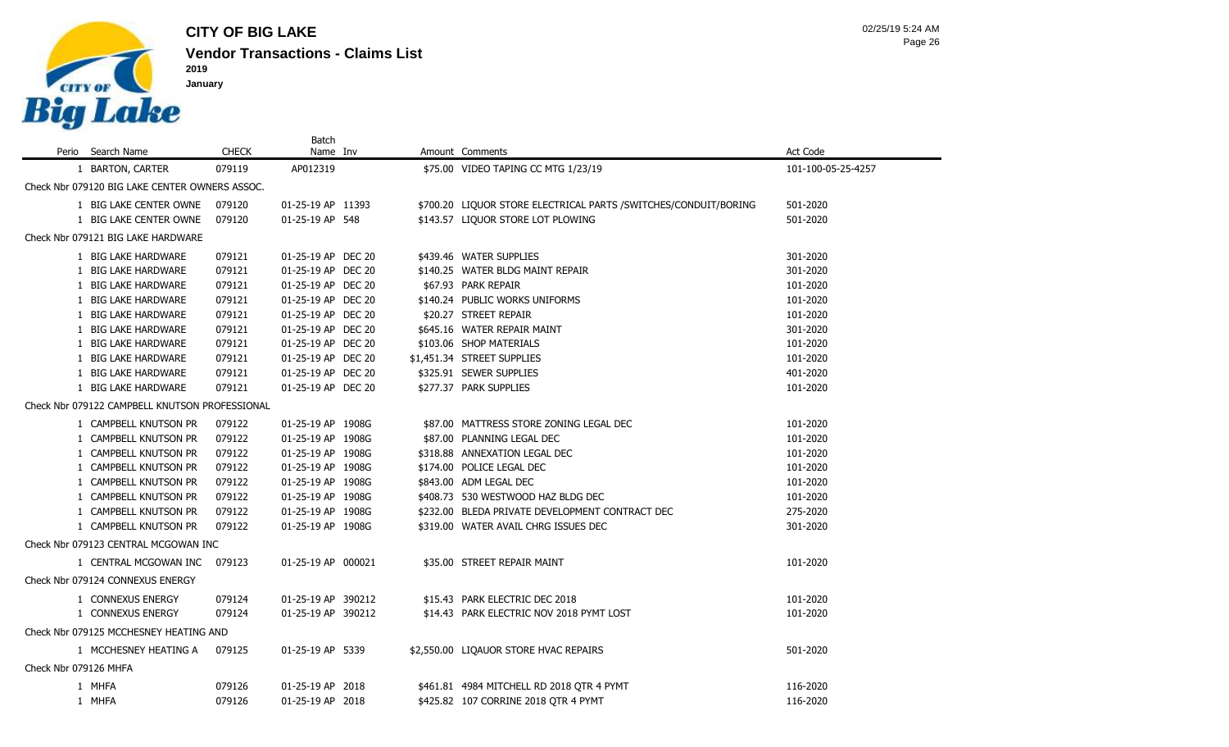

Page 26 02/25/19 5:24 AM

|                                                |                                                |              | <b>Batch</b>       |  |  |                                                                      |                    |  |  |  |
|------------------------------------------------|------------------------------------------------|--------------|--------------------|--|--|----------------------------------------------------------------------|--------------------|--|--|--|
|                                                | Perio Search Name                              | <b>CHECK</b> | Name Inv           |  |  | Amount Comments                                                      | Act Code           |  |  |  |
|                                                | 1 BARTON, CARTER                               | 079119       | AP012319           |  |  | \$75.00 VIDEO TAPING CC MTG 1/23/19                                  | 101-100-05-25-4257 |  |  |  |
|                                                | Check Nbr 079120 BIG LAKE CENTER OWNERS ASSOC. |              |                    |  |  |                                                                      |                    |  |  |  |
|                                                | 1 BIG LAKE CENTER OWNE                         | 079120       | 01-25-19 AP 11393  |  |  | \$700.20 LIQUOR STORE ELECTRICAL PARTS / SWITCHES / CONDUIT / BORING | 501-2020           |  |  |  |
|                                                | 1 BIG LAKE CENTER OWNE                         | 079120       | 01-25-19 AP 548    |  |  | \$143.57 LIQUOR STORE LOT PLOWING                                    | 501-2020           |  |  |  |
|                                                | Check Nbr 079121 BIG LAKE HARDWARE             |              |                    |  |  |                                                                      |                    |  |  |  |
|                                                | 1 BIG LAKE HARDWARE                            | 079121       | 01-25-19 AP DEC 20 |  |  | \$439.46 WATER SUPPLIES                                              | 301-2020           |  |  |  |
|                                                | 1 BIG LAKE HARDWARE                            | 079121       | 01-25-19 AP DEC 20 |  |  | \$140.25 WATER BLDG MAINT REPAIR                                     | 301-2020           |  |  |  |
|                                                | 1 BIG LAKE HARDWARE                            | 079121       | 01-25-19 AP DEC 20 |  |  | \$67.93 PARK REPAIR                                                  | 101-2020           |  |  |  |
|                                                | 1 BIG LAKE HARDWARE                            | 079121       | 01-25-19 AP DEC 20 |  |  | \$140.24 PUBLIC WORKS UNIFORMS                                       | 101-2020           |  |  |  |
|                                                | 1 BIG LAKE HARDWARE                            | 079121       | 01-25-19 AP DEC 20 |  |  | \$20.27 STREET REPAIR                                                | 101-2020           |  |  |  |
|                                                | 1 BIG LAKE HARDWARE                            | 079121       | 01-25-19 AP DEC 20 |  |  | \$645.16 WATER REPAIR MAINT                                          | 301-2020           |  |  |  |
|                                                | 1 BIG LAKE HARDWARE                            | 079121       | 01-25-19 AP DEC 20 |  |  | \$103.06 SHOP MATERIALS                                              | 101-2020           |  |  |  |
|                                                | 1 BIG LAKE HARDWARE                            | 079121       | 01-25-19 AP DEC 20 |  |  | \$1,451.34 STREET SUPPLIES                                           | 101-2020           |  |  |  |
|                                                | 1 BIG LAKE HARDWARE                            | 079121       | 01-25-19 AP DEC 20 |  |  | \$325.91 SEWER SUPPLIES                                              | 401-2020           |  |  |  |
|                                                | 1 BIG LAKE HARDWARE                            | 079121       | 01-25-19 AP DEC 20 |  |  | \$277.37 PARK SUPPLIES                                               | 101-2020           |  |  |  |
| Check Nbr 079122 CAMPBELL KNUTSON PROFESSIONAL |                                                |              |                    |  |  |                                                                      |                    |  |  |  |
|                                                | 1 CAMPBELL KNUTSON PR                          | 079122       | 01-25-19 AP 1908G  |  |  | \$87.00 MATTRESS STORE ZONING LEGAL DEC                              | 101-2020           |  |  |  |
|                                                | 1 CAMPBELL KNUTSON PR                          | 079122       | 01-25-19 AP 1908G  |  |  | \$87.00 PLANNING LEGAL DEC                                           | 101-2020           |  |  |  |
|                                                | 1 CAMPBELL KNUTSON PR                          | 079122       | 01-25-19 AP 1908G  |  |  | \$318.88 ANNEXATION LEGAL DEC                                        | 101-2020           |  |  |  |
|                                                | 1 CAMPBELL KNUTSON PR                          | 079122       | 01-25-19 AP 1908G  |  |  | \$174.00 POLICE LEGAL DEC                                            | 101-2020           |  |  |  |
|                                                | 1 CAMPBELL KNUTSON PR                          | 079122       | 01-25-19 AP 1908G  |  |  | \$843.00 ADM LEGAL DEC                                               | 101-2020           |  |  |  |
|                                                | 1 CAMPBELL KNUTSON PR                          | 079122       | 01-25-19 AP 1908G  |  |  | \$408.73 530 WESTWOOD HAZ BLDG DEC                                   | 101-2020           |  |  |  |
|                                                | 1 CAMPBELL KNUTSON PR                          | 079122       | 01-25-19 AP 1908G  |  |  | \$232.00 BLEDA PRIVATE DEVELOPMENT CONTRACT DEC                      | 275-2020           |  |  |  |
|                                                | 1 CAMPBELL KNUTSON PR                          | 079122       | 01-25-19 AP 1908G  |  |  | \$319.00 WATER AVAIL CHRG ISSUES DEC                                 | 301-2020           |  |  |  |
|                                                | Check Nbr 079123 CENTRAL MCGOWAN INC           |              |                    |  |  |                                                                      |                    |  |  |  |
|                                                | 1 CENTRAL MCGOWAN INC                          | 079123       | 01-25-19 AP 000021 |  |  | \$35.00 STREET REPAIR MAINT                                          | 101-2020           |  |  |  |
|                                                | Check Nbr 079124 CONNEXUS ENERGY               |              |                    |  |  |                                                                      |                    |  |  |  |
|                                                | 1 CONNEXUS ENERGY                              | 079124       | 01-25-19 AP 390212 |  |  | \$15.43 PARK ELECTRIC DEC 2018                                       | 101-2020           |  |  |  |
|                                                | 1 CONNEXUS ENERGY                              | 079124       | 01-25-19 AP 390212 |  |  | \$14.43 PARK ELECTRIC NOV 2018 PYMT LOST                             | 101-2020           |  |  |  |
|                                                | Check Nbr 079125 MCCHESNEY HEATING AND         |              |                    |  |  |                                                                      |                    |  |  |  |
|                                                | 1 MCCHESNEY HEATING A                          | 079125       | 01-25-19 AP 5339   |  |  | \$2,550.00 LIQAUOR STORE HVAC REPAIRS                                | 501-2020           |  |  |  |
| Check Nbr 079126 MHFA                          |                                                |              |                    |  |  |                                                                      |                    |  |  |  |
|                                                | 1 MHFA                                         | 079126       | 01-25-19 AP 2018   |  |  | \$461.81 4984 MITCHELL RD 2018 OTR 4 PYMT                            | 116-2020           |  |  |  |
|                                                | 1 MHFA                                         | 079126       | 01-25-19 AP 2018   |  |  | \$425.82 107 CORRINE 2018 QTR 4 PYMT                                 | 116-2020           |  |  |  |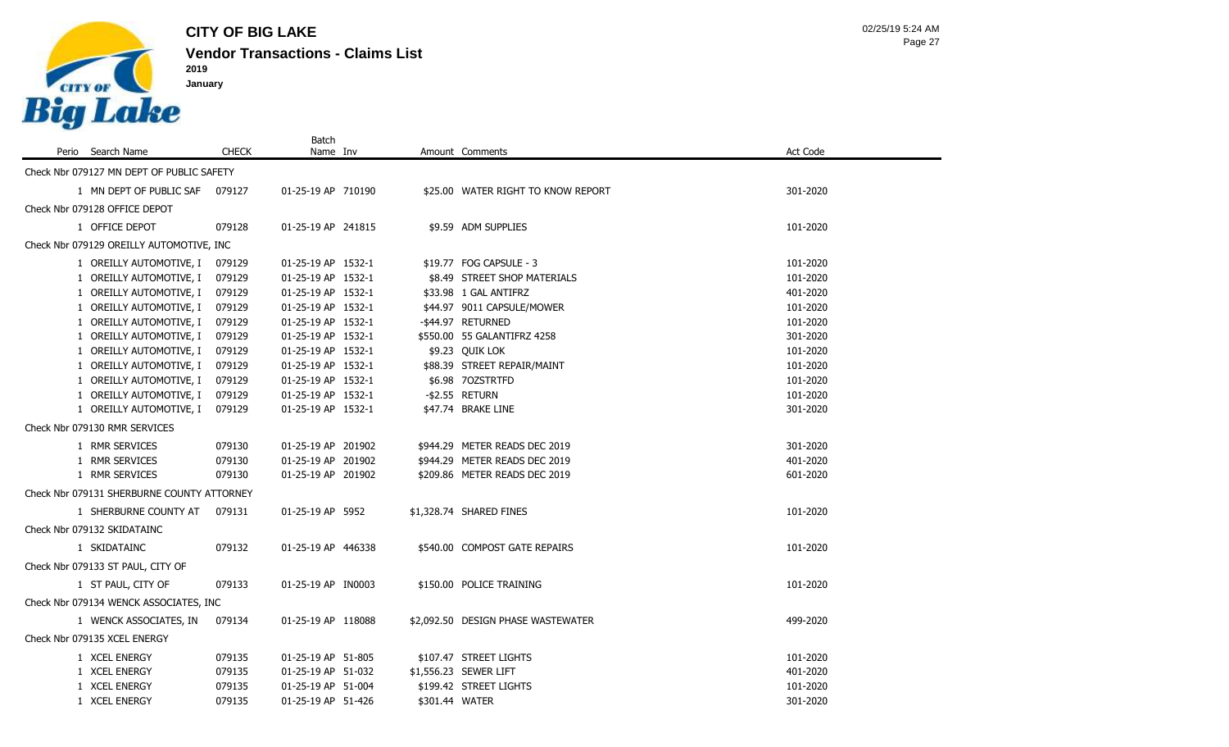

|                                            |              | Batch              |                |                                    |                 |
|--------------------------------------------|--------------|--------------------|----------------|------------------------------------|-----------------|
| Perio Search Name                          | <b>CHECK</b> | Name Inv           |                | Amount Comments                    | <b>Act Code</b> |
| Check Nbr 079127 MN DEPT OF PUBLIC SAFETY  |              |                    |                |                                    |                 |
| 1 MN DEPT OF PUBLIC SAF 079127             |              | 01-25-19 AP 710190 |                | \$25.00 WATER RIGHT TO KNOW REPORT | 301-2020        |
| Check Nbr 079128 OFFICE DEPOT              |              |                    |                |                                    |                 |
| 1 OFFICE DEPOT                             | 079128       | 01-25-19 AP 241815 |                | \$9.59 ADM SUPPLIES                | 101-2020        |
| Check Nbr 079129 OREILLY AUTOMOTIVE, INC   |              |                    |                |                                    |                 |
| 1 OREILLY AUTOMOTIVE, I 079129             |              | 01-25-19 AP 1532-1 |                | \$19.77 FOG CAPSULE - 3            | 101-2020        |
| 1 OREILLY AUTOMOTIVE, I 079129             |              | 01-25-19 AP 1532-1 |                | \$8.49 STREET SHOP MATERIALS       | 101-2020        |
| 1 OREILLY AUTOMOTIVE, I 079129             |              | 01-25-19 AP 1532-1 |                | \$33.98 1 GAL ANTIFRZ              | 401-2020        |
| 1 OREILLY AUTOMOTIVE, I                    | 079129       | 01-25-19 AP 1532-1 |                | \$44.97 9011 CAPSULE/MOWER         | 101-2020        |
| 1 OREILLY AUTOMOTIVE, I 079129             |              | 01-25-19 AP 1532-1 |                | -\$44.97 RETURNED                  | 101-2020        |
| 1 OREILLY AUTOMOTIVE, I 079129             |              | 01-25-19 AP 1532-1 |                | \$550.00 55 GALANTIFRZ 4258        | 301-2020        |
| 1 OREILLY AUTOMOTIVE, I 079129             |              | 01-25-19 AP 1532-1 |                | \$9.23 QUIK LOK                    | 101-2020        |
| 1 OREILLY AUTOMOTIVE, I 079129             |              | 01-25-19 AP 1532-1 |                | \$88.39 STREET REPAIR/MAINT        | 101-2020        |
| 1 OREILLY AUTOMOTIVE, I 079129             |              | 01-25-19 AP 1532-1 |                | \$6.98 70ZSTRTFD                   | 101-2020        |
| 1 OREILLY AUTOMOTIVE, I 079129             |              | 01-25-19 AP 1532-1 |                | -\$2.55 RETURN                     | 101-2020        |
| 1 OREILLY AUTOMOTIVE, I 079129             |              | 01-25-19 AP 1532-1 |                | \$47.74 BRAKE LINE                 | 301-2020        |
| Check Nbr 079130 RMR SERVICES              |              |                    |                |                                    |                 |
| 1 RMR SERVICES                             | 079130       | 01-25-19 AP 201902 |                | \$944.29 METER READS DEC 2019      | 301-2020        |
| 1 RMR SERVICES                             | 079130       | 01-25-19 AP 201902 |                | \$944.29 METER READS DEC 2019      | 401-2020        |
| 1 RMR SERVICES                             | 079130       | 01-25-19 AP 201902 |                | \$209.86 METER READS DEC 2019      | 601-2020        |
| Check Nbr 079131 SHERBURNE COUNTY ATTORNEY |              |                    |                |                                    |                 |
| 1 SHERBURNE COUNTY AT 079131               |              | 01-25-19 AP 5952   |                | \$1,328.74 SHARED FINES            | 101-2020        |
| Check Nbr 079132 SKIDATAINC                |              |                    |                |                                    |                 |
| 1 SKIDATAINC                               | 079132       | 01-25-19 AP 446338 |                | \$540.00 COMPOST GATE REPAIRS      | 101-2020        |
| Check Nbr 079133 ST PAUL, CITY OF          |              |                    |                |                                    |                 |
| 1 ST PAUL, CITY OF                         | 079133       | 01-25-19 AP IN0003 |                | \$150.00 POLICE TRAINING           | 101-2020        |
| Check Nbr 079134 WENCK ASSOCIATES, INC     |              |                    |                |                                    |                 |
| 1 WENCK ASSOCIATES, IN                     | 079134       | 01-25-19 AP 118088 |                | \$2,092.50 DESIGN PHASE WASTEWATER | 499-2020        |
| Check Nbr 079135 XCEL ENERGY               |              |                    |                |                                    |                 |
| 1 XCEL ENERGY                              | 079135       | 01-25-19 AP 51-805 |                | \$107.47 STREET LIGHTS             | 101-2020        |
| 1 XCEL ENERGY                              | 079135       | 01-25-19 AP 51-032 |                | \$1,556.23 SEWER LIFT              | 401-2020        |
| 1 XCEL ENERGY                              | 079135       | 01-25-19 AP 51-004 |                | \$199.42 STREET LIGHTS             | 101-2020        |
| 1 XCEL ENERGY                              | 079135       | 01-25-19 AP 51-426 | \$301.44 WATER |                                    | 301-2020        |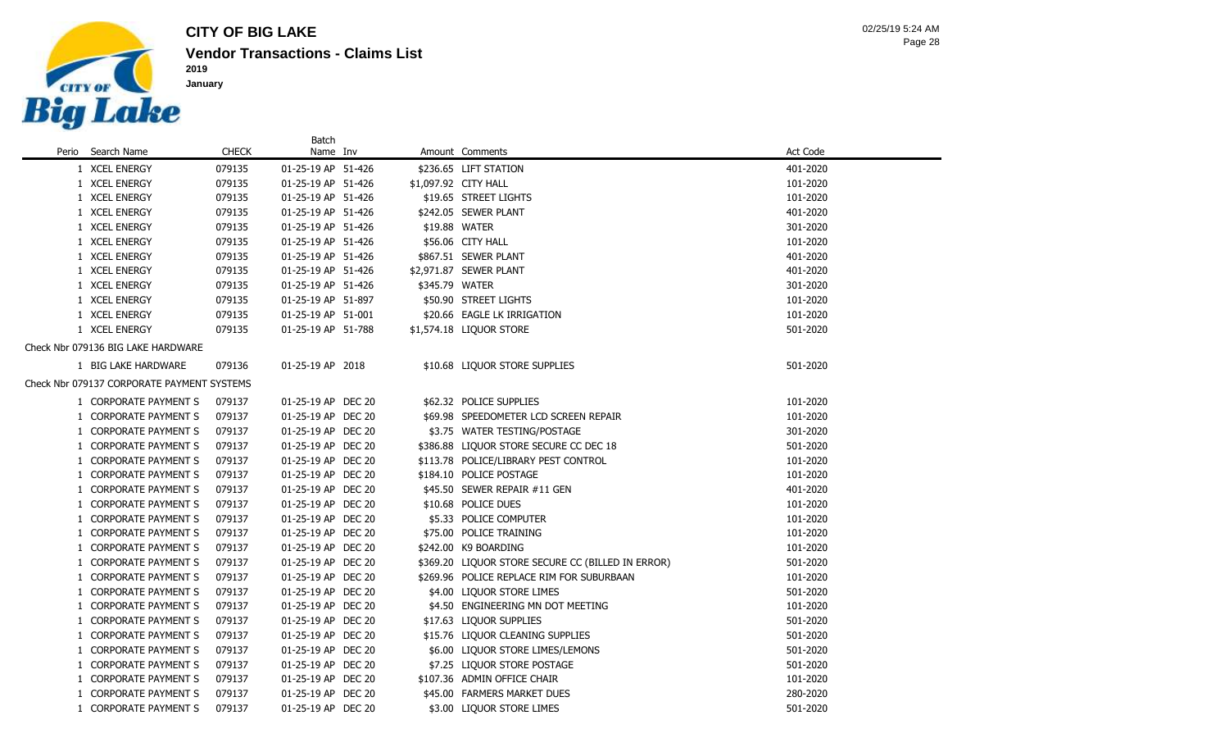**January**

**Vendor Transactions - Claims List CITY OF BIG LAKE** 

Page 28

02/25/19 5:24 AM

|                                            |              | Batch              |  |                                                   |          |
|--------------------------------------------|--------------|--------------------|--|---------------------------------------------------|----------|
| Perio Search Name                          | <b>CHECK</b> | Name Inv           |  | Amount Comments                                   | Act Code |
| 1 XCEL ENERGY                              | 079135       | 01-25-19 AP 51-426 |  | \$236.65 LIFT STATION                             | 401-2020 |
| 1 XCEL ENERGY                              | 079135       | 01-25-19 AP 51-426 |  | \$1,097.92 CITY HALL                              | 101-2020 |
| 1 XCEL ENERGY                              | 079135       | 01-25-19 AP 51-426 |  | \$19.65 STREET LIGHTS                             | 101-2020 |
| 1 XCEL ENERGY                              | 079135       | 01-25-19 AP 51-426 |  | \$242.05 SEWER PLANT                              | 401-2020 |
| 1 XCEL ENERGY                              | 079135       | 01-25-19 AP 51-426 |  | \$19.88 WATER                                     | 301-2020 |
| 1 XCEL ENERGY                              | 079135       | 01-25-19 AP 51-426 |  | \$56.06 CITY HALL                                 | 101-2020 |
| 1 XCEL ENERGY                              | 079135       | 01-25-19 AP 51-426 |  | \$867.51 SEWER PLANT                              | 401-2020 |
| 1 XCEL ENERGY                              | 079135       | 01-25-19 AP 51-426 |  | \$2,971.87 SEWER PLANT                            | 401-2020 |
| 1 XCEL ENERGY                              | 079135       | 01-25-19 AP 51-426 |  | \$345.79 WATER                                    | 301-2020 |
| 1 XCEL ENERGY                              | 079135       | 01-25-19 AP 51-897 |  | \$50.90 STREET LIGHTS                             | 101-2020 |
| 1 XCEL ENERGY                              | 079135       | 01-25-19 AP 51-001 |  | \$20.66 EAGLE LK IRRIGATION                       | 101-2020 |
| 1 XCEL ENERGY                              | 079135       | 01-25-19 AP 51-788 |  | \$1,574.18 LIQUOR STORE                           | 501-2020 |
| Check Nbr 079136 BIG LAKE HARDWARE         |              |                    |  |                                                   |          |
| 1 BIG LAKE HARDWARE                        | 079136       | 01-25-19 AP 2018   |  | \$10.68 LIQUOR STORE SUPPLIES                     | 501-2020 |
| Check Nbr 079137 CORPORATE PAYMENT SYSTEMS |              |                    |  |                                                   |          |
| 1 CORPORATE PAYMENT S                      | 079137       | 01-25-19 AP DEC 20 |  | \$62.32 POLICE SUPPLIES                           | 101-2020 |
| 1 CORPORATE PAYMENT S                      | 079137       | 01-25-19 AP DEC 20 |  | \$69.98 SPEEDOMETER LCD SCREEN REPAIR             | 101-2020 |
| 1 CORPORATE PAYMENT S                      | 079137       | 01-25-19 AP DEC 20 |  | \$3.75 WATER TESTING/POSTAGE                      | 301-2020 |
| 1 CORPORATE PAYMENT S                      | 079137       | 01-25-19 AP DEC 20 |  | \$386.88 LIQUOR STORE SECURE CC DEC 18            | 501-2020 |
| 1 CORPORATE PAYMENT S                      | 079137       | 01-25-19 AP DEC 20 |  | \$113.78 POLICE/LIBRARY PEST CONTROL              | 101-2020 |
| 1 CORPORATE PAYMENT S                      | 079137       | 01-25-19 AP DEC 20 |  | \$184.10 POLICE POSTAGE                           | 101-2020 |
| 1 CORPORATE PAYMENT S                      | 079137       | 01-25-19 AP DEC 20 |  | \$45.50 SEWER REPAIR #11 GEN                      | 401-2020 |
| 1 CORPORATE PAYMENT S                      | 079137       | 01-25-19 AP DEC 20 |  | \$10.68 POLICE DUES                               | 101-2020 |
| 1 CORPORATE PAYMENT S                      | 079137       | 01-25-19 AP DEC 20 |  | \$5.33 POLICE COMPUTER                            | 101-2020 |
| 1 CORPORATE PAYMENT S                      | 079137       | 01-25-19 AP DEC 20 |  | \$75.00 POLICE TRAINING                           | 101-2020 |
| 1 CORPORATE PAYMENT S                      | 079137       | 01-25-19 AP DEC 20 |  | \$242.00 K9 BOARDING                              | 101-2020 |
| 1 CORPORATE PAYMENT S                      | 079137       | 01-25-19 AP DEC 20 |  | \$369.20 LIQUOR STORE SECURE CC (BILLED IN ERROR) | 501-2020 |
| 1 CORPORATE PAYMENT S                      | 079137       | 01-25-19 AP DEC 20 |  | \$269.96 POLICE REPLACE RIM FOR SUBURBAAN         | 101-2020 |
| 1 CORPORATE PAYMENT S                      | 079137       | 01-25-19 AP DEC 20 |  | \$4.00 LIQUOR STORE LIMES                         | 501-2020 |
| 1 CORPORATE PAYMENT S                      | 079137       | 01-25-19 AP DEC 20 |  | \$4.50 ENGINEERING MN DOT MEETING                 | 101-2020 |
| 1 CORPORATE PAYMENT S                      | 079137       | 01-25-19 AP DEC 20 |  | \$17.63 LIQUOR SUPPLIES                           | 501-2020 |
| 1 CORPORATE PAYMENT S                      | 079137       | 01-25-19 AP DEC 20 |  | \$15.76 LIQUOR CLEANING SUPPLIES                  | 501-2020 |
| 1 CORPORATE PAYMENT S                      | 079137       | 01-25-19 AP DEC 20 |  | \$6.00 LIQUOR STORE LIMES/LEMONS                  | 501-2020 |
| 1 CORPORATE PAYMENT S                      | 079137       | 01-25-19 AP DEC 20 |  | \$7.25 LIQUOR STORE POSTAGE                       | 501-2020 |
| 1 CORPORATE PAYMENT S                      | 079137       | 01-25-19 AP DEC 20 |  | \$107.36 ADMIN OFFICE CHAIR                       | 101-2020 |
| 1 CORPORATE PAYMENT S                      | 079137       | 01-25-19 AP DEC 20 |  | \$45.00 FARMERS MARKET DUES                       | 280-2020 |
| 1 CORPORATE PAYMENT S                      | 079137       | 01-25-19 AP DEC 20 |  | \$3.00 LIQUOR STORE LIMES                         | 501-2020 |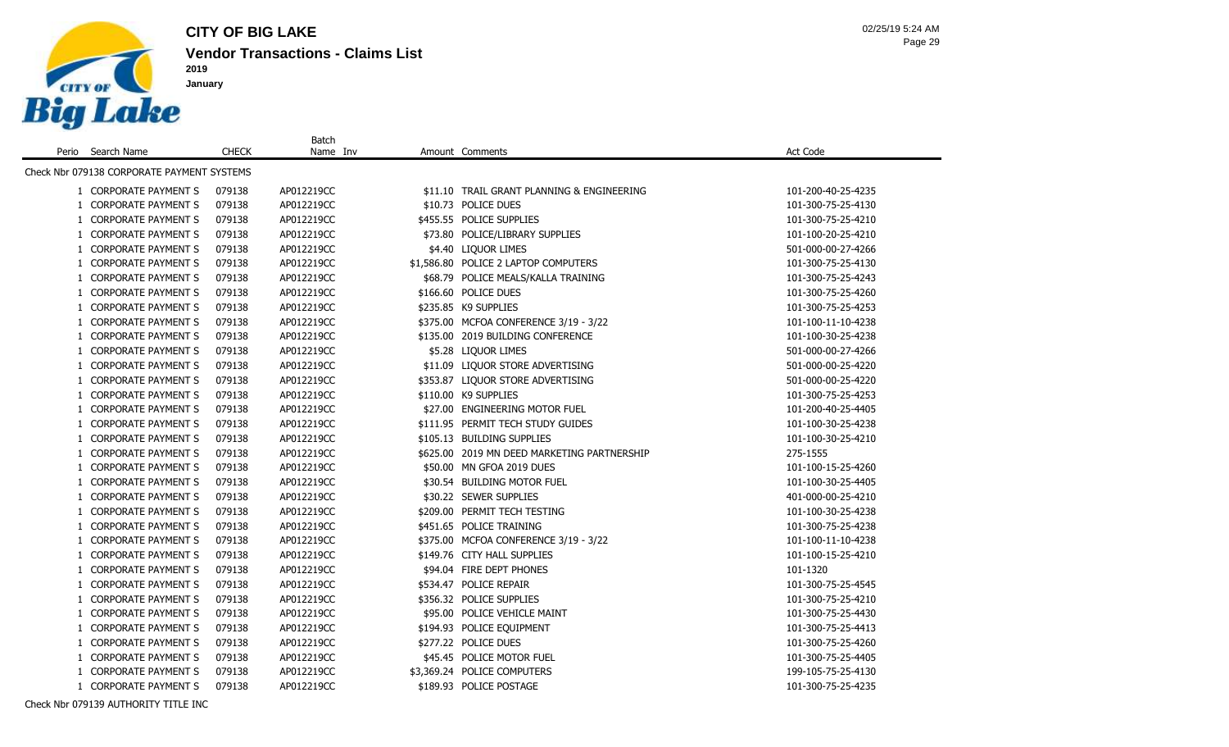

**January**

|                                            |              | Batch      |          |                                             |                    |
|--------------------------------------------|--------------|------------|----------|---------------------------------------------|--------------------|
| Perio Search Name                          | <b>CHECK</b> | Name Inv   |          | Amount Comments                             | Act Code           |
| Check Nbr 079138 CORPORATE PAYMENT SYSTEMS |              |            |          |                                             |                    |
| 1 CORPORATE PAYMENT S                      | 079138       | AP012219CC |          | \$11.10 TRAIL GRANT PLANNING & ENGINEERING  | 101-200-40-25-4235 |
| 1 CORPORATE PAYMENT S                      | 079138       | AP012219CC |          | \$10.73 POLICE DUES                         | 101-300-75-25-4130 |
| 1 CORPORATE PAYMENT S                      | 079138       | AP012219CC |          | \$455.55 POLICE SUPPLIES                    | 101-300-75-25-4210 |
| 1 CORPORATE PAYMENT S                      | 079138       | AP012219CC |          | \$73.80 POLICE/LIBRARY SUPPLIES             | 101-100-20-25-4210 |
| 1 CORPORATE PAYMENT S                      | 079138       | AP012219CC |          | \$4.40 LIQUOR LIMES                         | 501-000-00-27-4266 |
| 1 CORPORATE PAYMENT S                      | 079138       | AP012219CC |          | \$1,586.80 POLICE 2 LAPTOP COMPUTERS        | 101-300-75-25-4130 |
| 1 CORPORATE PAYMENT S                      | 079138       | AP012219CC |          | \$68.79 POLICE MEALS/KALLA TRAINING         | 101-300-75-25-4243 |
| 1 CORPORATE PAYMENT S                      | 079138       | AP012219CC |          | \$166.60 POLICE DUES                        | 101-300-75-25-4260 |
| 1 CORPORATE PAYMENT S                      | 079138       | AP012219CC |          | \$235.85 K9 SUPPLIES                        | 101-300-75-25-4253 |
| 1 CORPORATE PAYMENT S                      | 079138       | AP012219CC |          | \$375.00 MCFOA CONFERENCE 3/19 - 3/22       | 101-100-11-10-4238 |
| 1 CORPORATE PAYMENT S                      | 079138       | AP012219CC |          | \$135.00 2019 BUILDING CONFERENCE           | 101-100-30-25-4238 |
| 1 CORPORATE PAYMENT S                      | 079138       | AP012219CC |          | \$5.28 LIQUOR LIMES                         | 501-000-00-27-4266 |
| 1 CORPORATE PAYMENT S                      | 079138       | AP012219CC |          | \$11.09 LIQUOR STORE ADVERTISING            | 501-000-00-25-4220 |
| 1 CORPORATE PAYMENT S                      | 079138       | AP012219CC |          | \$353.87 LIQUOR STORE ADVERTISING           | 501-000-00-25-4220 |
| 1 CORPORATE PAYMENT S                      | 079138       | AP012219CC |          | \$110.00 K9 SUPPLIES                        | 101-300-75-25-4253 |
| 1 CORPORATE PAYMENT S                      | 079138       | AP012219CC | \$27.00  | ENGINEERING MOTOR FUEL                      | 101-200-40-25-4405 |
| 1 CORPORATE PAYMENT S                      | 079138       | AP012219CC |          | \$111.95 PERMIT TECH STUDY GUIDES           | 101-100-30-25-4238 |
| 1 CORPORATE PAYMENT S                      | 079138       | AP012219CC |          | \$105.13 BUILDING SUPPLIES                  | 101-100-30-25-4210 |
| 1 CORPORATE PAYMENT S                      | 079138       | AP012219CC |          | \$625.00 2019 MN DEED MARKETING PARTNERSHIP | 275-1555           |
| 1 CORPORATE PAYMENT S                      | 079138       | AP012219CC |          | \$50.00 MN GFOA 2019 DUES                   | 101-100-15-25-4260 |
| 1 CORPORATE PAYMENT S                      | 079138       | AP012219CC |          | \$30.54 BUILDING MOTOR FUEL                 | 101-100-30-25-4405 |
| 1 CORPORATE PAYMENT S                      | 079138       | AP012219CC |          | \$30.22 SEWER SUPPLIES                      | 401-000-00-25-4210 |
| 1 CORPORATE PAYMENT S                      | 079138       | AP012219CC |          | \$209.00 PERMIT TECH TESTING                | 101-100-30-25-4238 |
| 1 CORPORATE PAYMENT S                      | 079138       | AP012219CC |          | \$451.65 POLICE TRAINING                    | 101-300-75-25-4238 |
| 1 CORPORATE PAYMENT S                      | 079138       | AP012219CC |          | \$375.00 MCFOA CONFERENCE 3/19 - 3/22       | 101-100-11-10-4238 |
| 1 CORPORATE PAYMENT S                      | 079138       | AP012219CC |          | \$149.76 CITY HALL SUPPLIES                 | 101-100-15-25-4210 |
| 1 CORPORATE PAYMENT S                      | 079138       | AP012219CC |          | \$94.04 FIRE DEPT PHONES                    | 101-1320           |
| 1 CORPORATE PAYMENT S                      | 079138       | AP012219CC | \$534.47 | POLICE REPAIR                               | 101-300-75-25-4545 |
| 1 CORPORATE PAYMENT S                      | 079138       | AP012219CC |          | \$356.32 POLICE SUPPLIES                    | 101-300-75-25-4210 |
| 1 CORPORATE PAYMENT S                      | 079138       | AP012219CC |          | \$95.00 POLICE VEHICLE MAINT                | 101-300-75-25-4430 |
| 1 CORPORATE PAYMENT S                      | 079138       | AP012219CC |          | \$194.93 POLICE EQUIPMENT                   | 101-300-75-25-4413 |
| 1 CORPORATE PAYMENT S                      | 079138       | AP012219CC |          | \$277.22 POLICE DUES                        | 101-300-75-25-4260 |
| <b>CORPORATE PAYMENT S</b>                 | 079138       | AP012219CC |          | \$45.45 POLICE MOTOR FUEL                   | 101-300-75-25-4405 |
| 1 CORPORATE PAYMENT S                      | 079138       | AP012219CC |          | \$3,369.24 POLICE COMPUTERS                 | 199-105-75-25-4130 |

1 CORPORATE PAYMENT S 079138 AP012219CC \$189.93 POLICE POSTAGE 101-300-75-25-4235

Check Nbr 079139 AUTHORITY TITLE INC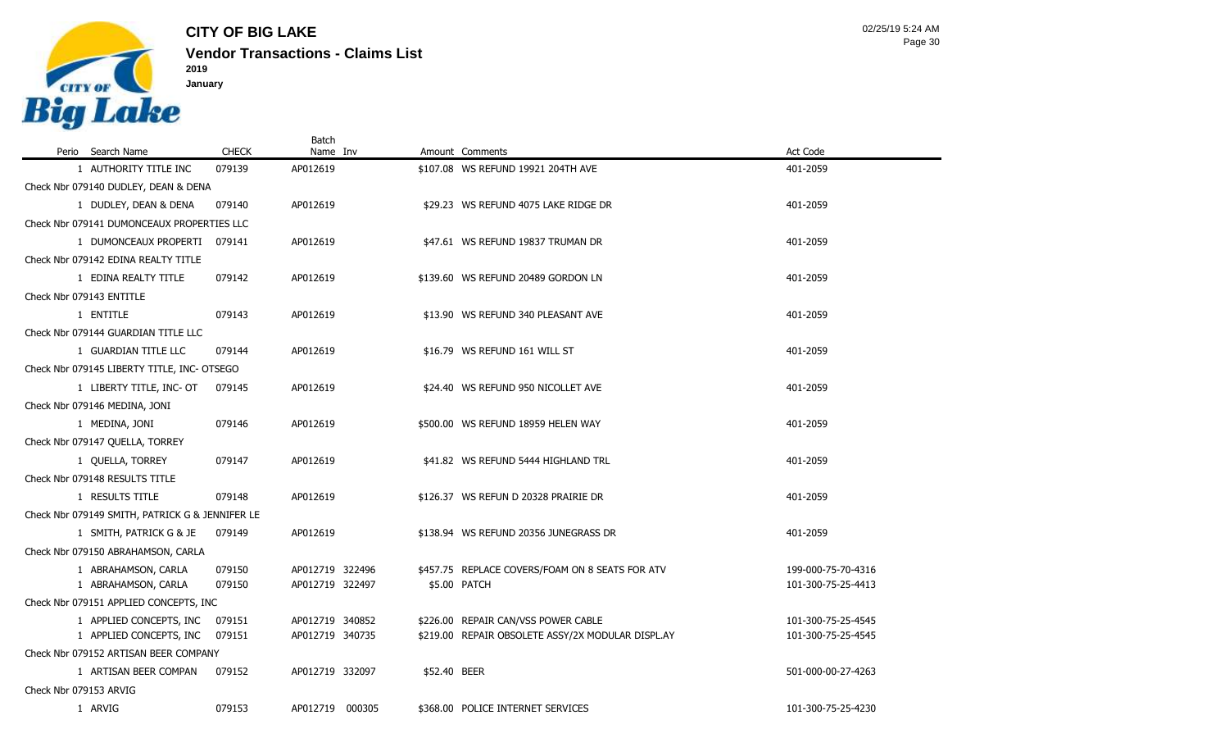

**Vendor Transactions - Claims List CITY OF BIG LAKE 2019 January**

|                        | Perio Search Name                                                       | <b>CHECK</b> | Batch<br>Name Inv | Amount Comments                                   | Act Code           |
|------------------------|-------------------------------------------------------------------------|--------------|-------------------|---------------------------------------------------|--------------------|
|                        | 1 AUTHORITY TITLE INC                                                   | 079139       | AP012619          | \$107.08 WS REFUND 19921 204TH AVE                | 401-2059           |
|                        | Check Nbr 079140 DUDLEY, DEAN & DENA                                    |              |                   |                                                   |                    |
|                        | 1 DUDLEY, DEAN & DENA                                                   | 079140       | AP012619          | \$29.23 WS REFUND 4075 LAKE RIDGE DR              | 401-2059           |
|                        | Check Nbr 079141 DUMONCEAUX PROPERTIES LLC                              |              |                   |                                                   |                    |
|                        | 1 DUMONCEAUX PROPERTI 079141                                            |              | AP012619          | \$47.61 WS REFUND 19837 TRUMAN DR                 | 401-2059           |
|                        | Check Nbr 079142 EDINA REALTY TITLE                                     |              |                   |                                                   |                    |
|                        | 1 EDINA REALTY TITLE                                                    | 079142       | AP012619          | \$139.60 WS REFUND 20489 GORDON LN                | 401-2059           |
|                        | Check Nbr 079143 ENTITLE                                                |              |                   |                                                   |                    |
|                        | 1 ENTITLE                                                               | 079143       | AP012619          | \$13.90 WS REFUND 340 PLEASANT AVE                | 401-2059           |
|                        | Check Nbr 079144 GUARDIAN TITLE LLC                                     |              |                   |                                                   |                    |
|                        | 1 GUARDIAN TITLE LLC                                                    | 079144       | AP012619          | \$16.79 WS REFUND 161 WILL ST                     | 401-2059           |
|                        | Check Nbr 079145 LIBERTY TITLE, INC- OTSEGO                             |              |                   |                                                   |                    |
|                        | 1 LIBERTY TITLE, INC- OT                                                | 079145       | AP012619          | \$24.40 WS REFUND 950 NICOLLET AVE                | 401-2059           |
|                        | Check Nbr 079146 MEDINA, JONI                                           |              |                   |                                                   |                    |
|                        | 1 MEDINA, JONI                                                          | 079146       | AP012619          | \$500.00 WS REFUND 18959 HELEN WAY                | 401-2059           |
|                        | Check Nbr 079147 QUELLA, TORREY                                         |              |                   |                                                   |                    |
|                        | 1 QUELLA, TORREY                                                        | 079147       | AP012619          | \$41.82 WS REFUND 5444 HIGHLAND TRL               | 401-2059           |
|                        | Check Nbr 079148 RESULTS TITLE                                          |              |                   |                                                   |                    |
|                        | 1 RESULTS TITLE                                                         | 079148       | AP012619          | \$126.37 WS REFUN D 20328 PRAIRIE DR              | 401-2059           |
|                        | Check Nbr 079149 SMITH, PATRICK G & JENNIFER LE                         |              |                   |                                                   |                    |
|                        | 1 SMITH, PATRICK G & JE                                                 | 079149       | AP012619          | \$138.94 WS REFUND 20356 JUNEGRASS DR             | 401-2059           |
|                        | Check Nbr 079150 ABRAHAMSON, CARLA                                      |              |                   |                                                   |                    |
|                        | 1 ABRAHAMSON, CARLA                                                     | 079150       | AP012719 322496   | \$457.75 REPLACE COVERS/FOAM ON 8 SEATS FOR ATV   | 199-000-75-70-4316 |
|                        | 1 ABRAHAMSON, CARLA                                                     | 079150       | AP012719 322497   | \$5.00 PATCH                                      | 101-300-75-25-4413 |
|                        | Check Nbr 079151 APPLIED CONCEPTS, INC                                  |              |                   |                                                   |                    |
|                        | 1 APPLIED CONCEPTS, INC 079151                                          |              | AP012719 340852   | \$226.00 REPAIR CAN/VSS POWER CABLE               | 101-300-75-25-4545 |
|                        | 1 APPLIED CONCEPTS, INC 079151<br>Check Nbr 079152 ARTISAN BEER COMPANY |              | AP012719 340735   | \$219.00 REPAIR OBSOLETE ASSY/2X MODULAR DISPL.AY | 101-300-75-25-4545 |
|                        | 1 ARTISAN BEER COMPAN                                                   | 079152       | AP012719 332097   | \$52.40 BEER                                      | 501-000-00-27-4263 |
| Check Nbr 079153 ARVIG |                                                                         |              |                   |                                                   |                    |
|                        |                                                                         |              |                   |                                                   |                    |

1 ARVIG 079153 AP012719 000305 \$368.00 POLICE INTERNET SERVICES 101-300-75-25-4230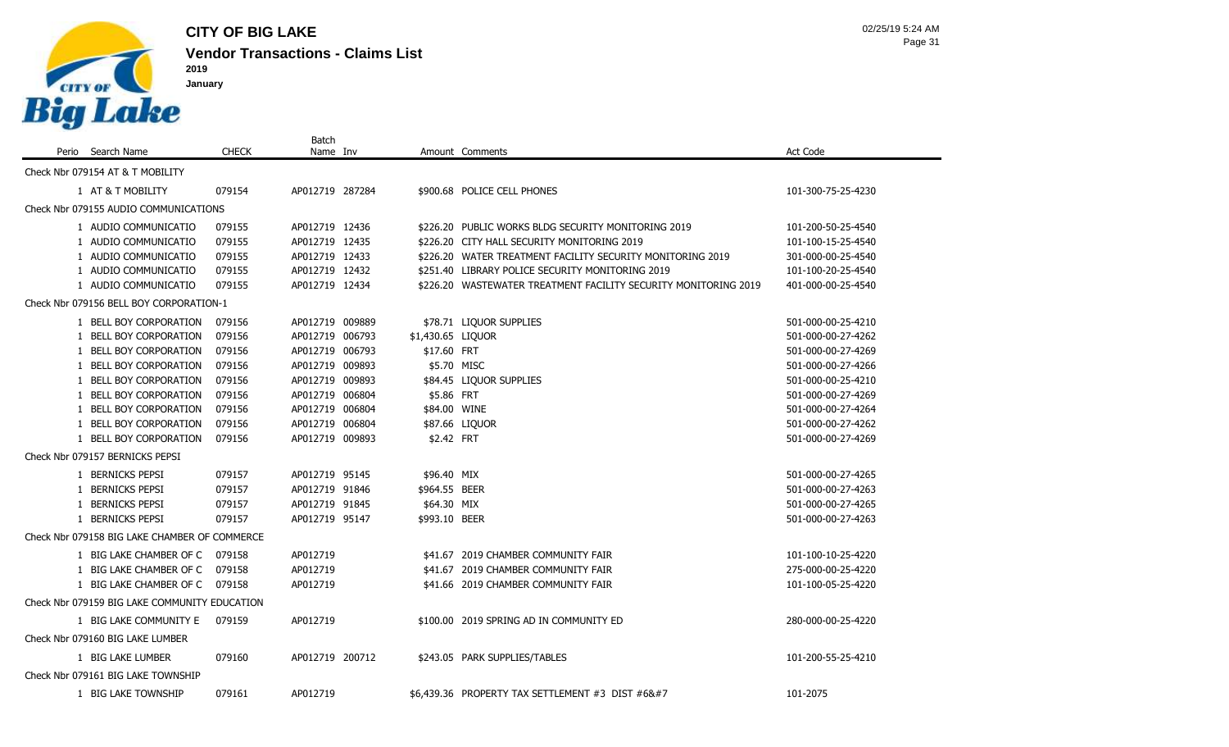

|       |                                               |              | Batch           |                   |                                                                 |                    |
|-------|-----------------------------------------------|--------------|-----------------|-------------------|-----------------------------------------------------------------|--------------------|
| Perio | Search Name                                   | <b>CHECK</b> | Name Inv        |                   | Amount Comments                                                 | Act Code           |
|       | Check Nbr 079154 AT & T MOBILITY              |              |                 |                   |                                                                 |                    |
|       | 1 AT & T MOBILITY                             | 079154       | AP012719 287284 |                   | \$900.68 POLICE CELL PHONES                                     | 101-300-75-25-4230 |
|       | Check Nbr 079155 AUDIO COMMUNICATIONS         |              |                 |                   |                                                                 |                    |
|       | 1 AUDIO COMMUNICATIO                          | 079155       | AP012719 12436  |                   | \$226.20 PUBLIC WORKS BLDG SECURITY MONITORING 2019             | 101-200-50-25-4540 |
|       | 1 AUDIO COMMUNICATIO                          | 079155       | AP012719 12435  |                   | \$226.20 CITY HALL SECURITY MONITORING 2019                     | 101-100-15-25-4540 |
|       | 1 AUDIO COMMUNICATIO                          | 079155       | AP012719 12433  |                   | \$226.20 WATER TREATMENT FACILITY SECURITY MONITORING 2019      | 301-000-00-25-4540 |
|       | 1 AUDIO COMMUNICATIO                          | 079155       | AP012719 12432  |                   | \$251.40 LIBRARY POLICE SECURITY MONITORING 2019                | 101-100-20-25-4540 |
|       | 1 AUDIO COMMUNICATIO                          | 079155       | AP012719 12434  |                   | \$226.20 WASTEWATER TREATMENT FACILITY SECURITY MONITORING 2019 | 401-000-00-25-4540 |
|       | Check Nbr 079156 BELL BOY CORPORATION-1       |              |                 |                   |                                                                 |                    |
|       | 1 BELL BOY CORPORATION                        | 079156       | AP012719 009889 |                   | \$78.71 LIQUOR SUPPLIES                                         | 501-000-00-25-4210 |
|       | 1 BELL BOY CORPORATION                        | 079156       | AP012719 006793 | \$1,430.65 LIQUOR |                                                                 | 501-000-00-27-4262 |
|       | 1 BELL BOY CORPORATION                        | 079156       | AP012719 006793 | \$17.60 FRT       |                                                                 | 501-000-00-27-4269 |
|       | 1 BELL BOY CORPORATION                        | 079156       | AP012719 009893 | \$5.70 MISC       |                                                                 | 501-000-00-27-4266 |
|       | 1 BELL BOY CORPORATION                        | 079156       | AP012719 009893 |                   | \$84.45 LIQUOR SUPPLIES                                         | 501-000-00-25-4210 |
|       | 1 BELL BOY CORPORATION                        | 079156       | AP012719 006804 | \$5.86 FRT        |                                                                 | 501-000-00-27-4269 |
|       | 1 BELL BOY CORPORATION                        | 079156       | AP012719 006804 | \$84.00 WINE      |                                                                 | 501-000-00-27-4264 |
|       | 1 BELL BOY CORPORATION                        | 079156       | AP012719 006804 |                   | \$87.66 LIQUOR                                                  | 501-000-00-27-4262 |
|       | 1 BELL BOY CORPORATION                        | 079156       | AP012719 009893 | \$2.42 FRT        |                                                                 | 501-000-00-27-4269 |
|       | Check Nbr 079157 BERNICKS PEPSI               |              |                 |                   |                                                                 |                    |
|       | 1 BERNICKS PEPSI                              | 079157       | AP012719 95145  | \$96.40 MIX       |                                                                 | 501-000-00-27-4265 |
|       | 1 BERNICKS PEPSI                              | 079157       | AP012719 91846  | \$964.55 BEER     |                                                                 | 501-000-00-27-4263 |
|       | 1 BERNICKS PEPSI                              | 079157       | AP012719 91845  | \$64.30 MIX       |                                                                 | 501-000-00-27-4265 |
|       | 1 BERNICKS PEPSI                              | 079157       | AP012719 95147  | \$993.10 BEER     |                                                                 | 501-000-00-27-4263 |
|       | Check Nbr 079158 BIG LAKE CHAMBER OF COMMERCE |              |                 |                   |                                                                 |                    |
|       | 1 BIG LAKE CHAMBER OF C                       | 079158       | AP012719        |                   | \$41.67 2019 CHAMBER COMMUNITY FAIR                             | 101-100-10-25-4220 |
|       | 1 BIG LAKE CHAMBER OF C                       | 079158       | AP012719        |                   | \$41.67 2019 CHAMBER COMMUNITY FAIR                             | 275-000-00-25-4220 |
|       | 1 BIG LAKE CHAMBER OF C                       | 079158       | AP012719        |                   | \$41.66 2019 CHAMBER COMMUNITY FAIR                             | 101-100-05-25-4220 |
|       | Check Nbr 079159 BIG LAKE COMMUNITY EDUCATION |              |                 |                   |                                                                 |                    |
|       | 1 BIG LAKE COMMUNITY E                        | 079159       | AP012719        |                   | \$100.00 2019 SPRING AD IN COMMUNITY ED                         | 280-000-00-25-4220 |
|       | Check Nbr 079160 BIG LAKE LUMBER              |              |                 |                   |                                                                 |                    |
|       | 1 BIG LAKE LUMBER                             | 079160       | AP012719 200712 |                   | \$243.05 PARK SUPPLIES/TABLES                                   | 101-200-55-25-4210 |
|       | Check Nbr 079161 BIG LAKE TOWNSHIP            |              |                 |                   |                                                                 |                    |
|       | 1 BIG LAKE TOWNSHIP                           | 079161       | AP012719        |                   | \$6,439.36 PROPERTY TAX SETTLEMENT #3 DIST #6                  | 101-2075           |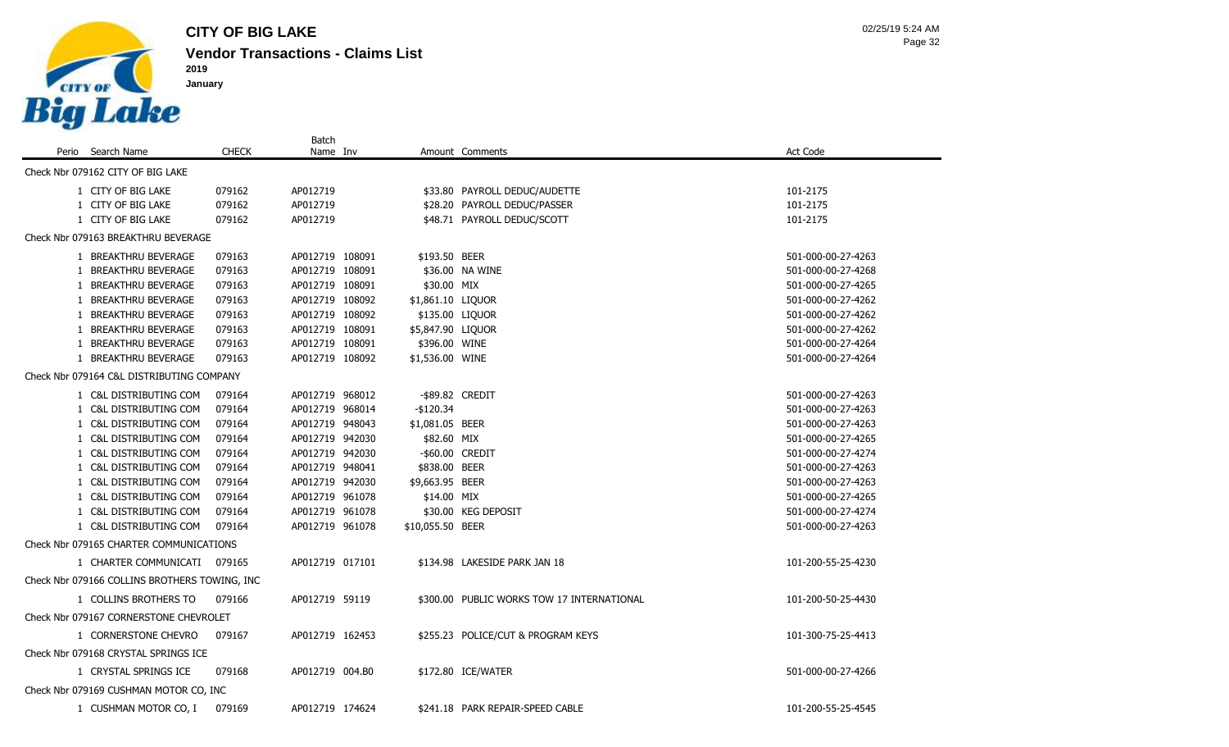

**January**

 $\sim$ 

|                                               |              | Batch           |                   |                                            |                    |
|-----------------------------------------------|--------------|-----------------|-------------------|--------------------------------------------|--------------------|
| Perio Search Name                             | <b>CHECK</b> | Name Inv        |                   | Amount Comments                            | Act Code           |
| Check Nbr 079162 CITY OF BIG LAKE             |              |                 |                   |                                            |                    |
| 1 CITY OF BIG LAKE                            | 079162       | AP012719        |                   | \$33.80 PAYROLL DEDUC/AUDETTE              | 101-2175           |
| 1 CITY OF BIG LAKE                            | 079162       | AP012719        |                   | \$28.20 PAYROLL DEDUC/PASSER               | 101-2175           |
| 1 CITY OF BIG LAKE                            | 079162       | AP012719        |                   | \$48.71 PAYROLL DEDUC/SCOTT                | 101-2175           |
| Check Nbr 079163 BREAKTHRU BEVERAGE           |              |                 |                   |                                            |                    |
| 1 BREAKTHRU BEVERAGE                          | 079163       | AP012719 108091 | \$193.50 BEER     |                                            | 501-000-00-27-4263 |
| 1 BREAKTHRU BEVERAGE                          | 079163       | AP012719 108091 |                   | \$36.00 NA WINE                            | 501-000-00-27-4268 |
| 1 BREAKTHRU BEVERAGE                          | 079163       | AP012719 108091 | \$30.00 MIX       |                                            | 501-000-00-27-4265 |
| 1 BREAKTHRU BEVERAGE                          | 079163       | AP012719 108092 | \$1,861.10 LIQUOR |                                            | 501-000-00-27-4262 |
| 1 BREAKTHRU BEVERAGE                          | 079163       | AP012719 108092 | \$135.00 LIQUOR   |                                            | 501-000-00-27-4262 |
| 1 BREAKTHRU BEVERAGE                          | 079163       | AP012719 108091 | \$5,847.90 LIQUOR |                                            | 501-000-00-27-4262 |
| 1 BREAKTHRU BEVERAGE                          | 079163       | AP012719 108091 | \$396.00 WINE     |                                            | 501-000-00-27-4264 |
| 1 BREAKTHRU BEVERAGE                          | 079163       | AP012719 108092 | \$1,536.00 WINE   |                                            | 501-000-00-27-4264 |
| Check Nbr 079164 C&L DISTRIBUTING COMPANY     |              |                 |                   |                                            |                    |
| 1 C&L DISTRIBUTING COM                        | 079164       | AP012719 968012 | -\$89.82 CREDIT   |                                            | 501-000-00-27-4263 |
| 1 C&L DISTRIBUTING COM                        | 079164       | AP012719 968014 | $-$120.34$        |                                            | 501-000-00-27-4263 |
| 1 C&L DISTRIBUTING COM                        | 079164       | AP012719 948043 | \$1,081.05 BEER   |                                            | 501-000-00-27-4263 |
| 1 C&L DISTRIBUTING COM                        | 079164       | AP012719 942030 | \$82.60 MIX       |                                            | 501-000-00-27-4265 |
| 1 C&L DISTRIBUTING COM                        | 079164       | AP012719 942030 |                   | -\$60.00 CREDIT                            | 501-000-00-27-4274 |
| 1 C&L DISTRIBUTING COM                        | 079164       | AP012719 948041 | \$838.00 BEER     |                                            | 501-000-00-27-4263 |
| 1 C&L DISTRIBUTING COM                        | 079164       | AP012719 942030 | \$9,663.95 BEER   |                                            | 501-000-00-27-4263 |
| 1 C&L DISTRIBUTING COM                        | 079164       | AP012719 961078 | \$14.00 MIX       |                                            | 501-000-00-27-4265 |
| 1 C&L DISTRIBUTING COM                        | 079164       | AP012719 961078 |                   | \$30.00 KEG DEPOSIT                        | 501-000-00-27-4274 |
| 1 C&L DISTRIBUTING COM                        | 079164       | AP012719 961078 | \$10,055.50 BEER  |                                            | 501-000-00-27-4263 |
| Check Nbr 079165 CHARTER COMMUNICATIONS       |              |                 |                   |                                            |                    |
| 1 CHARTER COMMUNICATI 079165                  |              | AP012719 017101 |                   | \$134.98 LAKESIDE PARK JAN 18              | 101-200-55-25-4230 |
| Check Nbr 079166 COLLINS BROTHERS TOWING, INC |              |                 |                   |                                            |                    |
| 1 COLLINS BROTHERS TO                         | 079166       | AP012719 59119  |                   | \$300.00 PUBLIC WORKS TOW 17 INTERNATIONAL | 101-200-50-25-4430 |
| Check Nbr 079167 CORNERSTONE CHEVROLET        |              |                 |                   |                                            |                    |
| 1 CORNERSTONE CHEVRO                          | 079167       | AP012719 162453 |                   | \$255.23 POLICE/CUT & PROGRAM KEYS         | 101-300-75-25-4413 |
| Check Nbr 079168 CRYSTAL SPRINGS ICE          |              |                 |                   |                                            |                    |
| 1 CRYSTAL SPRINGS ICE                         | 079168       | AP012719 004.B0 |                   | \$172.80 ICE/WATER                         | 501-000-00-27-4266 |
| Check Nbr 079169 CUSHMAN MOTOR CO, INC        |              |                 |                   |                                            |                    |
| 1 CUSHMAN MOTOR CO, I                         | 079169       | AP012719 174624 |                   | \$241.18 PARK REPAIR-SPEED CABLE           | 101-200-55-25-4545 |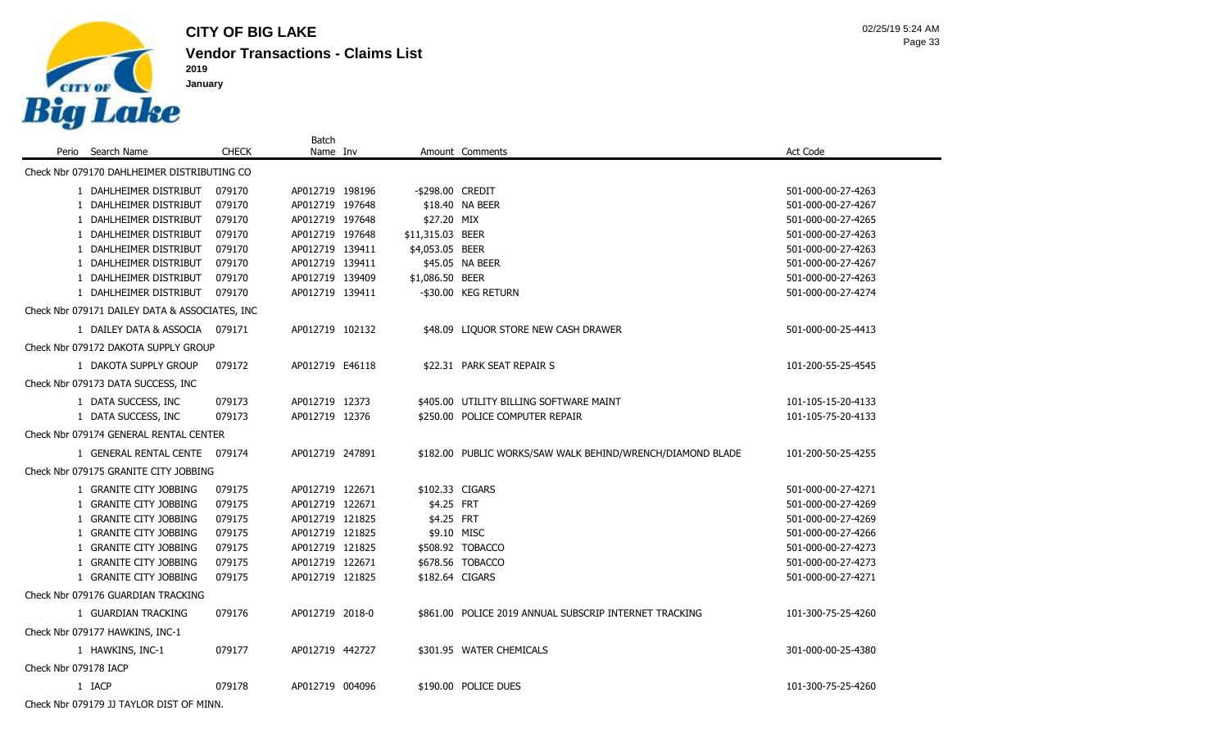

Check Nbr 079179 JJ TAYLOR DIST OF MINN.

**Vendor Transactions - Claims List CITY OF BIG LAKE**

Batch

**January**

Perio Search Name **CHECK** Name Inv Amount Comments Act Code Check Nbr 079170 DAHLHEIMER DISTRIBUTING CO 1 DAHLHEIMER DISTRIBUT 079170 AP012719 198196 -\$298.00 CREDIT 501-000-00-27-4263 1 DAHLHEIMER DISTRIBUT 079170 AP012719 197648 \$18.40 NA BEER 501-000-00-27-4267 1 DAHLHEIMER DISTRIBUT 079170 AP012719 197648 \$27.20 MIX 501-000-00-27-4265 1 DAHLHEIMER DISTRIBUT 079170 AP012719 197648 \$11,315.03 BEER 501-000-00-27-4263 1 DAHLHEIMER DISTRIBUT 079170 AP012719 139411 \$4,053.05 BEER 501-000-00-27-4263 1 DAHLHEIMER DISTRIBUT 079170 AP012719 139411 \$45.05 NA BEER 501-000-00-27-4267 1 DAHLHEIMER DISTRIBUT 079170 AP012719 139409 \$1,086.50 BEER 501-000-00-27-4263 1 DAHLHEIMER DISTRIBUT 079170 AP012719 139411 - \$30.00 KEG RETURN 501-000-00-27-4274 Check Nbr 079171 DAILEY DATA & ASSOCIATES, INC 1 DAILEY DATA & ASSOCIA 079171 AP012719 102132 \$48.09 LIQUOR STORE NEW CASH DRAWER 501-000-00-25-4413 Check Nbr 079172 DAKOTA SUPPLY GROUP 1 DAKOTA SUPPLY GROUP 079172 AP012719 E46118 \$22.31 PARK SEAT REPAIR S 101-200-55-25-4545 Check Nbr 079173 DATA SUCCESS, INC 1 DATA SUCCESS, INC 079173 AP012719 12373 \$405.00 UTILITY BILLING SOFTWARE MAINT 101-105-15-20-4133 1 DATA SUCCESS, INC 079173 AP012719 12376 \$250.00 POLICE COMPUTER REPAIR 101-105-75-20-4133 Check Nbr 079174 GENERAL RENTAL CENTER 1 GENERAL RENTAL CENTE 079174 AP012719 247891 \$182.00 PUBLIC WORKS/SAW WALK BEHIND/WRENCH/DIAMOND BLADE 101-200-50-25-4255 Check Nbr 079175 GRANITE CITY JOBBING 1 GRANITE CITY JOBBING 079175 AP012719 122671 \$102.33 CIGARS 501-000-00-27-4271 1 GRANITE CITY JOBBING 079175 AP012719 122671 \$4.25 FRT 501-000-00-27-4269 1 GRANITE CITY JOBBING 079175 AP012719 121825 \$4.25 FRT 501-000-00-27-4269 1 GRANITE CITY JOBBING 079175 AP012719 121825 \$9.10 MISC \$9.10 SOLONG 501-000-00-27-4266 1 GRANITE CITY JOBBING 079175 AP012719 121825 \$508.92 TOBACCO 501-000-00-27-4273 1 GRANITE CITY JOBBING 079175 AP012719 122671 \$678.56 TOBACCO 501-000-00-27-4273 1 GRANITE CITY JOBBING 079175 AP012719 121825 \$182.64 CIGARS 501-000-00-27-4271 Check Nbr 079176 GUARDIAN TRACKING 1 GUARDIAN TRACKING 079176 AP012719 2018-0 \$861.00 POLICE 2019 ANNUAL SUBSCRIP INTERNET TRACKING 101-300-75-25-4260 Check Nbr 079177 HAWKINS, INC-1 1 HAWKINS, INC-1 079177 AP012719 442727 \$301.95 WATER CHEMICALS 301-000-00-25-4380 Check Nbr 079178 IACP 1 IACP 079178 AP012719 004096 \$190.00 POLICE DUES 101-300-75-25-4260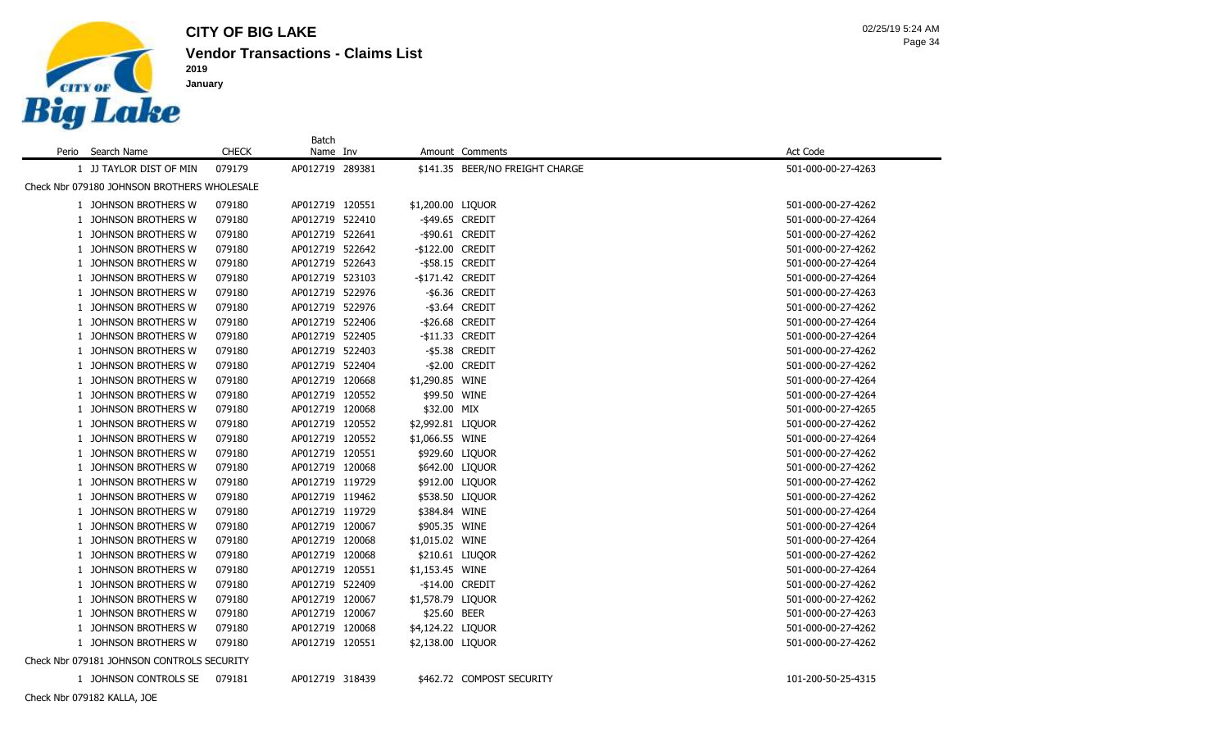

 **January**

|                                             |              | Batch           |                   |                                 |                    |
|---------------------------------------------|--------------|-----------------|-------------------|---------------------------------|--------------------|
| Perio Search Name                           | <b>CHECK</b> | Name Inv        |                   | Amount Comments                 | <b>Act Code</b>    |
| 1 JJ TAYLOR DIST OF MIN                     | 079179       | AP012719 289381 |                   | \$141.35 BEER/NO FREIGHT CHARGE | 501-000-00-27-4263 |
| Check Nbr 079180 JOHNSON BROTHERS WHOLESALE |              |                 |                   |                                 |                    |
| 1 JOHNSON BROTHERS W                        | 079180       | AP012719 120551 | \$1,200.00 LIQUOR |                                 | 501-000-00-27-4262 |
| 1 JOHNSON BROTHERS W                        | 079180       | AP012719 522410 | -\$49.65 CREDIT   |                                 | 501-000-00-27-4264 |
| 1 JOHNSON BROTHERS W                        | 079180       | AP012719 522641 | -\$90.61 CREDIT   |                                 | 501-000-00-27-4262 |
| 1 JOHNSON BROTHERS W                        | 079180       | AP012719 522642 | -\$122.00 CREDIT  |                                 | 501-000-00-27-4262 |
| 1 JOHNSON BROTHERS W                        | 079180       | AP012719 522643 | -\$58.15 CREDIT   |                                 | 501-000-00-27-4264 |
| 1 JOHNSON BROTHERS W                        | 079180       | AP012719 523103 | -\$171.42 CREDIT  |                                 | 501-000-00-27-4264 |
| 1 JOHNSON BROTHERS W                        | 079180       | AP012719 522976 |                   | -\$6.36 CREDIT                  | 501-000-00-27-4263 |
| 1 JOHNSON BROTHERS W                        | 079180       | AP012719 522976 |                   | -\$3.64 CREDIT                  | 501-000-00-27-4262 |
| 1 JOHNSON BROTHERS W                        | 079180       | AP012719 522406 | -\$26.68 CREDIT   |                                 | 501-000-00-27-4264 |
| 1 JOHNSON BROTHERS W                        | 079180       | AP012719 522405 | $-$11.33$ CREDIT  |                                 | 501-000-00-27-4264 |
| 1 JOHNSON BROTHERS W                        | 079180       | AP012719 522403 |                   | -\$5.38 CREDIT                  | 501-000-00-27-4262 |
| 1 JOHNSON BROTHERS W                        | 079180       | AP012719 522404 |                   | -\$2.00 CREDIT                  | 501-000-00-27-4262 |
| 1 JOHNSON BROTHERS W                        | 079180       | AP012719 120668 | \$1,290.85 WINE   |                                 | 501-000-00-27-4264 |
| 1 JOHNSON BROTHERS W                        | 079180       | AP012719 120552 | \$99.50 WINE      |                                 | 501-000-00-27-4264 |
| 1 JOHNSON BROTHERS W                        | 079180       | AP012719 120068 | \$32.00 MIX       |                                 | 501-000-00-27-4265 |
| 1 JOHNSON BROTHERS W                        | 079180       | AP012719 120552 | \$2,992.81 LIQUOR |                                 | 501-000-00-27-4262 |
| JOHNSON BROTHERS W                          | 079180       | AP012719 120552 | \$1,066.55 WINE   |                                 | 501-000-00-27-4264 |
| 1 JOHNSON BROTHERS W                        | 079180       | AP012719 120551 | \$929.60 LIQUOR   |                                 | 501-000-00-27-4262 |
| JOHNSON BROTHERS W                          | 079180       | AP012719 120068 | \$642.00 LIQUOR   |                                 | 501-000-00-27-4262 |
| 1 JOHNSON BROTHERS W                        | 079180       | AP012719 119729 | \$912.00 LIQUOR   |                                 | 501-000-00-27-4262 |
| JOHNSON BROTHERS W                          | 079180       | AP012719 119462 | \$538.50 LIQUOR   |                                 | 501-000-00-27-4262 |
| 1 JOHNSON BROTHERS W                        | 079180       | AP012719 119729 | \$384.84 WINE     |                                 | 501-000-00-27-4264 |
| 1 JOHNSON BROTHERS W                        | 079180       | AP012719 120067 | \$905.35 WINE     |                                 | 501-000-00-27-4264 |
| 1 JOHNSON BROTHERS W                        | 079180       | AP012719 120068 | \$1,015.02 WINE   |                                 | 501-000-00-27-4264 |
| 1 JOHNSON BROTHERS W                        | 079180       | AP012719 120068 | \$210.61 LIUQOR   |                                 | 501-000-00-27-4262 |
| 1 JOHNSON BROTHERS W                        | 079180       | AP012719 120551 | \$1,153.45 WINE   |                                 | 501-000-00-27-4264 |
| 1 JOHNSON BROTHERS W                        | 079180       | AP012719 522409 | -\$14.00 CREDIT   |                                 | 501-000-00-27-4262 |
| 1 JOHNSON BROTHERS W                        | 079180       | AP012719 120067 | \$1,578.79 LIQUOR |                                 | 501-000-00-27-4262 |
| 1 JOHNSON BROTHERS W                        | 079180       | AP012719 120067 | \$25.60 BEER      |                                 | 501-000-00-27-4263 |
| 1 JOHNSON BROTHERS W                        | 079180       | AP012719 120068 | \$4,124.22 LIQUOR |                                 | 501-000-00-27-4262 |
| 1 JOHNSON BROTHERS W                        | 079180       | AP012719 120551 | \$2,138.00 LIQUOR |                                 | 501-000-00-27-4262 |
| Check Nbr 079181 JOHNSON CONTROLS SECURITY  |              |                 |                   |                                 |                    |
| 1 JOHNSON CONTROLS SE                       | 079181       | AP012719 318439 |                   | \$462.72 COMPOST SECURITY       | 101-200-50-25-4315 |

Check Nbr 079182 KALLA, JOE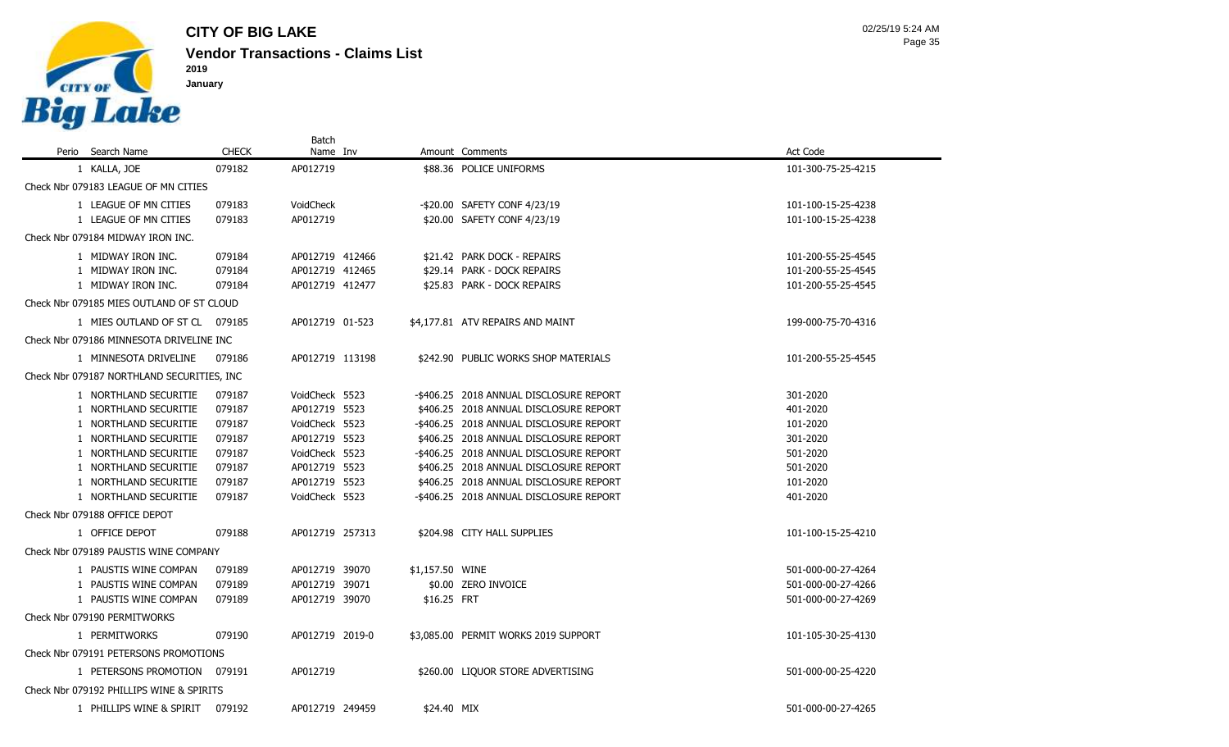

|                                            |              | Batch           |                 |                                         |                    |
|--------------------------------------------|--------------|-----------------|-----------------|-----------------------------------------|--------------------|
| Perio Search Name                          | <b>CHECK</b> | Name Inv        |                 | Amount Comments                         | Act Code           |
| 1 KALLA, JOE                               | 079182       | AP012719        |                 | \$88.36 POLICE UNIFORMS                 | 101-300-75-25-4215 |
| Check Nbr 079183 LEAGUE OF MN CITIES       |              |                 |                 |                                         |                    |
| 1 LEAGUE OF MN CITIES                      | 079183       | VoidCheck       |                 | -\$20.00 SAFETY CONF 4/23/19            | 101-100-15-25-4238 |
| 1 LEAGUE OF MN CITIES                      | 079183       | AP012719        |                 | \$20.00 SAFETY CONF 4/23/19             | 101-100-15-25-4238 |
| Check Nbr 079184 MIDWAY IRON INC.          |              |                 |                 |                                         |                    |
| 1 MIDWAY IRON INC.                         | 079184       | AP012719 412466 |                 | \$21.42 PARK DOCK - REPAIRS             | 101-200-55-25-4545 |
| 1 MIDWAY IRON INC.                         | 079184       | AP012719 412465 |                 | \$29.14 PARK - DOCK REPAIRS             | 101-200-55-25-4545 |
| 1 MIDWAY IRON INC.                         | 079184       | AP012719 412477 |                 | \$25.83 PARK - DOCK REPAIRS             | 101-200-55-25-4545 |
| Check Nbr 079185 MIES OUTLAND OF ST CLOUD  |              |                 |                 |                                         |                    |
| 1 MIES OUTLAND OF ST CL 079185             |              | AP012719 01-523 |                 | \$4,177.81 ATV REPAIRS AND MAINT        | 199-000-75-70-4316 |
| Check Nbr 079186 MINNESOTA DRIVELINE INC   |              |                 |                 |                                         |                    |
| 1 MINNESOTA DRIVELINE                      | 079186       | AP012719 113198 |                 | \$242.90 PUBLIC WORKS SHOP MATERIALS    | 101-200-55-25-4545 |
| Check Nbr 079187 NORTHLAND SECURITIES, INC |              |                 |                 |                                         |                    |
| 1 NORTHLAND SECURITIE                      | 079187       | VoidCheck 5523  |                 | -\$406.25 2018 ANNUAL DISCLOSURE REPORT | 301-2020           |
| 1 NORTHLAND SECURITIE                      | 079187       | AP012719 5523   |                 | \$406.25 2018 ANNUAL DISCLOSURE REPORT  | 401-2020           |
| 1 NORTHLAND SECURITIE                      | 079187       | VoidCheck 5523  |                 | -\$406.25 2018 ANNUAL DISCLOSURE REPORT | 101-2020           |
| 1 NORTHLAND SECURITIE                      | 079187       | AP012719 5523   |                 | \$406.25 2018 ANNUAL DISCLOSURE REPORT  | 301-2020           |
| 1 NORTHLAND SECURITIE                      | 079187       | VoidCheck 5523  |                 | -\$406.25 2018 ANNUAL DISCLOSURE REPORT | 501-2020           |
| 1 NORTHLAND SECURITIE                      | 079187       | AP012719 5523   |                 | \$406.25 2018 ANNUAL DISCLOSURE REPORT  | 501-2020           |
| 1 NORTHLAND SECURITIE                      | 079187       | AP012719 5523   |                 | \$406.25 2018 ANNUAL DISCLOSURE REPORT  | 101-2020           |
| 1 NORTHLAND SECURITIE                      | 079187       | VoidCheck 5523  |                 | -\$406.25 2018 ANNUAL DISCLOSURE REPORT | 401-2020           |
| Check Nbr 079188 OFFICE DEPOT              |              |                 |                 |                                         |                    |
| 1 OFFICE DEPOT                             | 079188       | AP012719 257313 |                 | \$204.98 CITY HALL SUPPLIES             | 101-100-15-25-4210 |
| Check Nbr 079189 PAUSTIS WINE COMPANY      |              |                 |                 |                                         |                    |
| 1 PAUSTIS WINE COMPAN                      | 079189       | AP012719 39070  | \$1,157.50 WINE |                                         | 501-000-00-27-4264 |
| 1 PAUSTIS WINE COMPAN                      | 079189       | AP012719 39071  |                 | \$0.00 ZERO INVOICE                     | 501-000-00-27-4266 |
| 1 PAUSTIS WINE COMPAN                      | 079189       | AP012719 39070  | \$16.25 FRT     |                                         | 501-000-00-27-4269 |
| Check Nbr 079190 PERMITWORKS               |              |                 |                 |                                         |                    |
| 1 PERMITWORKS                              | 079190       | AP012719 2019-0 |                 | \$3,085.00 PERMIT WORKS 2019 SUPPORT    | 101-105-30-25-4130 |
| Check Nbr 079191 PETERSONS PROMOTIONS      |              |                 |                 |                                         |                    |
| 1 PETERSONS PROMOTION 079191               |              | AP012719        |                 | \$260.00 LIQUOR STORE ADVERTISING       | 501-000-00-25-4220 |
| Check Nbr 079192 PHILLIPS WINE & SPIRITS   |              |                 |                 |                                         |                    |
| 1 PHILLIPS WINE & SPIRIT 079192            |              | AP012719 249459 | \$24.40 MIX     |                                         | 501-000-00-27-4265 |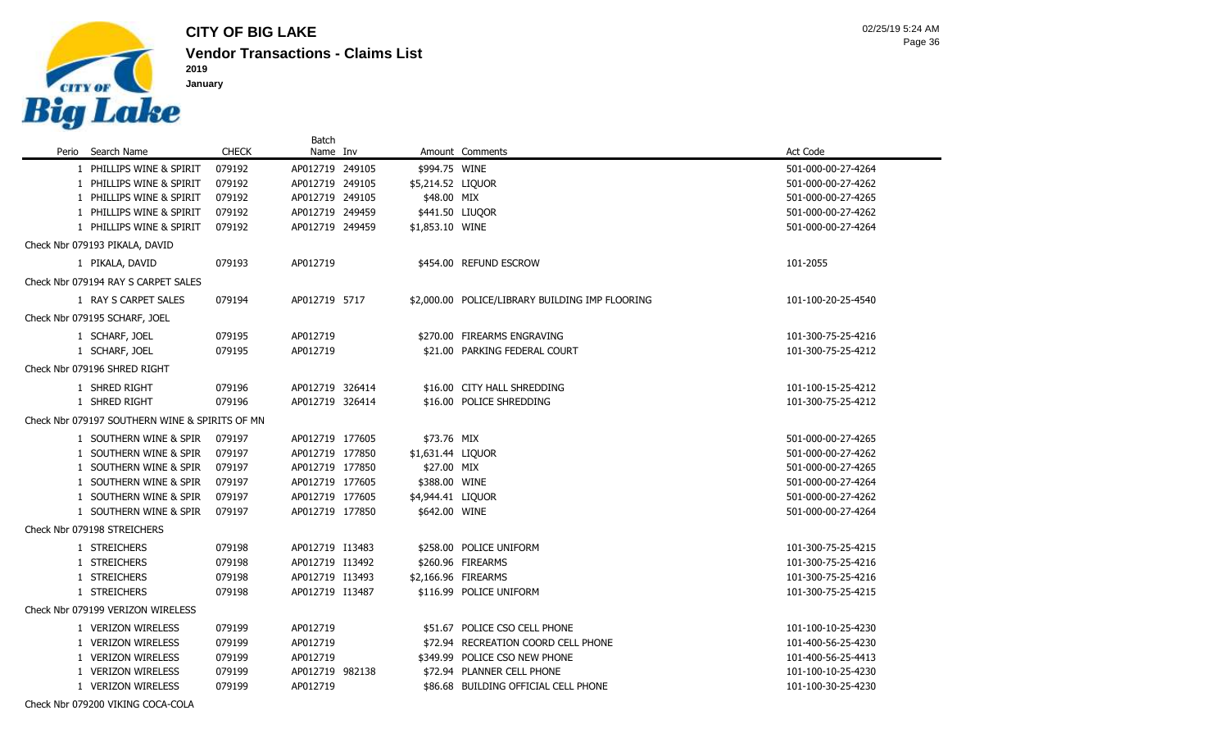

|                                                |              | <b>Batch</b>    |                   |                                                 |                    |
|------------------------------------------------|--------------|-----------------|-------------------|-------------------------------------------------|--------------------|
| Perio Search Name                              | <b>CHECK</b> | Name Inv        |                   | Amount Comments                                 | Act Code           |
| 1 PHILLIPS WINE & SPIRIT                       | 079192       | AP012719 249105 | \$994.75 WINE     |                                                 | 501-000-00-27-4264 |
| 1 PHILLIPS WINE & SPIRIT                       | 079192       | AP012719 249105 | \$5,214.52 LIQUOR |                                                 | 501-000-00-27-4262 |
| 1 PHILLIPS WINE & SPIRIT                       | 079192       | AP012719 249105 | \$48.00 MIX       |                                                 | 501-000-00-27-4265 |
| 1 PHILLIPS WINE & SPIRIT                       | 079192       | AP012719 249459 |                   | \$441.50 LIUQOR                                 | 501-000-00-27-4262 |
| 1 PHILLIPS WINE & SPIRIT                       | 079192       | AP012719 249459 | \$1,853.10 WINE   |                                                 | 501-000-00-27-4264 |
| Check Nbr 079193 PIKALA, DAVID                 |              |                 |                   |                                                 |                    |
| 1 PIKALA, DAVID                                | 079193       | AP012719        |                   | \$454.00 REFUND ESCROW                          | 101-2055           |
| Check Nbr 079194 RAY S CARPET SALES            |              |                 |                   |                                                 |                    |
| 1 RAY S CARPET SALES                           | 079194       | AP012719 5717   |                   | \$2,000.00 POLICE/LIBRARY BUILDING IMP FLOORING | 101-100-20-25-4540 |
| Check Nbr 079195 SCHARF, JOEL                  |              |                 |                   |                                                 |                    |
| 1 SCHARF, JOEL                                 | 079195       | AP012719        |                   | \$270.00 FIREARMS ENGRAVING                     | 101-300-75-25-4216 |
| 1 SCHARF, JOEL                                 | 079195       | AP012719        |                   | \$21.00 PARKING FEDERAL COURT                   | 101-300-75-25-4212 |
| Check Nbr 079196 SHRED RIGHT                   |              |                 |                   |                                                 |                    |
| 1 SHRED RIGHT                                  | 079196       | AP012719 326414 |                   | \$16.00 CITY HALL SHREDDING                     | 101-100-15-25-4212 |
| 1 SHRED RIGHT                                  | 079196       | AP012719 326414 |                   | \$16.00 POLICE SHREDDING                        | 101-300-75-25-4212 |
| Check Nbr 079197 SOUTHERN WINE & SPIRITS OF MN |              |                 |                   |                                                 |                    |
| 1 SOUTHERN WINE & SPIR                         | 079197       | AP012719 177605 | \$73.76 MIX       |                                                 | 501-000-00-27-4265 |
| 1 SOUTHERN WINE & SPIR                         | 079197       | AP012719 177850 | \$1,631.44 LIQUOR |                                                 | 501-000-00-27-4262 |
| 1 SOUTHERN WINE & SPIR                         | 079197       | AP012719 177850 | \$27.00 MIX       |                                                 | 501-000-00-27-4265 |
| 1 SOUTHERN WINE & SPIR                         | 079197       | AP012719 177605 | \$388.00 WINE     |                                                 | 501-000-00-27-4264 |
| 1 SOUTHERN WINE & SPIR                         | 079197       | AP012719 177605 | \$4,944.41 LIQUOR |                                                 | 501-000-00-27-4262 |
| 1 SOUTHERN WINE & SPIR                         | 079197       | AP012719 177850 | \$642.00 WINE     |                                                 | 501-000-00-27-4264 |
| Check Nbr 079198 STREICHERS                    |              |                 |                   |                                                 |                    |
| 1 STREICHERS                                   | 079198       | AP012719 I13483 |                   | \$258.00 POLICE UNIFORM                         | 101-300-75-25-4215 |
| 1 STREICHERS                                   | 079198       | AP012719 I13492 |                   | \$260.96 FIREARMS                               | 101-300-75-25-4216 |
| 1 STREICHERS                                   | 079198       | AP012719 I13493 |                   | \$2,166.96 FIREARMS                             | 101-300-75-25-4216 |
| 1 STREICHERS                                   | 079198       | AP012719 I13487 |                   | \$116.99 POLICE UNIFORM                         | 101-300-75-25-4215 |
| Check Nbr 079199 VERIZON WIRELESS              |              |                 |                   |                                                 |                    |
| 1 VERIZON WIRELESS                             | 079199       | AP012719        |                   | \$51.67 POLICE CSO CELL PHONE                   | 101-100-10-25-4230 |
| 1 VERIZON WIRELESS                             | 079199       | AP012719        |                   | \$72.94 RECREATION COORD CELL PHONE             | 101-400-56-25-4230 |
| 1 VERIZON WIRELESS                             | 079199       | AP012719        |                   | \$349.99 POLICE CSO NEW PHONE                   | 101-400-56-25-4413 |
| 1 VERIZON WIRELESS                             | 079199       | AP012719 982138 |                   | \$72.94 PLANNER CELL PHONE                      | 101-100-10-25-4230 |

VERIZON WIRELESS 079199 AP012719 \$86.68 BUILDING OFFICIAL CELL PHONE 101-100-30-25-4230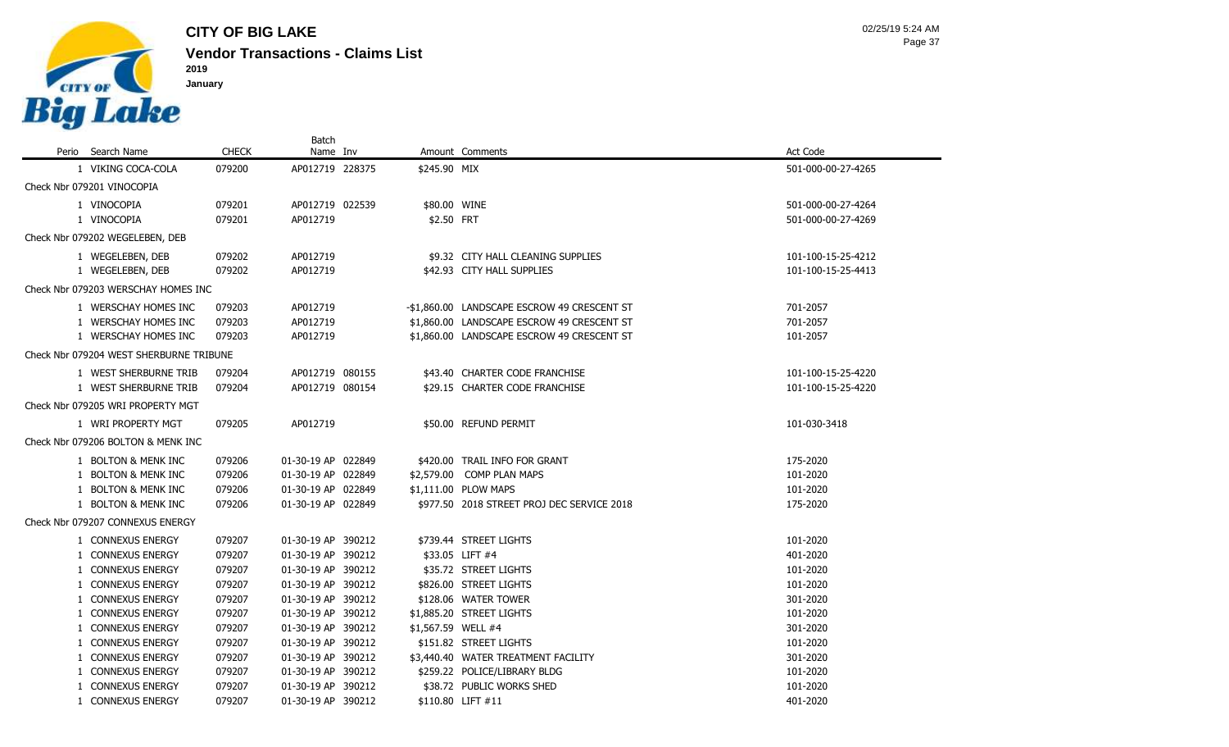

**CITY OF BIG LAKE** 

|                                         |              | <b>Batch</b>       |                    |                                             |                    |
|-----------------------------------------|--------------|--------------------|--------------------|---------------------------------------------|--------------------|
| Perio Search Name                       | <b>CHECK</b> | Name Inv           |                    | Amount Comments                             | Act Code           |
| 1 VIKING COCA-COLA                      | 079200       | AP012719 228375    | \$245.90 MIX       |                                             | 501-000-00-27-4265 |
| Check Nbr 079201 VINOCOPIA              |              |                    |                    |                                             |                    |
| 1 VINOCOPIA                             | 079201       | AP012719 022539    | \$80.00 WINE       |                                             | 501-000-00-27-4264 |
| 1 VINOCOPIA                             | 079201       | AP012719           | \$2.50 FRT         |                                             | 501-000-00-27-4269 |
| Check Nbr 079202 WEGELEBEN, DEB         |              |                    |                    |                                             |                    |
| 1 WEGELEBEN, DEB                        | 079202       | AP012719           |                    | \$9.32 CITY HALL CLEANING SUPPLIES          | 101-100-15-25-4212 |
| 1 WEGELEBEN, DEB                        | 079202       | AP012719           |                    | \$42.93 CITY HALL SUPPLIES                  | 101-100-15-25-4413 |
| Check Nbr 079203 WERSCHAY HOMES INC     |              |                    |                    |                                             |                    |
| 1 WERSCHAY HOMES INC                    | 079203       | AP012719           |                    | -\$1,860.00 LANDSCAPE ESCROW 49 CRESCENT ST | 701-2057           |
| 1 WERSCHAY HOMES INC                    | 079203       | AP012719           |                    | \$1,860.00 LANDSCAPE ESCROW 49 CRESCENT ST  | 701-2057           |
| 1 WERSCHAY HOMES INC                    | 079203       | AP012719           |                    | \$1,860.00 LANDSCAPE ESCROW 49 CRESCENT ST  | 101-2057           |
| Check Nbr 079204 WEST SHERBURNE TRIBUNE |              |                    |                    |                                             |                    |
| 1 WEST SHERBURNE TRIB                   | 079204       | AP012719 080155    |                    | \$43.40 CHARTER CODE FRANCHISE              | 101-100-15-25-4220 |
| 1 WEST SHERBURNE TRIB                   | 079204       | AP012719 080154    |                    | \$29.15 CHARTER CODE FRANCHISE              | 101-100-15-25-4220 |
| Check Nbr 079205 WRI PROPERTY MGT       |              |                    |                    |                                             |                    |
| 1 WRI PROPERTY MGT                      | 079205       | AP012719           |                    | \$50.00 REFUND PERMIT                       | 101-030-3418       |
| Check Nbr 079206 BOLTON & MENK INC      |              |                    |                    |                                             |                    |
| 1 BOLTON & MENK INC                     | 079206       | 01-30-19 AP 022849 |                    | \$420.00 TRAIL INFO FOR GRANT               | 175-2020           |
| 1 BOLTON & MENK INC                     | 079206       | 01-30-19 AP 022849 | \$2,579.00         | <b>COMP PLAN MAPS</b>                       | 101-2020           |
| 1 BOLTON & MENK INC                     | 079206       | 01-30-19 AP 022849 |                    | \$1,111.00 PLOW MAPS                        | 101-2020           |
| 1 BOLTON & MENK INC                     | 079206       | 01-30-19 AP 022849 |                    | \$977.50 2018 STREET PROJ DEC SERVICE 2018  | 175-2020           |
| Check Nbr 079207 CONNEXUS ENERGY        |              |                    |                    |                                             |                    |
| 1 CONNEXUS ENERGY                       | 079207       | 01-30-19 AP 390212 |                    | \$739.44 STREET LIGHTS                      | 101-2020           |
| 1 CONNEXUS ENERGY                       | 079207       | 01-30-19 AP 390212 |                    | \$33.05 LIFT #4                             | 401-2020           |
| 1 CONNEXUS ENERGY                       | 079207       | 01-30-19 AP 390212 |                    | \$35.72 STREET LIGHTS                       | 101-2020           |
| 1 CONNEXUS ENERGY                       | 079207       | 01-30-19 AP 390212 |                    | \$826.00 STREET LIGHTS                      | 101-2020           |
| 1 CONNEXUS ENERGY                       | 079207       | 01-30-19 AP 390212 |                    | \$128.06 WATER TOWER                        | 301-2020           |
| 1 CONNEXUS ENERGY                       | 079207       | 01-30-19 AP 390212 |                    | \$1,885.20 STREET LIGHTS                    | 101-2020           |
| 1 CONNEXUS ENERGY                       | 079207       | 01-30-19 AP 390212 | \$1,567.59 WELL #4 |                                             | 301-2020           |
| 1 CONNEXUS ENERGY                       | 079207       | 01-30-19 AP 390212 |                    | \$151.82 STREET LIGHTS                      | 101-2020           |
| 1 CONNEXUS ENERGY                       | 079207       | 01-30-19 AP 390212 |                    | \$3,440.40 WATER TREATMENT FACILITY         | 301-2020           |
| 1 CONNEXUS ENERGY                       | 079207       | 01-30-19 AP 390212 |                    | \$259.22 POLICE/LIBRARY BLDG                | 101-2020           |
| 1 CONNEXUS ENERGY                       | 079207       | 01-30-19 AP 390212 |                    | \$38.72 PUBLIC WORKS SHED                   | 101-2020           |

1 CONNEXUS ENERGY 079207 01-30-19 AP 390212 \$110.80 LIFT #11 \$10 000 1100 12020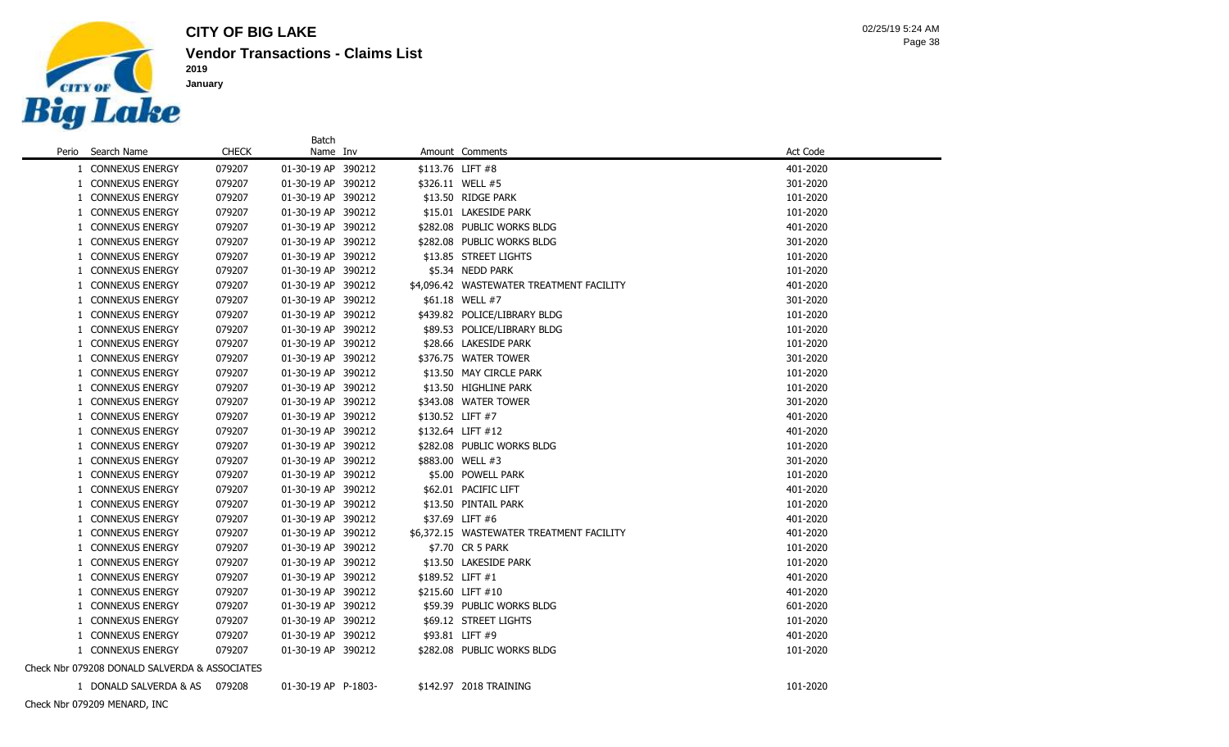

 **January**

|              |                                               |              | Batch              |        |                  |                                          |          |
|--------------|-----------------------------------------------|--------------|--------------------|--------|------------------|------------------------------------------|----------|
| Perio        | Search Name                                   | <b>CHECK</b> | Name Inv           |        |                  | Amount Comments                          | Act Code |
|              | 1 CONNEXUS ENERGY                             | 079207       | 01-30-19 AP 390212 |        | \$113.76 LIFT #8 |                                          | 401-2020 |
|              | 1 CONNEXUS ENERGY                             | 079207       | 01-30-19 AP 390212 |        |                  | \$326.11 WELL #5                         | 301-2020 |
|              | 1 CONNEXUS ENERGY                             | 079207       | 01-30-19 AP 390212 |        |                  | \$13.50 RIDGE PARK                       | 101-2020 |
|              | 1 CONNEXUS ENERGY                             | 079207       | 01-30-19 AP 390212 |        |                  | \$15.01 LAKESIDE PARK                    | 101-2020 |
| 1            | <b>CONNEXUS ENERGY</b>                        | 079207       | 01-30-19 AP 390212 |        |                  | \$282.08 PUBLIC WORKS BLDG               | 401-2020 |
| 1            | <b>CONNEXUS ENERGY</b>                        | 079207       | 01-30-19 AP 390212 |        |                  | \$282.08 PUBLIC WORKS BLDG               | 301-2020 |
| 1            | <b>CONNEXUS ENERGY</b>                        | 079207       | 01-30-19 AP 390212 |        |                  | \$13.85 STREET LIGHTS                    | 101-2020 |
| 1            | <b>CONNEXUS ENERGY</b>                        | 079207       | 01-30-19 AP 390212 |        |                  | \$5.34 NEDD PARK                         | 101-2020 |
| 1            | <b>CONNEXUS ENERGY</b>                        | 079207       | 01-30-19 AP 390212 |        |                  | \$4,096.42 WASTEWATER TREATMENT FACILITY | 401-2020 |
| 1            | <b>CONNEXUS ENERGY</b>                        | 079207       | 01-30-19 AP 390212 |        |                  | \$61.18 WELL #7                          | 301-2020 |
| 1            | <b>CONNEXUS ENERGY</b>                        | 079207       | 01-30-19 AP 390212 |        |                  | \$439.82 POLICE/LIBRARY BLDG             | 101-2020 |
| 1            | <b>CONNEXUS ENERGY</b>                        | 079207       | 01-30-19 AP 390212 |        |                  | \$89.53 POLICE/LIBRARY BLDG              | 101-2020 |
| 1            | <b>CONNEXUS ENERGY</b>                        | 079207       | 01-30-19 AP 390212 |        |                  | \$28.66 LAKESIDE PARK                    | 101-2020 |
|              | 1 CONNEXUS ENERGY                             | 079207       | 01-30-19 AP 390212 |        |                  | \$376.75 WATER TOWER                     | 301-2020 |
|              | 1 CONNEXUS ENERGY                             | 079207       | 01-30-19 AP 390212 |        |                  | \$13.50 MAY CIRCLE PARK                  | 101-2020 |
|              | 1 CONNEXUS ENERGY                             | 079207       | 01-30-19 AP 390212 |        |                  | \$13.50 HIGHLINE PARK                    | 101-2020 |
|              | 1 CONNEXUS ENERGY                             | 079207       | 01-30-19 AP 390212 |        |                  | \$343.08 WATER TOWER                     | 301-2020 |
|              | 1 CONNEXUS ENERGY                             | 079207       | 01-30-19 AP 390212 |        | \$130.52 LIFT #7 |                                          | 401-2020 |
|              | 1 CONNEXUS ENERGY                             | 079207       | 01-30-19 AP 390212 |        |                  | \$132.64 LIFT #12                        | 401-2020 |
|              | 1 CONNEXUS ENERGY                             | 079207       | 01-30-19 AP 390212 |        |                  | \$282.08 PUBLIC WORKS BLDG               | 101-2020 |
|              | 1 CONNEXUS ENERGY                             | 079207       | 01-30-19 AP        | 390212 |                  | \$883.00 WELL #3                         | 301-2020 |
|              | 1 CONNEXUS ENERGY                             | 079207       | 01-30-19 AP 390212 |        |                  | \$5.00 POWELL PARK                       | 101-2020 |
|              | 1 CONNEXUS ENERGY                             | 079207       | 01-30-19 AP 390212 |        |                  | \$62.01 PACIFIC LIFT                     | 401-2020 |
|              | 1 CONNEXUS ENERGY                             | 079207       | 01-30-19 AP 390212 |        |                  | \$13.50 PINTAIL PARK                     | 101-2020 |
|              | 1 CONNEXUS ENERGY                             | 079207       | 01-30-19 AP 390212 |        |                  | \$37.69 LIFT #6                          | 401-2020 |
|              | 1 CONNEXUS ENERGY                             | 079207       | 01-30-19 AP 390212 |        |                  | \$6,372.15 WASTEWATER TREATMENT FACILITY | 401-2020 |
|              | 1 CONNEXUS ENERGY                             | 079207       | 01-30-19 AP 390212 |        |                  | \$7.70 CR 5 PARK                         | 101-2020 |
|              | 1 CONNEXUS ENERGY                             | 079207       | 01-30-19 AP 390212 |        |                  | \$13.50 LAKESIDE PARK                    | 101-2020 |
|              | 1 CONNEXUS ENERGY                             | 079207       | 01-30-19 AP 390212 |        | \$189.52 LIFT #1 |                                          | 401-2020 |
|              | 1 CONNEXUS ENERGY                             | 079207       | 01-30-19 AP 390212 |        |                  | \$215.60 LIFT #10                        | 401-2020 |
|              | 1 CONNEXUS ENERGY                             | 079207       | 01-30-19 AP 390212 |        |                  | \$59.39 PUBLIC WORKS BLDG                | 601-2020 |
| $\mathbf{1}$ | <b>CONNEXUS ENERGY</b>                        | 079207       | 01-30-19 AP 390212 |        |                  | \$69.12 STREET LIGHTS                    | 101-2020 |
| 1            | <b>CONNEXUS ENERGY</b>                        | 079207       | 01-30-19 AP 390212 |        |                  | \$93.81 LIFT #9                          | 401-2020 |
|              | 1 CONNEXUS ENERGY                             | 079207       | 01-30-19 AP 390212 |        |                  | \$282.08 PUBLIC WORKS BLDG               | 101-2020 |
|              | Check Nbr 079208 DONALD SALVERDA & ASSOCIATES |              |                    |        |                  |                                          |          |

DONALD SALVERDA & AS 079208 01-30-19 AP P-1803- \$142.97 2018 TRAINING 101-2020

Check Nbr 079209 MENARD, INC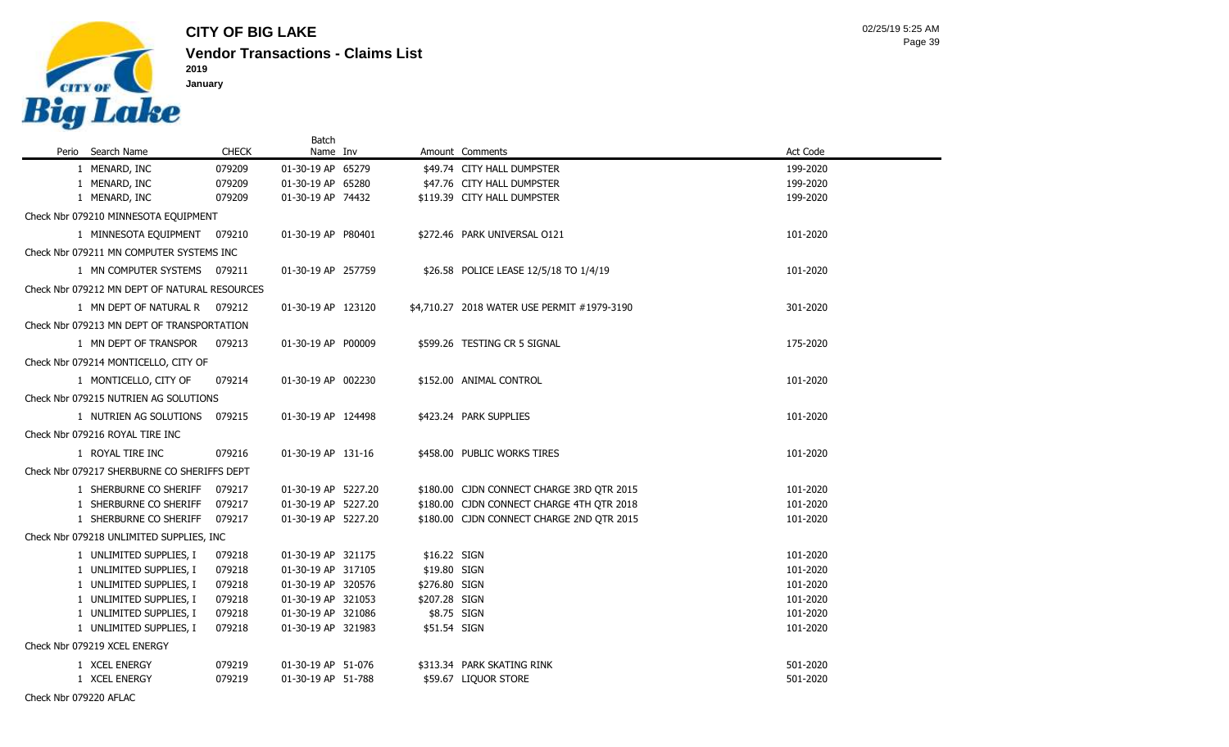

|                                               |              | Batch               |  |               |                                             |          |  |  |  |  |
|-----------------------------------------------|--------------|---------------------|--|---------------|---------------------------------------------|----------|--|--|--|--|
| Perio Search Name                             | <b>CHECK</b> | Name Inv            |  |               | Amount Comments                             | Act Code |  |  |  |  |
| 1 MENARD, INC                                 | 079209       | 01-30-19 AP 65279   |  |               | \$49.74 CITY HALL DUMPSTER                  | 199-2020 |  |  |  |  |
| 1 MENARD, INC                                 | 079209       | 01-30-19 AP 65280   |  |               | \$47.76 CITY HALL DUMPSTER                  | 199-2020 |  |  |  |  |
| 1 MENARD, INC                                 | 079209       | 01-30-19 AP 74432   |  |               | \$119.39 CITY HALL DUMPSTER                 | 199-2020 |  |  |  |  |
| Check Nbr 079210 MINNESOTA EQUIPMENT          |              |                     |  |               |                                             |          |  |  |  |  |
| 1 MINNESOTA EQUIPMENT 079210                  |              | 01-30-19 AP P80401  |  |               | \$272.46 PARK UNIVERSAL 0121                | 101-2020 |  |  |  |  |
| Check Nbr 079211 MN COMPUTER SYSTEMS INC      |              |                     |  |               |                                             |          |  |  |  |  |
| 1 MN COMPUTER SYSTEMS 079211                  |              | 01-30-19 AP 257759  |  |               | \$26.58 POLICE LEASE 12/5/18 TO 1/4/19      | 101-2020 |  |  |  |  |
| Check Nbr 079212 MN DEPT OF NATURAL RESOURCES |              |                     |  |               |                                             |          |  |  |  |  |
| 1 MN DEPT OF NATURAL R 079212                 |              | 01-30-19 AP 123120  |  |               | \$4,710.27 2018 WATER USE PERMIT #1979-3190 | 301-2020 |  |  |  |  |
| Check Nbr 079213 MN DEPT OF TRANSPORTATION    |              |                     |  |               |                                             |          |  |  |  |  |
| 1 MN DEPT OF TRANSPOR                         | 079213       | 01-30-19 AP P00009  |  |               | \$599.26 TESTING CR 5 SIGNAL                | 175-2020 |  |  |  |  |
| Check Nbr 079214 MONTICELLO, CITY OF          |              |                     |  |               |                                             |          |  |  |  |  |
| 1 MONTICELLO, CITY OF                         | 079214       | 01-30-19 AP 002230  |  |               | \$152.00 ANIMAL CONTROL                     | 101-2020 |  |  |  |  |
| Check Nbr 079215 NUTRIEN AG SOLUTIONS         |              |                     |  |               |                                             |          |  |  |  |  |
| 1 NUTRIEN AG SOLUTIONS 079215                 |              | 01-30-19 AP 124498  |  |               | \$423.24 PARK SUPPLIES                      | 101-2020 |  |  |  |  |
| Check Nbr 079216 ROYAL TIRE INC               |              |                     |  |               |                                             |          |  |  |  |  |
| 1 ROYAL TIRE INC                              | 079216       | 01-30-19 AP 131-16  |  |               | \$458.00 PUBLIC WORKS TIRES                 | 101-2020 |  |  |  |  |
| Check Nbr 079217 SHERBURNE CO SHERIFFS DEPT   |              |                     |  |               |                                             |          |  |  |  |  |
| 1 SHERBURNE CO SHERIFF                        | 079217       | 01-30-19 AP 5227.20 |  |               | \$180.00 CJDN CONNECT CHARGE 3RD QTR 2015   | 101-2020 |  |  |  |  |
| 1 SHERBURNE CO SHERIFF                        | 079217       | 01-30-19 AP 5227.20 |  |               | \$180.00 CJDN CONNECT CHARGE 4TH QTR 2018   | 101-2020 |  |  |  |  |
| 1 SHERBURNE CO SHERIFF                        | 079217       | 01-30-19 AP 5227.20 |  |               | \$180.00 CJDN CONNECT CHARGE 2ND OTR 2015   | 101-2020 |  |  |  |  |
| Check Nbr 079218 UNLIMITED SUPPLIES, INC      |              |                     |  |               |                                             |          |  |  |  |  |
| 1 UNLIMITED SUPPLIES, I                       | 079218       | 01-30-19 AP 321175  |  | \$16.22 SIGN  |                                             | 101-2020 |  |  |  |  |
| 1 UNLIMITED SUPPLIES, I                       | 079218       | 01-30-19 AP 317105  |  | \$19.80 SIGN  |                                             | 101-2020 |  |  |  |  |
| 1 UNLIMITED SUPPLIES, I                       | 079218       | 01-30-19 AP 320576  |  | \$276.80 SIGN |                                             | 101-2020 |  |  |  |  |
| 1 UNLIMITED SUPPLIES, I                       | 079218       | 01-30-19 AP 321053  |  | \$207.28 SIGN |                                             | 101-2020 |  |  |  |  |
| 1 UNLIMITED SUPPLIES, I                       | 079218       | 01-30-19 AP 321086  |  | \$8.75 SIGN   |                                             | 101-2020 |  |  |  |  |
| 1 UNLIMITED SUPPLIES, I                       | 079218       | 01-30-19 AP 321983  |  | \$51.54 SIGN  |                                             | 101-2020 |  |  |  |  |
| Check Nbr 079219 XCEL ENERGY                  |              |                     |  |               |                                             |          |  |  |  |  |
| 1 XCEL ENERGY                                 | 079219       | 01-30-19 AP 51-076  |  |               | \$313.34 PARK SKATING RINK                  | 501-2020 |  |  |  |  |
| 1 XCEL ENERGY                                 | 079219       | 01-30-19 AP 51-788  |  |               | \$59.67 LIQUOR STORE                        | 501-2020 |  |  |  |  |

Check Nbr 079220 AFLAC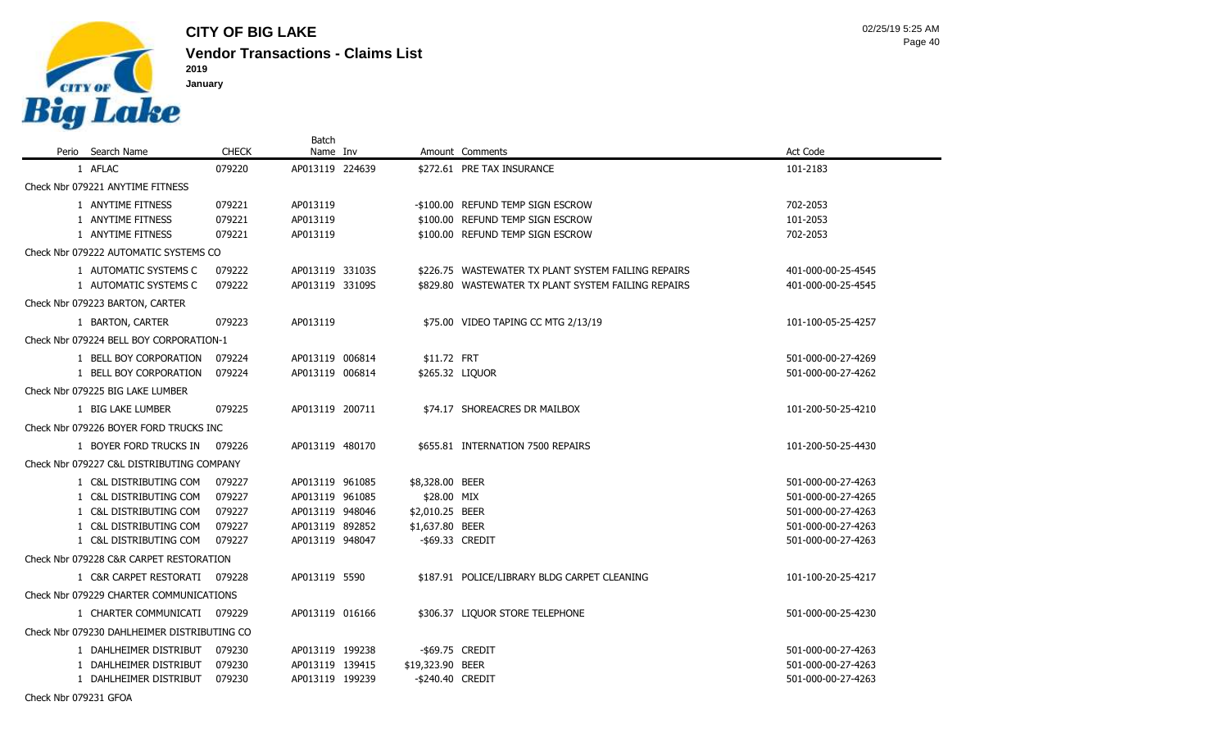

**CITY OF BIG LAKE 2019**

Batch

| Perio Search Name                           | <b>CHECK</b> | Name Inv        |                  | Amount Comments                                     | Act Code           |
|---------------------------------------------|--------------|-----------------|------------------|-----------------------------------------------------|--------------------|
| 1 AFLAC                                     | 079220       | AP013119 224639 |                  | \$272.61 PRE TAX INSURANCE                          | 101-2183           |
| Check Nbr 079221 ANYTIME FITNESS            |              |                 |                  |                                                     |                    |
| 1 ANYTIME FITNESS                           | 079221       | AP013119        |                  | -\$100.00 REFUND TEMP SIGN ESCROW                   | 702-2053           |
| 1 ANYTIME FITNESS                           | 079221       | AP013119        |                  | \$100.00 REFUND TEMP SIGN ESCROW                    | 101-2053           |
| 1 ANYTIME FITNESS                           | 079221       | AP013119        |                  | \$100.00 REFUND TEMP SIGN ESCROW                    | 702-2053           |
| Check Nbr 079222 AUTOMATIC SYSTEMS CO       |              |                 |                  |                                                     |                    |
| 1 AUTOMATIC SYSTEMS C                       | 079222       | AP013119 33103S |                  | \$226.75 WASTEWATER TX PLANT SYSTEM FAILING REPAIRS | 401-000-00-25-4545 |
| 1 AUTOMATIC SYSTEMS C                       | 079222       | AP013119 33109S |                  | \$829.80 WASTEWATER TX PLANT SYSTEM FAILING REPAIRS | 401-000-00-25-4545 |
| Check Nbr 079223 BARTON, CARTER             |              |                 |                  |                                                     |                    |
| 1 BARTON, CARTER                            | 079223       | AP013119        |                  | \$75.00 VIDEO TAPING CC MTG 2/13/19                 | 101-100-05-25-4257 |
| Check Nbr 079224 BELL BOY CORPORATION-1     |              |                 |                  |                                                     |                    |
| 1 BELL BOY CORPORATION                      | 079224       | AP013119 006814 | \$11.72 FRT      |                                                     | 501-000-00-27-4269 |
| 1 BELL BOY CORPORATION                      | 079224       | AP013119 006814 | \$265.32 LIQUOR  |                                                     | 501-000-00-27-4262 |
| Check Nbr 079225 BIG LAKE LUMBER            |              |                 |                  |                                                     |                    |
| 1 BIG LAKE LUMBER                           | 079225       | AP013119 200711 |                  | \$74.17 SHOREACRES DR MAILBOX                       | 101-200-50-25-4210 |
| Check Nbr 079226 BOYER FORD TRUCKS INC      |              |                 |                  |                                                     |                    |
| 1 BOYER FORD TRUCKS IN                      | 079226       | AP013119 480170 |                  | \$655.81 INTERNATION 7500 REPAIRS                   | 101-200-50-25-4430 |
| Check Nbr 079227 C&L DISTRIBUTING COMPANY   |              |                 |                  |                                                     |                    |
| 1 C&L DISTRIBUTING COM                      | 079227       | AP013119 961085 | \$8,328.00 BEER  |                                                     | 501-000-00-27-4263 |
| 1 C&L DISTRIBUTING COM                      | 079227       | AP013119 961085 | \$28.00 MIX      |                                                     | 501-000-00-27-4265 |
| 1 C&L DISTRIBUTING COM                      | 079227       | AP013119 948046 | \$2,010.25 BEER  |                                                     | 501-000-00-27-4263 |
| 1 C&L DISTRIBUTING COM                      | 079227       | AP013119 892852 | \$1,637.80 BEER  |                                                     | 501-000-00-27-4263 |
| 1 C&L DISTRIBUTING COM                      | 079227       | AP013119 948047 | -\$69.33 CREDIT  |                                                     | 501-000-00-27-4263 |
| Check Nbr 079228 C&R CARPET RESTORATION     |              |                 |                  |                                                     |                    |
| 1 C&R CARPET RESTORATI 079228               |              | AP013119 5590   |                  | \$187.91 POLICE/LIBRARY BLDG CARPET CLEANING        | 101-100-20-25-4217 |
| Check Nbr 079229 CHARTER COMMUNICATIONS     |              |                 |                  |                                                     |                    |
| 1 CHARTER COMMUNICATI 079229                |              | AP013119 016166 |                  | \$306.37 LIQUOR STORE TELEPHONE                     | 501-000-00-25-4230 |
| Check Nbr 079230 DAHLHEIMER DISTRIBUTING CO |              |                 |                  |                                                     |                    |
| 1 DAHLHEIMER DISTRIBUT                      | 079230       | AP013119 199238 | -\$69.75 CREDIT  |                                                     | 501-000-00-27-4263 |
| 1 DAHLHEIMER DISTRIBUT                      | 079230       | AP013119 139415 | \$19,323.90 BEER |                                                     | 501-000-00-27-4263 |
| 1 DAHLHEIMER DISTRIBUT                      | 079230       | AP013119 199239 | -\$240.40 CREDIT |                                                     | 501-000-00-27-4263 |

Check Nbr 079231 GFOA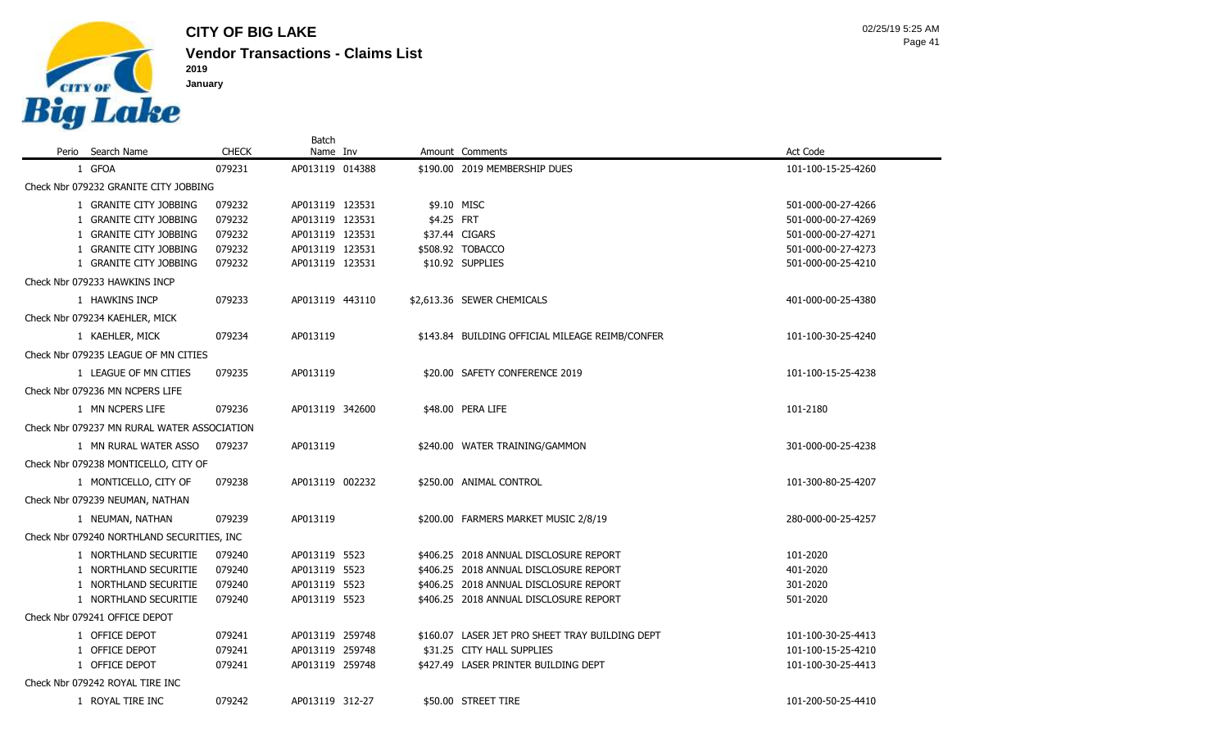

 $\sim$ 

**CITY OF BIG LAKE 2019**

|                                             |              | <b>Batch</b>    |             |                                                 |                    |
|---------------------------------------------|--------------|-----------------|-------------|-------------------------------------------------|--------------------|
| Perio Search Name                           | <b>CHECK</b> | Name Inv        |             | Amount Comments                                 | <b>Act Code</b>    |
| 1 GFOA                                      | 079231       | AP013119 014388 |             | \$190.00 2019 MEMBERSHIP DUES                   | 101-100-15-25-4260 |
| Check Nbr 079232 GRANITE CITY JOBBING       |              |                 |             |                                                 |                    |
| 1 GRANITE CITY JOBBING                      | 079232       | AP013119 123531 | \$9.10 MISC |                                                 | 501-000-00-27-4266 |
| 1 GRANITE CITY JOBBING                      | 079232       | AP013119 123531 | \$4.25 FRT  |                                                 | 501-000-00-27-4269 |
| 1 GRANITE CITY JOBBING                      | 079232       | AP013119 123531 |             | \$37.44 CIGARS                                  | 501-000-00-27-4271 |
| 1 GRANITE CITY JOBBING                      | 079232       | AP013119 123531 |             | \$508.92 TOBACCO                                | 501-000-00-27-4273 |
| 1 GRANITE CITY JOBBING                      | 079232       | AP013119 123531 |             | \$10.92 SUPPLIES                                | 501-000-00-25-4210 |
| Check Nbr 079233 HAWKINS INCP               |              |                 |             |                                                 |                    |
| 1 HAWKINS INCP                              | 079233       | AP013119 443110 |             | \$2,613.36 SEWER CHEMICALS                      | 401-000-00-25-4380 |
| Check Nbr 079234 KAEHLER, MICK              |              |                 |             |                                                 |                    |
| 1 KAEHLER, MICK                             | 079234       | AP013119        |             | \$143.84 BUILDING OFFICIAL MILEAGE REIMB/CONFER | 101-100-30-25-4240 |
| Check Nbr 079235 LEAGUE OF MN CITIES        |              |                 |             |                                                 |                    |
| 1 LEAGUE OF MN CITIES                       | 079235       | AP013119        |             | \$20.00 SAFETY CONFERENCE 2019                  | 101-100-15-25-4238 |
| Check Nbr 079236 MN NCPERS LIFE             |              |                 |             |                                                 |                    |
| 1 MN NCPERS LIFE                            | 079236       | AP013119 342600 |             | \$48.00 PERA LIFE                               | 101-2180           |
| Check Nbr 079237 MN RURAL WATER ASSOCIATION |              |                 |             |                                                 |                    |
| 1 MN RURAL WATER ASSO                       | 079237       | AP013119        |             | \$240.00 WATER TRAINING/GAMMON                  | 301-000-00-25-4238 |
| Check Nbr 079238 MONTICELLO, CITY OF        |              |                 |             |                                                 |                    |
| 1 MONTICELLO, CITY OF                       | 079238       | AP013119 002232 |             | \$250.00 ANIMAL CONTROL                         | 101-300-80-25-4207 |
| Check Nbr 079239 NEUMAN, NATHAN             |              |                 |             |                                                 |                    |
| 1 NEUMAN, NATHAN                            | 079239       | AP013119        |             | \$200.00 FARMERS MARKET MUSIC 2/8/19            | 280-000-00-25-4257 |
| Check Nbr 079240 NORTHLAND SECURITIES, INC  |              |                 |             |                                                 |                    |
| 1 NORTHLAND SECURITIE                       | 079240       | AP013119 5523   |             | \$406.25 2018 ANNUAL DISCLOSURE REPORT          | 101-2020           |
| 1 NORTHLAND SECURITIE                       | 079240       | AP013119 5523   |             | \$406.25 2018 ANNUAL DISCLOSURE REPORT          | 401-2020           |
| 1 NORTHLAND SECURITIE                       | 079240       | AP013119 5523   |             | \$406.25 2018 ANNUAL DISCLOSURE REPORT          | 301-2020           |
| 1 NORTHLAND SECURITIE                       | 079240       | AP013119 5523   |             | \$406.25 2018 ANNUAL DISCLOSURE REPORT          | 501-2020           |
| Check Nbr 079241 OFFICE DEPOT               |              |                 |             |                                                 |                    |
| 1 OFFICE DEPOT                              | 079241       | AP013119 259748 |             | \$160.07 LASER JET PRO SHEET TRAY BUILDING DEPT | 101-100-30-25-4413 |
| 1 OFFICE DEPOT                              | 079241       | AP013119 259748 |             | \$31.25 CITY HALL SUPPLIES                      | 101-100-15-25-4210 |
| 1 OFFICE DEPOT                              | 079241       | AP013119 259748 |             | \$427.49 LASER PRINTER BUILDING DEPT            | 101-100-30-25-4413 |
| Check Nbr 079242 ROYAL TIRE INC             |              |                 |             |                                                 |                    |
|                                             |              |                 |             |                                                 |                    |

1 ROYAL TIRE INC 079242 AP013119 312-27 \$50.00 STREET TIRE 101-200-50-25-4410